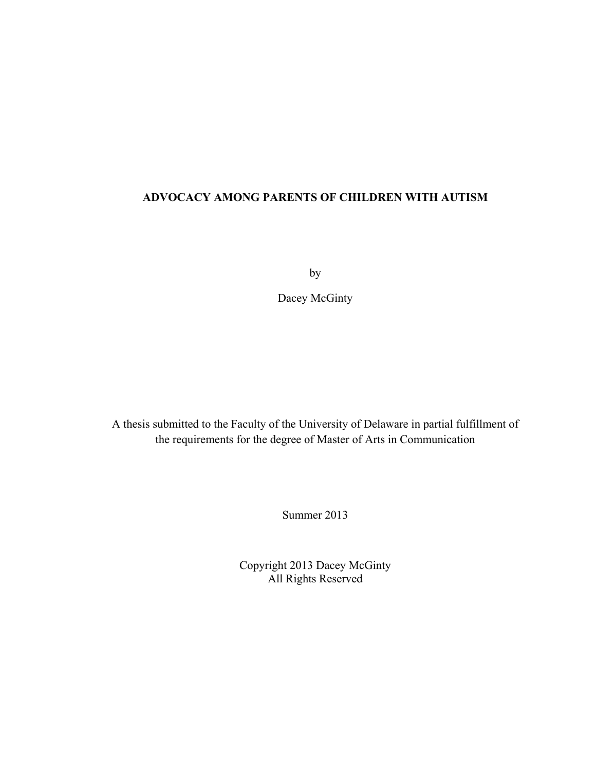## **ADVOCACY AMONG PARENTS OF CHILDREN WITH AUTISM**

by

Dacey McGinty

A thesis submitted to the Faculty of the University of Delaware in partial fulfillment of the requirements for the degree of Master of Arts in Communication

Summer 2013

Copyright 2013 Dacey McGinty All Rights Reserved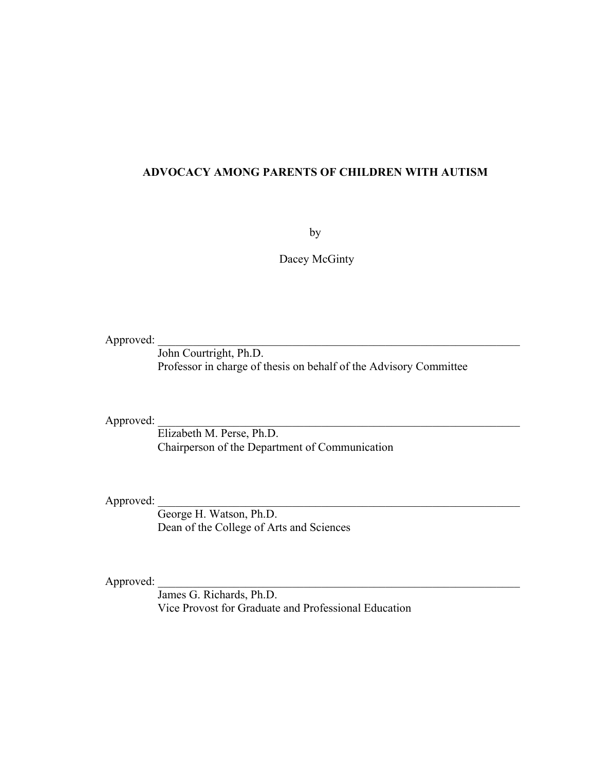### **ADVOCACY AMONG PARENTS OF CHILDREN WITH AUTISM**

by

Dacey McGinty

Approved:

John Courtright, Ph.D. Professor in charge of thesis on behalf of the Advisory Committee

Approved:

Elizabeth M. Perse, Ph.D. Chairperson of the Department of Communication

Approved: \_\_\_\_\_\_\_\_\_\_\_\_\_\_\_\_\_\_\_\_\_\_\_\_\_\_\_\_\_\_\_\_\_\_\_\_\_\_\_\_\_\_\_\_\_\_\_\_\_\_\_\_\_\_\_\_\_\_\_\_\_\_

George H. Watson, Ph.D. Dean of the College of Arts and Sciences

Approved:

James G. Richards, Ph.D. Vice Provost for Graduate and Professional Education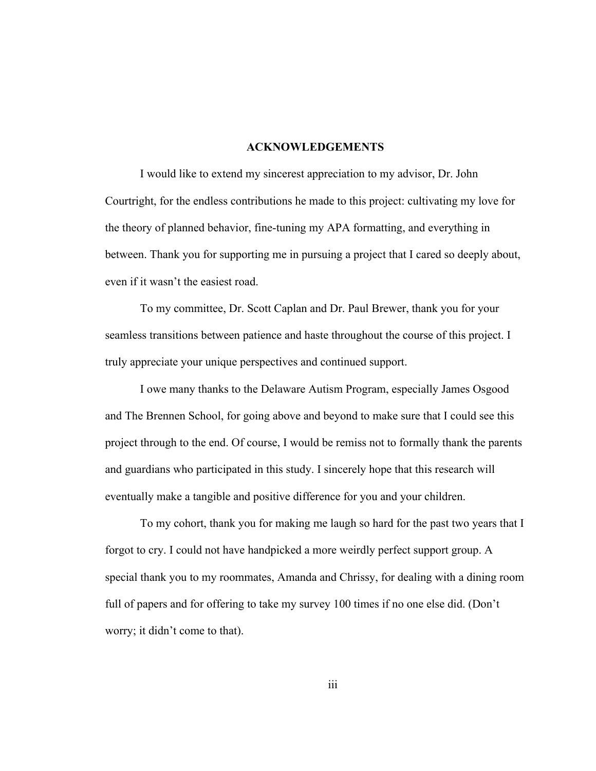#### **ACKNOWLEDGEMENTS**

I would like to extend my sincerest appreciation to my advisor, Dr. John Courtright, for the endless contributions he made to this project: cultivating my love for the theory of planned behavior, fine-tuning my APA formatting, and everything in between. Thank you for supporting me in pursuing a project that I cared so deeply about, even if it wasn't the easiest road.

To my committee, Dr. Scott Caplan and Dr. Paul Brewer, thank you for your seamless transitions between patience and haste throughout the course of this project. I truly appreciate your unique perspectives and continued support.

I owe many thanks to the Delaware Autism Program, especially James Osgood and The Brennen School, for going above and beyond to make sure that I could see this project through to the end. Of course, I would be remiss not to formally thank the parents and guardians who participated in this study. I sincerely hope that this research will eventually make a tangible and positive difference for you and your children.

To my cohort, thank you for making me laugh so hard for the past two years that I forgot to cry. I could not have handpicked a more weirdly perfect support group. A special thank you to my roommates, Amanda and Chrissy, for dealing with a dining room full of papers and for offering to take my survey 100 times if no one else did. (Don't worry; it didn't come to that).

iii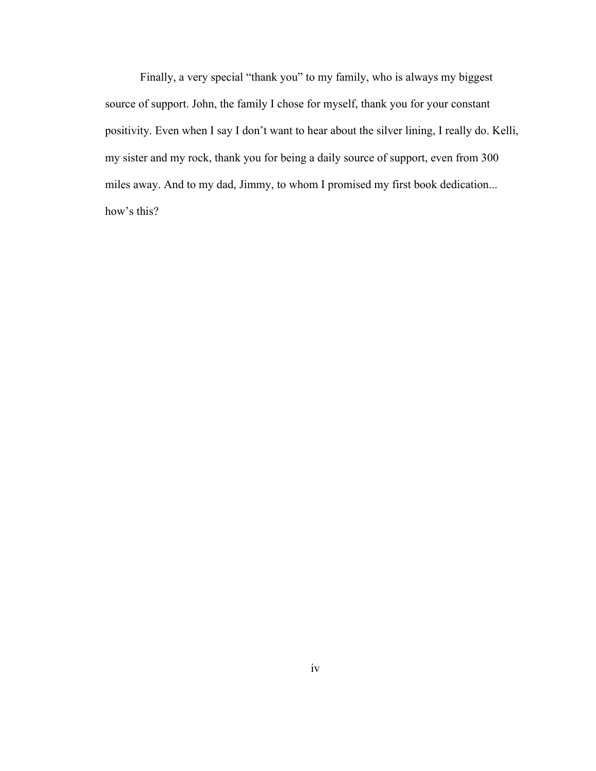Finally, a very special "thank you" to my family, who is always my biggest source of support. John, the family I chose for myself, thank you for your constant positivity. Even when I say I don't want to hear about the silver lining, I really do. Kelli, my sister and my rock, thank you for being a daily source of support, even from 300 miles away. And to my dad, Jimmy, to whom I promised my first book dedication... how's this?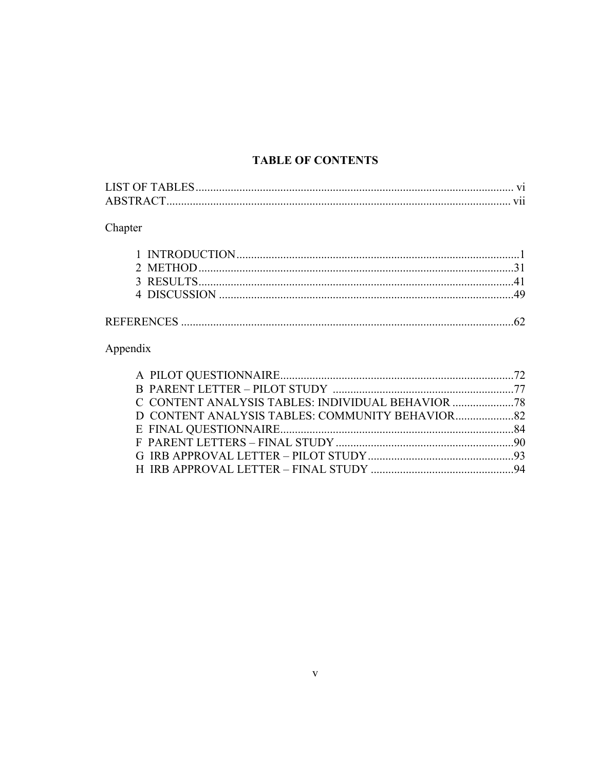## **TABLE OF CONTENTS**

| <b>ABSTRACT</b> |  |
|-----------------|--|

# Chapter

## Appendix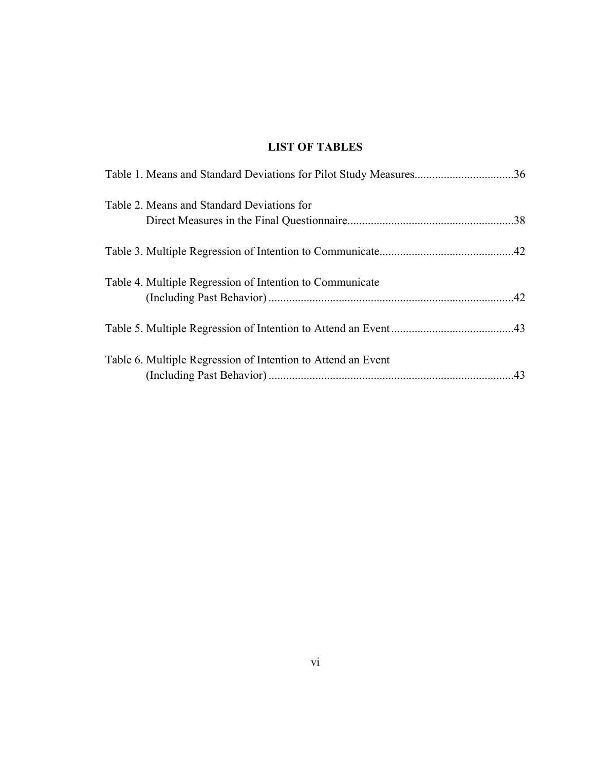## **LIST OF TABLES**

| Table 1. Means and Standard Deviations for Pilot Study Measures36 |  |
|-------------------------------------------------------------------|--|
| Table 2. Means and Standard Deviations for                        |  |
|                                                                   |  |
|                                                                   |  |
| Table 4. Multiple Regression of Intention to Communicate          |  |
|                                                                   |  |
| Table 6. Multiple Regression of Intention to Attend an Event      |  |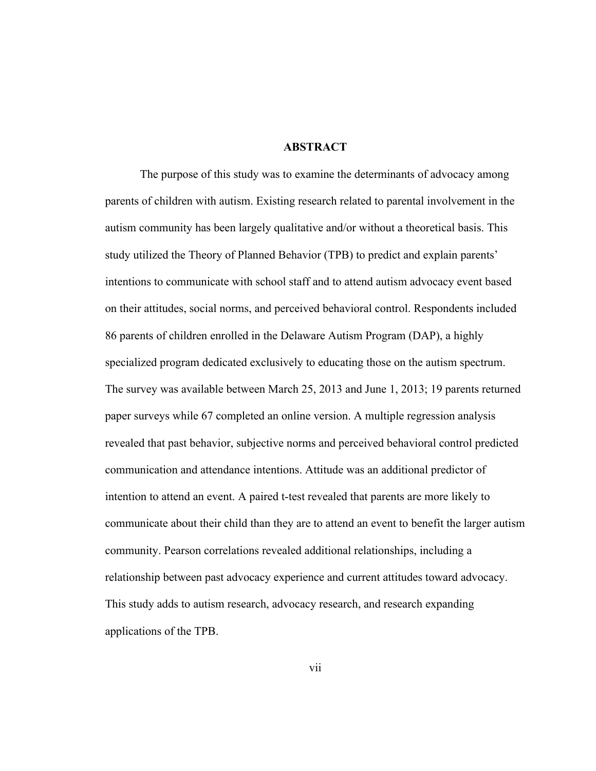#### **ABSTRACT**

The purpose of this study was to examine the determinants of advocacy among parents of children with autism. Existing research related to parental involvement in the autism community has been largely qualitative and/or without a theoretical basis. This study utilized the Theory of Planned Behavior (TPB) to predict and explain parents' intentions to communicate with school staff and to attend autism advocacy event based on their attitudes, social norms, and perceived behavioral control. Respondents included 86 parents of children enrolled in the Delaware Autism Program (DAP), a highly specialized program dedicated exclusively to educating those on the autism spectrum. The survey was available between March 25, 2013 and June 1, 2013; 19 parents returned paper surveys while 67 completed an online version. A multiple regression analysis revealed that past behavior, subjective norms and perceived behavioral control predicted communication and attendance intentions. Attitude was an additional predictor of intention to attend an event. A paired t-test revealed that parents are more likely to communicate about their child than they are to attend an event to benefit the larger autism community. Pearson correlations revealed additional relationships, including a relationship between past advocacy experience and current attitudes toward advocacy. This study adds to autism research, advocacy research, and research expanding applications of the TPB.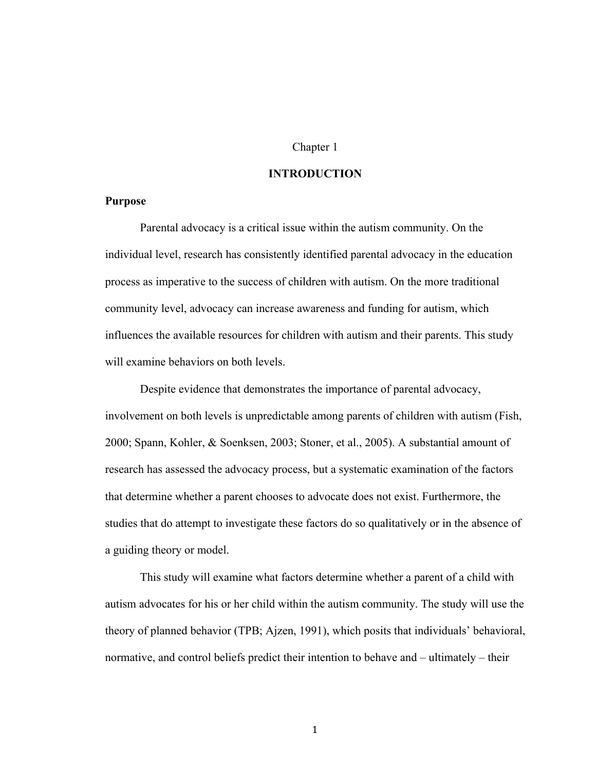#### Chapter 1

#### **INTRODUCTION**

#### **Purpose**

Parental advocacy is a critical issue within the autism community. On the individual level, research has consistently identified parental advocacy in the education process as imperative to the success of children with autism. On the more traditional community level, advocacy can increase awareness and funding for autism, which influences the available resources for children with autism and their parents. This study will examine behaviors on both levels.

Despite evidence that demonstrates the importance of parental advocacy, involvement on both levels is unpredictable among parents of children with autism (Fish, 2000; Spann, Kohler, & Soenksen, 2003; Stoner, et al., 2005). A substantial amount of research has assessed the advocacy process, but a systematic examination of the factors that determine whether a parent chooses to advocate does not exist. Furthermore, the studies that do attempt to investigate these factors do so qualitatively or in the absence of a guiding theory or model.

This study will examine what factors determine whether a parent of a child with autism advocates for his or her child within the autism community. The study will use the theory of planned behavior (TPB; Ajzen, 1991), which posits that individuals' behavioral, normative, and control beliefs predict their intention to behave and – ultimately – their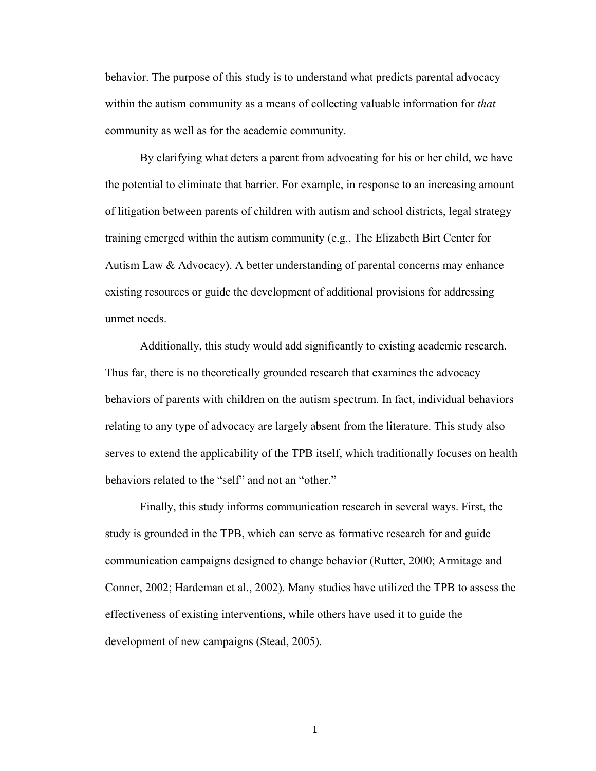behavior. The purpose of this study is to understand what predicts parental advocacy within the autism community as a means of collecting valuable information for *that*  community as well as for the academic community.

By clarifying what deters a parent from advocating for his or her child, we have the potential to eliminate that barrier. For example, in response to an increasing amount of litigation between parents of children with autism and school districts, legal strategy training emerged within the autism community (e.g., The Elizabeth Birt Center for Autism Law & Advocacy). A better understanding of parental concerns may enhance existing resources or guide the development of additional provisions for addressing unmet needs.

Additionally, this study would add significantly to existing academic research. Thus far, there is no theoretically grounded research that examines the advocacy behaviors of parents with children on the autism spectrum. In fact, individual behaviors relating to any type of advocacy are largely absent from the literature. This study also serves to extend the applicability of the TPB itself, which traditionally focuses on health behaviors related to the "self" and not an "other."

Finally, this study informs communication research in several ways. First, the study is grounded in the TPB, which can serve as formative research for and guide communication campaigns designed to change behavior (Rutter, 2000; Armitage and Conner, 2002; Hardeman et al., 2002). Many studies have utilized the TPB to assess the effectiveness of existing interventions, while others have used it to guide the development of new campaigns (Stead, 2005).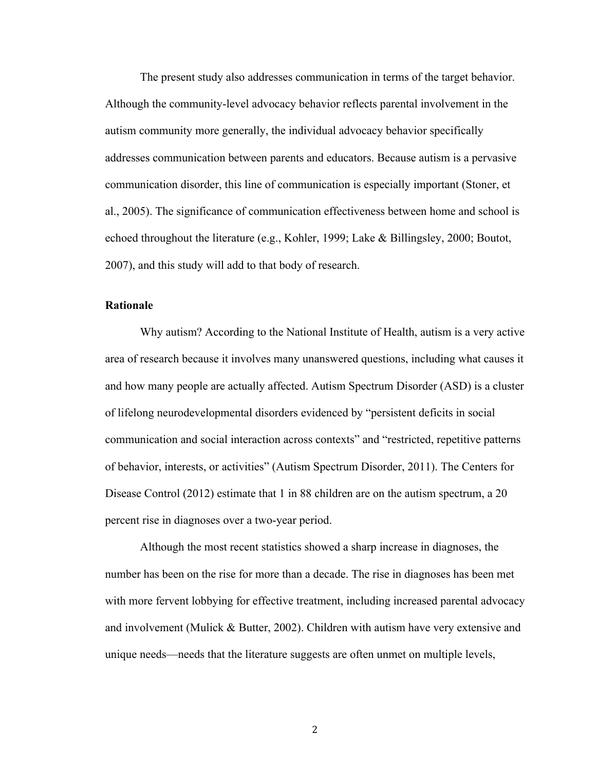The present study also addresses communication in terms of the target behavior. Although the community-level advocacy behavior reflects parental involvement in the autism community more generally, the individual advocacy behavior specifically addresses communication between parents and educators. Because autism is a pervasive communication disorder, this line of communication is especially important (Stoner, et al., 2005). The significance of communication effectiveness between home and school is echoed throughout the literature (e.g., Kohler, 1999; Lake & Billingsley, 2000; Boutot, 2007), and this study will add to that body of research.

### **Rationale**

Why autism? According to the National Institute of Health, autism is a very active area of research because it involves many unanswered questions, including what causes it and how many people are actually affected. Autism Spectrum Disorder (ASD) is a cluster of lifelong neurodevelopmental disorders evidenced by "persistent deficits in social communication and social interaction across contexts" and "restricted, repetitive patterns of behavior, interests, or activities" (Autism Spectrum Disorder, 2011). The Centers for Disease Control (2012) estimate that 1 in 88 children are on the autism spectrum, a 20 percent rise in diagnoses over a two-year period.

Although the most recent statistics showed a sharp increase in diagnoses, the number has been on the rise for more than a decade. The rise in diagnoses has been met with more fervent lobbying for effective treatment, including increased parental advocacy and involvement (Mulick & Butter, 2002). Children with autism have very extensive and unique needs—needs that the literature suggests are often unmet on multiple levels,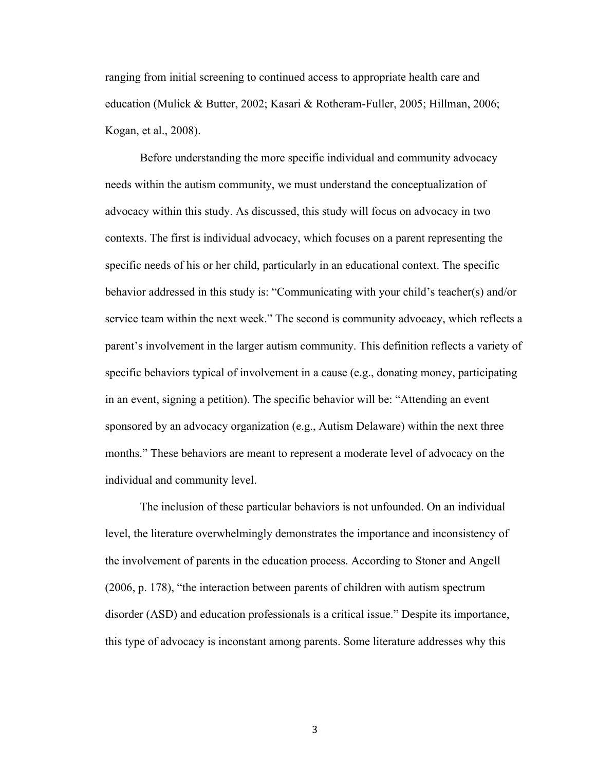ranging from initial screening to continued access to appropriate health care and education (Mulick & Butter, 2002; Kasari & Rotheram-Fuller, 2005; Hillman, 2006; Kogan, et al., 2008).

Before understanding the more specific individual and community advocacy needs within the autism community, we must understand the conceptualization of advocacy within this study. As discussed, this study will focus on advocacy in two contexts. The first is individual advocacy, which focuses on a parent representing the specific needs of his or her child, particularly in an educational context. The specific behavior addressed in this study is: "Communicating with your child's teacher(s) and/or service team within the next week." The second is community advocacy, which reflects a parent's involvement in the larger autism community. This definition reflects a variety of specific behaviors typical of involvement in a cause (e.g., donating money, participating in an event, signing a petition). The specific behavior will be: "Attending an event sponsored by an advocacy organization (e.g., Autism Delaware) within the next three months." These behaviors are meant to represent a moderate level of advocacy on the individual and community level.

The inclusion of these particular behaviors is not unfounded. On an individual level, the literature overwhelmingly demonstrates the importance and inconsistency of the involvement of parents in the education process. According to Stoner and Angell (2006, p. 178), "the interaction between parents of children with autism spectrum disorder (ASD) and education professionals is a critical issue." Despite its importance, this type of advocacy is inconstant among parents. Some literature addresses why this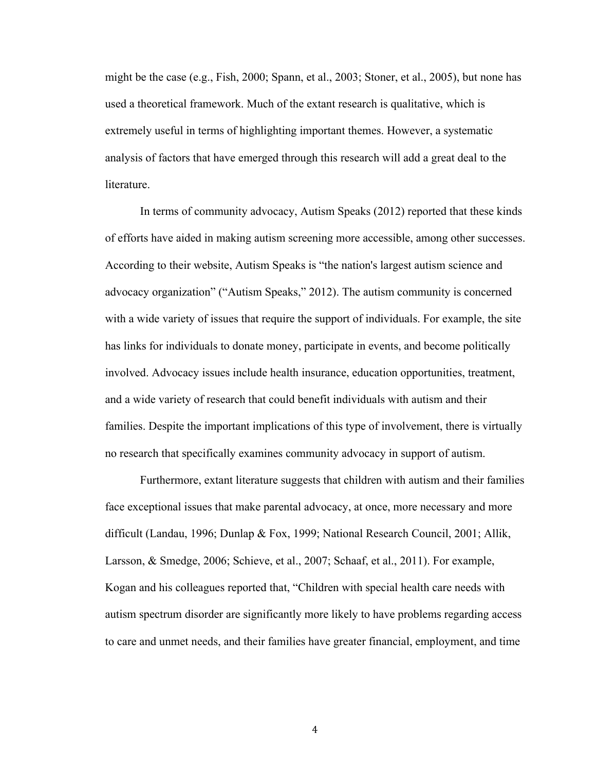might be the case (e.g., Fish, 2000; Spann, et al., 2003; Stoner, et al., 2005), but none has used a theoretical framework. Much of the extant research is qualitative, which is extremely useful in terms of highlighting important themes. However, a systematic analysis of factors that have emerged through this research will add a great deal to the literature.

In terms of community advocacy, Autism Speaks (2012) reported that these kinds of efforts have aided in making autism screening more accessible, among other successes. According to their website, Autism Speaks is "the nation's largest autism science and advocacy organization" ("Autism Speaks," 2012). The autism community is concerned with a wide variety of issues that require the support of individuals. For example, the site has links for individuals to donate money, participate in events, and become politically involved. Advocacy issues include health insurance, education opportunities, treatment, and a wide variety of research that could benefit individuals with autism and their families. Despite the important implications of this type of involvement, there is virtually no research that specifically examines community advocacy in support of autism.

Furthermore, extant literature suggests that children with autism and their families face exceptional issues that make parental advocacy, at once, more necessary and more difficult (Landau, 1996; Dunlap & Fox, 1999; National Research Council, 2001; Allik, Larsson, & Smedge, 2006; Schieve, et al., 2007; Schaaf, et al., 2011). For example, Kogan and his colleagues reported that, "Children with special health care needs with autism spectrum disorder are significantly more likely to have problems regarding access to care and unmet needs, and their families have greater financial, employment, and time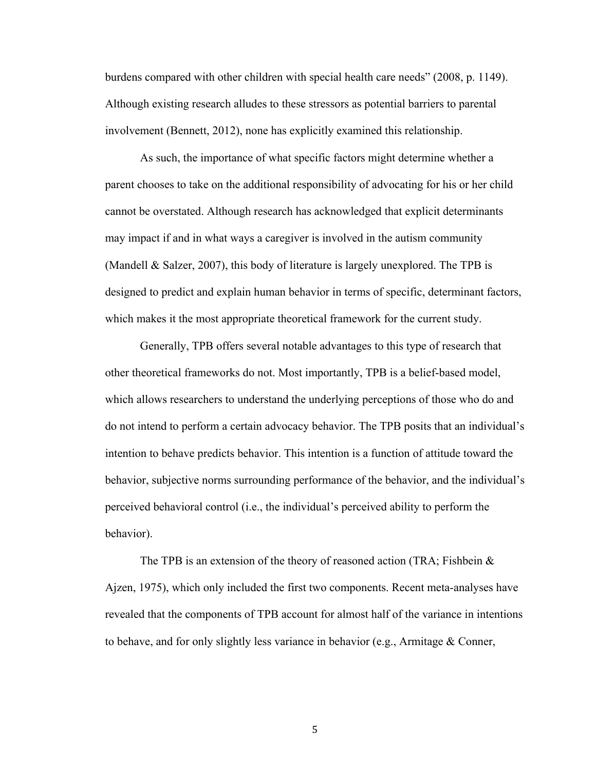burdens compared with other children with special health care needs" (2008, p. 1149). Although existing research alludes to these stressors as potential barriers to parental involvement (Bennett, 2012), none has explicitly examined this relationship.

As such, the importance of what specific factors might determine whether a parent chooses to take on the additional responsibility of advocating for his or her child cannot be overstated. Although research has acknowledged that explicit determinants may impact if and in what ways a caregiver is involved in the autism community (Mandell & Salzer, 2007), this body of literature is largely unexplored. The TPB is designed to predict and explain human behavior in terms of specific, determinant factors, which makes it the most appropriate theoretical framework for the current study.

Generally, TPB offers several notable advantages to this type of research that other theoretical frameworks do not. Most importantly, TPB is a belief-based model, which allows researchers to understand the underlying perceptions of those who do and do not intend to perform a certain advocacy behavior. The TPB posits that an individual's intention to behave predicts behavior. This intention is a function of attitude toward the behavior, subjective norms surrounding performance of the behavior, and the individual's perceived behavioral control (i.e., the individual's perceived ability to perform the behavior).

The TPB is an extension of the theory of reasoned action (TRA; Fishbein & Ajzen, 1975), which only included the first two components. Recent meta-analyses have revealed that the components of TPB account for almost half of the variance in intentions to behave, and for only slightly less variance in behavior (e.g., Armitage & Conner,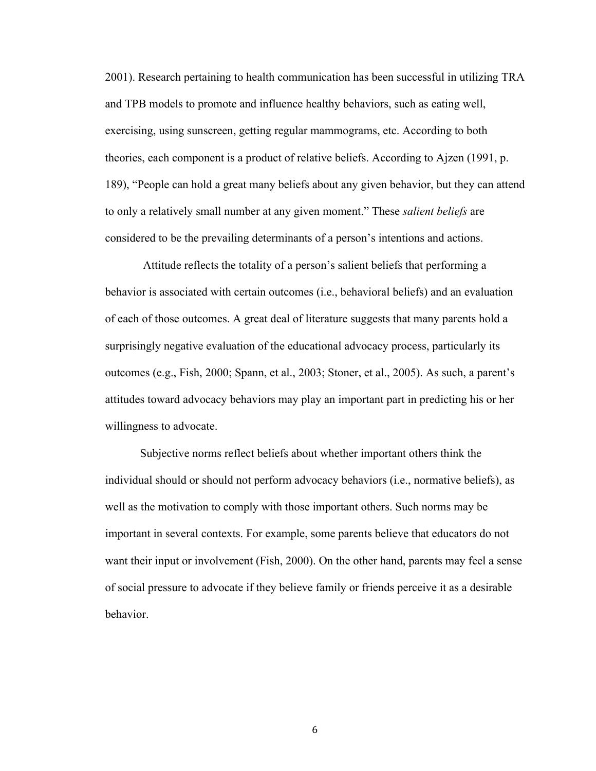2001). Research pertaining to health communication has been successful in utilizing TRA and TPB models to promote and influence healthy behaviors, such as eating well, exercising, using sunscreen, getting regular mammograms, etc. According to both theories, each component is a product of relative beliefs. According to Ajzen (1991, p. 189), "People can hold a great many beliefs about any given behavior, but they can attend to only a relatively small number at any given moment." These *salient beliefs* are considered to be the prevailing determinants of a person's intentions and actions.

Attitude reflects the totality of a person's salient beliefs that performing a behavior is associated with certain outcomes (i.e., behavioral beliefs) and an evaluation of each of those outcomes. A great deal of literature suggests that many parents hold a surprisingly negative evaluation of the educational advocacy process, particularly its outcomes (e.g., Fish, 2000; Spann, et al., 2003; Stoner, et al., 2005). As such, a parent's attitudes toward advocacy behaviors may play an important part in predicting his or her willingness to advocate.

Subjective norms reflect beliefs about whether important others think the individual should or should not perform advocacy behaviors (i.e., normative beliefs), as well as the motivation to comply with those important others. Such norms may be important in several contexts. For example, some parents believe that educators do not want their input or involvement (Fish, 2000). On the other hand, parents may feel a sense of social pressure to advocate if they believe family or friends perceive it as a desirable behavior.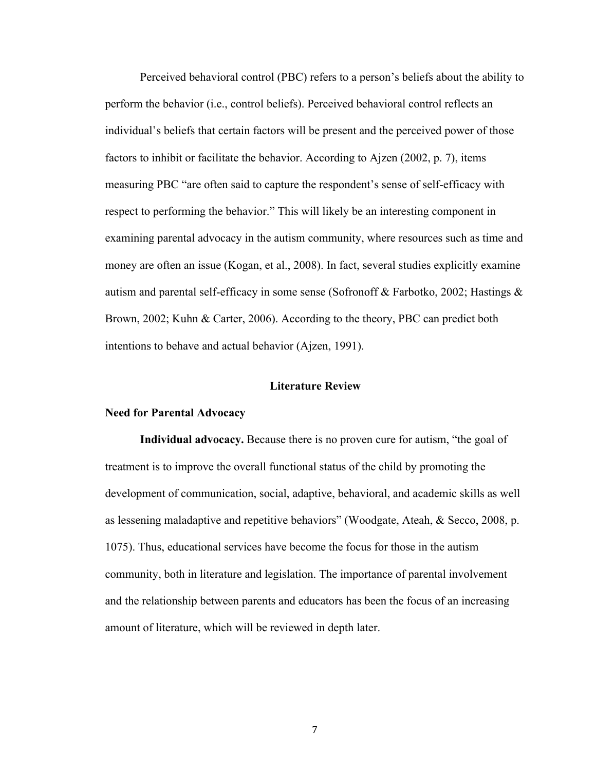Perceived behavioral control (PBC) refers to a person's beliefs about the ability to perform the behavior (i.e., control beliefs). Perceived behavioral control reflects an individual's beliefs that certain factors will be present and the perceived power of those factors to inhibit or facilitate the behavior. According to Ajzen (2002, p. 7), items measuring PBC "are often said to capture the respondent's sense of self-efficacy with respect to performing the behavior." This will likely be an interesting component in examining parental advocacy in the autism community, where resources such as time and money are often an issue (Kogan, et al., 2008). In fact, several studies explicitly examine autism and parental self-efficacy in some sense (Sofronoff & Farbotko, 2002; Hastings & Brown, 2002; Kuhn & Carter, 2006). According to the theory, PBC can predict both intentions to behave and actual behavior (Ajzen, 1991).

### **Literature Review**

#### **Need for Parental Advocacy**

**Individual advocacy.** Because there is no proven cure for autism, "the goal of treatment is to improve the overall functional status of the child by promoting the development of communication, social, adaptive, behavioral, and academic skills as well as lessening maladaptive and repetitive behaviors" (Woodgate, Ateah, & Secco, 2008, p. 1075). Thus, educational services have become the focus for those in the autism community, both in literature and legislation. The importance of parental involvement and the relationship between parents and educators has been the focus of an increasing amount of literature, which will be reviewed in depth later.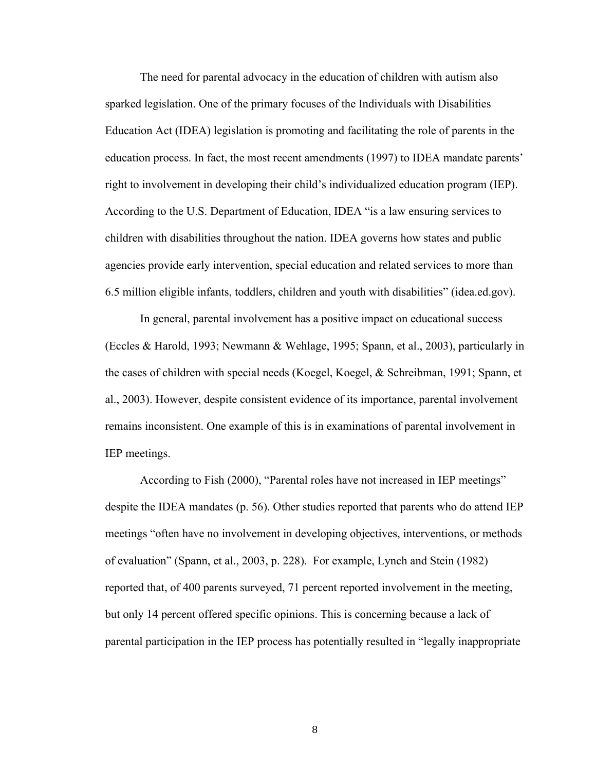The need for parental advocacy in the education of children with autism also sparked legislation. One of the primary focuses of the Individuals with Disabilities Education Act (IDEA) legislation is promoting and facilitating the role of parents in the education process. In fact, the most recent amendments (1997) to IDEA mandate parents' right to involvement in developing their child's individualized education program (IEP). According to the U.S. Department of Education, IDEA "is a law ensuring services to children with disabilities throughout the nation. IDEA governs how states and public agencies provide early intervention, special education and related services to more than 6.5 million eligible infants, toddlers, children and youth with disabilities" (idea.ed.gov).

In general, parental involvement has a positive impact on educational success (Eccles & Harold, 1993; Newmann & Wehlage, 1995; Spann, et al., 2003), particularly in the cases of children with special needs (Koegel, Koegel, & Schreibman, 1991; Spann, et al., 2003). However, despite consistent evidence of its importance, parental involvement remains inconsistent. One example of this is in examinations of parental involvement in IEP meetings.

According to Fish (2000), "Parental roles have not increased in IEP meetings" despite the IDEA mandates (p. 56). Other studies reported that parents who do attend IEP meetings "often have no involvement in developing objectives, interventions, or methods of evaluation" (Spann, et al., 2003, p. 228). For example, Lynch and Stein (1982) reported that, of 400 parents surveyed, 71 percent reported involvement in the meeting, but only 14 percent offered specific opinions. This is concerning because a lack of parental participation in the IEP process has potentially resulted in "legally inappropriate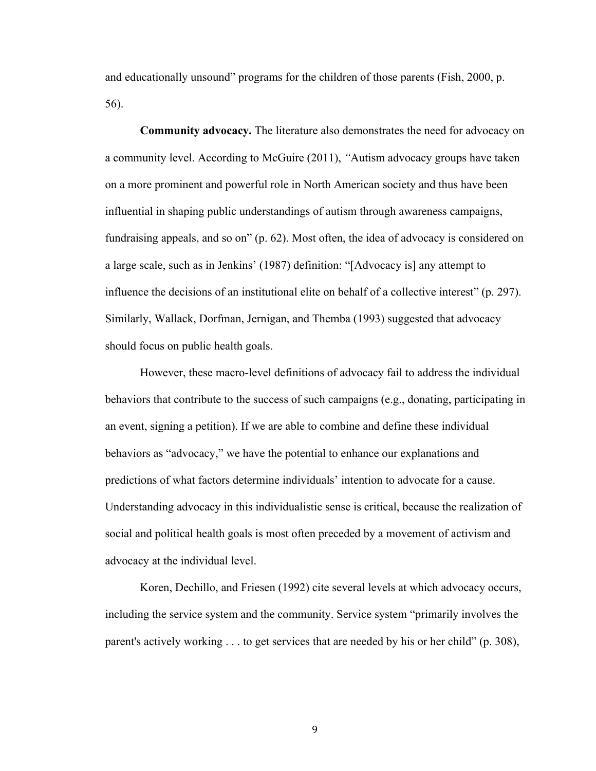and educationally unsound" programs for the children of those parents (Fish, 2000, p. 56).

**Community advocacy.** The literature also demonstrates the need for advocacy on a community level. According to McGuire (2011), *"*Autism advocacy groups have taken on a more prominent and powerful role in North American society and thus have been influential in shaping public understandings of autism through awareness campaigns, fundraising appeals, and so on" (p. 62). Most often, the idea of advocacy is considered on a large scale, such as in Jenkins' (1987) definition: "[Advocacy is] any attempt to influence the decisions of an institutional elite on behalf of a collective interest" (p. 297). Similarly, Wallack, Dorfman, Jernigan, and Themba (1993) suggested that advocacy should focus on public health goals.

However, these macro-level definitions of advocacy fail to address the individual behaviors that contribute to the success of such campaigns (e.g., donating, participating in an event, signing a petition). If we are able to combine and define these individual behaviors as "advocacy," we have the potential to enhance our explanations and predictions of what factors determine individuals' intention to advocate for a cause. Understanding advocacy in this individualistic sense is critical, because the realization of social and political health goals is most often preceded by a movement of activism and advocacy at the individual level.

Koren, Dechillo, and Friesen (1992) cite several levels at which advocacy occurs, including the service system and the community. Service system "primarily involves the parent's actively working . . . to get services that are needed by his or her child" (p. 308),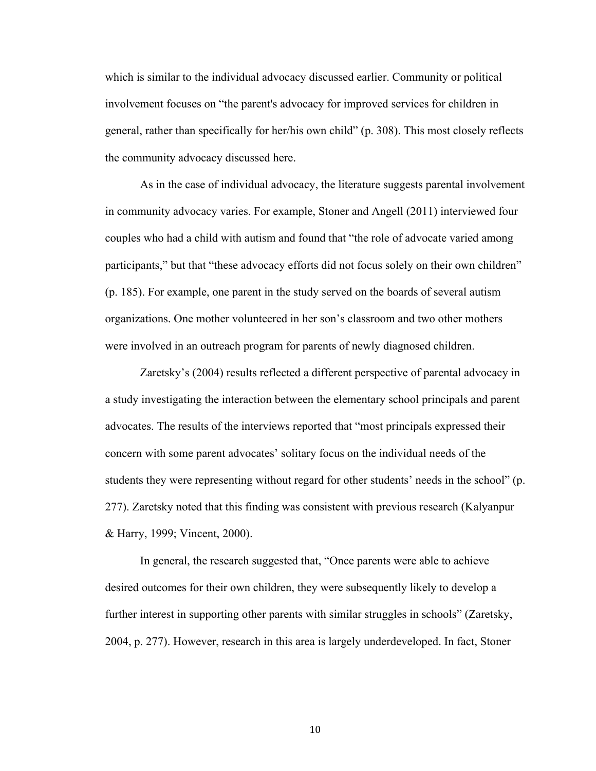which is similar to the individual advocacy discussed earlier. Community or political involvement focuses on "the parent's advocacy for improved services for children in general, rather than specifically for her/his own child" (p. 308). This most closely reflects the community advocacy discussed here.

As in the case of individual advocacy, the literature suggests parental involvement in community advocacy varies. For example, Stoner and Angell (2011) interviewed four couples who had a child with autism and found that "the role of advocate varied among participants," but that "these advocacy efforts did not focus solely on their own children" (p. 185). For example, one parent in the study served on the boards of several autism organizations. One mother volunteered in her son's classroom and two other mothers were involved in an outreach program for parents of newly diagnosed children.

Zaretsky's (2004) results reflected a different perspective of parental advocacy in a study investigating the interaction between the elementary school principals and parent advocates. The results of the interviews reported that "most principals expressed their concern with some parent advocates' solitary focus on the individual needs of the students they were representing without regard for other students' needs in the school" (p. 277). Zaretsky noted that this finding was consistent with previous research (Kalyanpur & Harry, 1999; Vincent, 2000).

In general, the research suggested that, "Once parents were able to achieve desired outcomes for their own children, they were subsequently likely to develop a further interest in supporting other parents with similar struggles in schools" (Zaretsky, 2004, p. 277). However, research in this area is largely underdeveloped. In fact, Stoner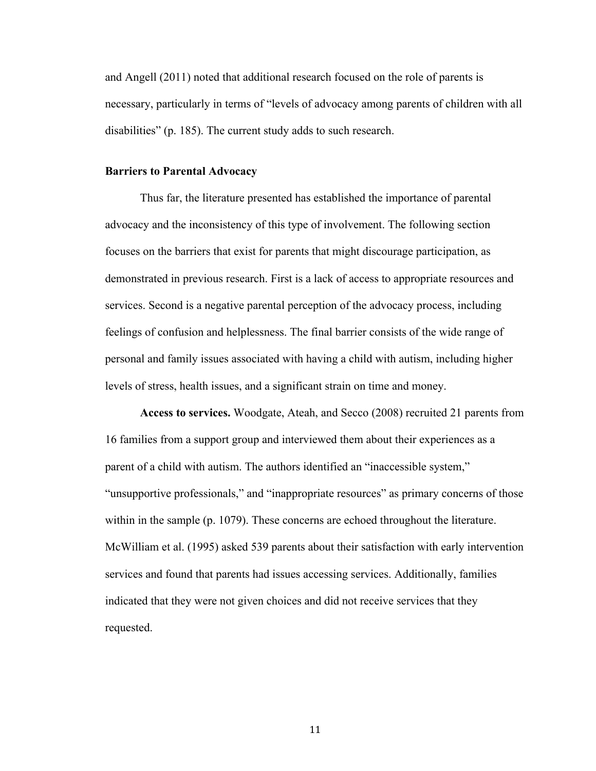and Angell (2011) noted that additional research focused on the role of parents is necessary, particularly in terms of "levels of advocacy among parents of children with all disabilities" (p. 185). The current study adds to such research.

#### **Barriers to Parental Advocacy**

Thus far, the literature presented has established the importance of parental advocacy and the inconsistency of this type of involvement. The following section focuses on the barriers that exist for parents that might discourage participation, as demonstrated in previous research. First is a lack of access to appropriate resources and services. Second is a negative parental perception of the advocacy process, including feelings of confusion and helplessness. The final barrier consists of the wide range of personal and family issues associated with having a child with autism, including higher levels of stress, health issues, and a significant strain on time and money.

**Access to services.** Woodgate, Ateah, and Secco (2008) recruited 21 parents from 16 families from a support group and interviewed them about their experiences as a parent of a child with autism. The authors identified an "inaccessible system," "unsupportive professionals," and "inappropriate resources" as primary concerns of those within in the sample (p. 1079). These concerns are echoed throughout the literature. McWilliam et al. (1995) asked 539 parents about their satisfaction with early intervention services and found that parents had issues accessing services. Additionally, families indicated that they were not given choices and did not receive services that they requested.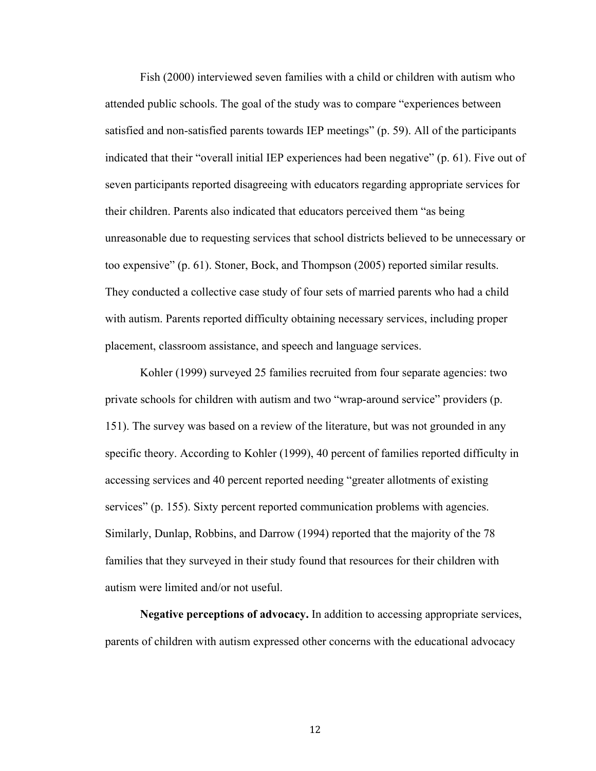Fish (2000) interviewed seven families with a child or children with autism who attended public schools. The goal of the study was to compare "experiences between satisfied and non-satisfied parents towards IEP meetings" (p. 59). All of the participants indicated that their "overall initial IEP experiences had been negative" (p. 61). Five out of seven participants reported disagreeing with educators regarding appropriate services for their children. Parents also indicated that educators perceived them "as being unreasonable due to requesting services that school districts believed to be unnecessary or too expensive" (p. 61). Stoner, Bock, and Thompson (2005) reported similar results. They conducted a collective case study of four sets of married parents who had a child with autism. Parents reported difficulty obtaining necessary services, including proper placement, classroom assistance, and speech and language services.

Kohler (1999) surveyed 25 families recruited from four separate agencies: two private schools for children with autism and two "wrap-around service" providers (p. 151). The survey was based on a review of the literature, but was not grounded in any specific theory. According to Kohler (1999), 40 percent of families reported difficulty in accessing services and 40 percent reported needing "greater allotments of existing services" (p. 155). Sixty percent reported communication problems with agencies. Similarly, Dunlap, Robbins, and Darrow (1994) reported that the majority of the 78 families that they surveyed in their study found that resources for their children with autism were limited and/or not useful.

**Negative perceptions of advocacy.** In addition to accessing appropriate services, parents of children with autism expressed other concerns with the educational advocacy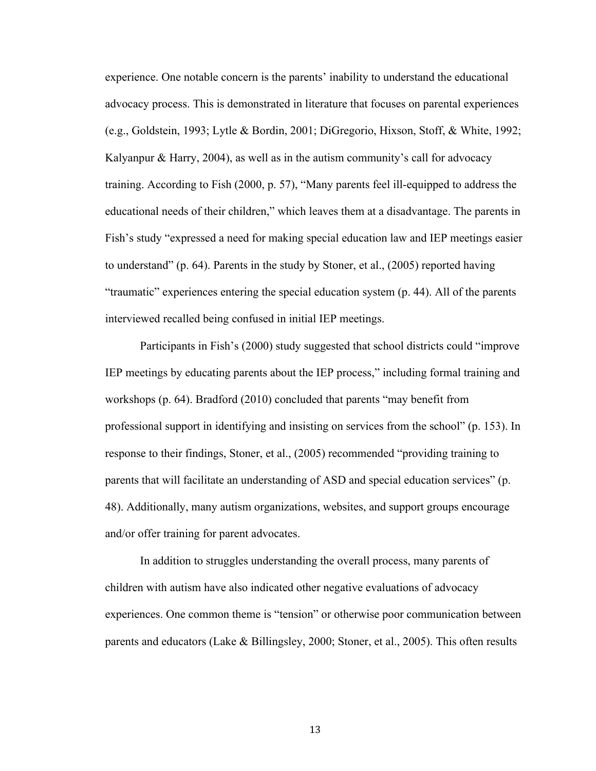experience. One notable concern is the parents' inability to understand the educational advocacy process. This is demonstrated in literature that focuses on parental experiences (e.g., Goldstein, 1993; Lytle & Bordin, 2001; DiGregorio, Hixson, Stoff, & White, 1992; Kalyanpur & Harry, 2004), as well as in the autism community's call for advocacy training. According to Fish (2000, p. 57), "Many parents feel ill-equipped to address the educational needs of their children," which leaves them at a disadvantage. The parents in Fish's study "expressed a need for making special education law and IEP meetings easier to understand" (p. 64). Parents in the study by Stoner, et al., (2005) reported having "traumatic" experiences entering the special education system (p. 44). All of the parents interviewed recalled being confused in initial IEP meetings.

Participants in Fish's (2000) study suggested that school districts could "improve IEP meetings by educating parents about the IEP process," including formal training and workshops (p. 64). Bradford (2010) concluded that parents "may benefit from professional support in identifying and insisting on services from the school" (p. 153). In response to their findings, Stoner, et al., (2005) recommended "providing training to parents that will facilitate an understanding of ASD and special education services" (p. 48). Additionally, many autism organizations, websites, and support groups encourage and/or offer training for parent advocates.

In addition to struggles understanding the overall process, many parents of children with autism have also indicated other negative evaluations of advocacy experiences. One common theme is "tension" or otherwise poor communication between parents and educators (Lake & Billingsley, 2000; Stoner, et al., 2005). This often results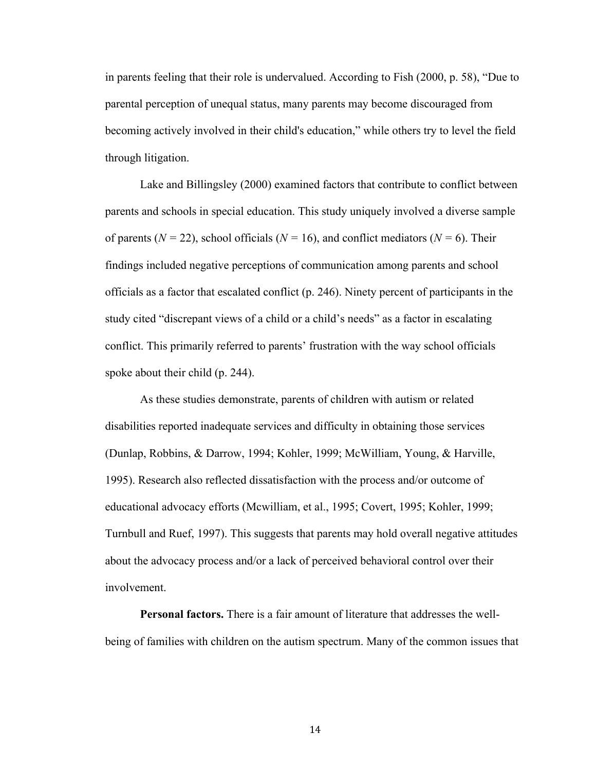in parents feeling that their role is undervalued. According to Fish (2000, p. 58), "Due to parental perception of unequal status, many parents may become discouraged from becoming actively involved in their child's education," while others try to level the field through litigation.

Lake and Billingsley (2000) examined factors that contribute to conflict between parents and schools in special education. This study uniquely involved a diverse sample of parents ( $N = 22$ ), school officials ( $N = 16$ ), and conflict mediators ( $N = 6$ ). Their findings included negative perceptions of communication among parents and school officials as a factor that escalated conflict (p. 246). Ninety percent of participants in the study cited "discrepant views of a child or a child's needs" as a factor in escalating conflict. This primarily referred to parents' frustration with the way school officials spoke about their child (p. 244).

As these studies demonstrate, parents of children with autism or related disabilities reported inadequate services and difficulty in obtaining those services (Dunlap, Robbins, & Darrow, 1994; Kohler, 1999; McWilliam, Young, & Harville, 1995). Research also reflected dissatisfaction with the process and/or outcome of educational advocacy efforts (Mcwilliam, et al., 1995; Covert, 1995; Kohler, 1999; Turnbull and Ruef, 1997). This suggests that parents may hold overall negative attitudes about the advocacy process and/or a lack of perceived behavioral control over their involvement.

**Personal factors.** There is a fair amount of literature that addresses the wellbeing of families with children on the autism spectrum. Many of the common issues that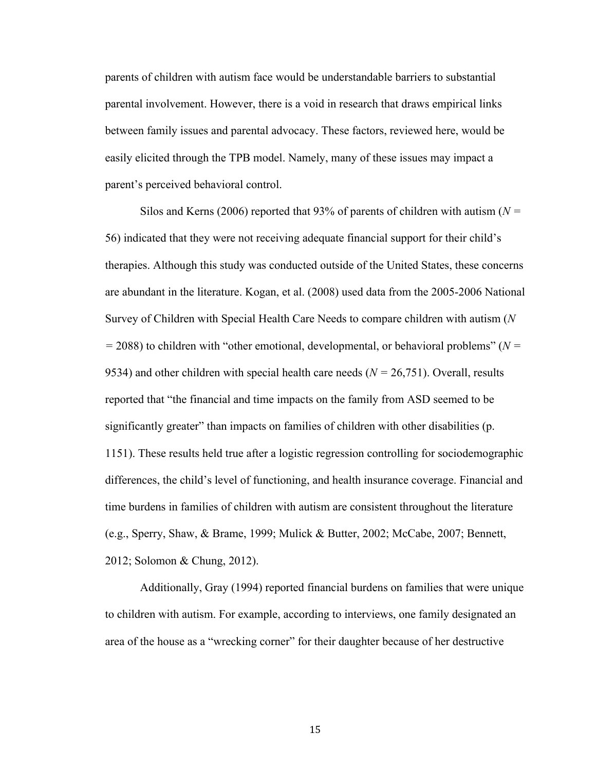parents of children with autism face would be understandable barriers to substantial parental involvement. However, there is a void in research that draws empirical links between family issues and parental advocacy. These factors, reviewed here, would be easily elicited through the TPB model. Namely, many of these issues may impact a parent's perceived behavioral control.

Silos and Kerns (2006) reported that 93% of parents of children with autism (*N =* 56) indicated that they were not receiving adequate financial support for their child's therapies. Although this study was conducted outside of the United States, these concerns are abundant in the literature. Kogan, et al. (2008) used data from the 2005-2006 National Survey of Children with Special Health Care Needs to compare children with autism (*N =* 2088) to children with "other emotional, developmental, or behavioral problems" (*N =* 9534) and other children with special health care needs (*N =* 26,751). Overall, results reported that "the financial and time impacts on the family from ASD seemed to be significantly greater" than impacts on families of children with other disabilities (p. 1151). These results held true after a logistic regression controlling for sociodemographic differences, the child's level of functioning, and health insurance coverage. Financial and time burdens in families of children with autism are consistent throughout the literature (e.g., Sperry, Shaw, & Brame, 1999; Mulick & Butter, 2002; McCabe, 2007; Bennett, 2012; Solomon & Chung, 2012).

Additionally, Gray (1994) reported financial burdens on families that were unique to children with autism. For example, according to interviews, one family designated an area of the house as a "wrecking corner" for their daughter because of her destructive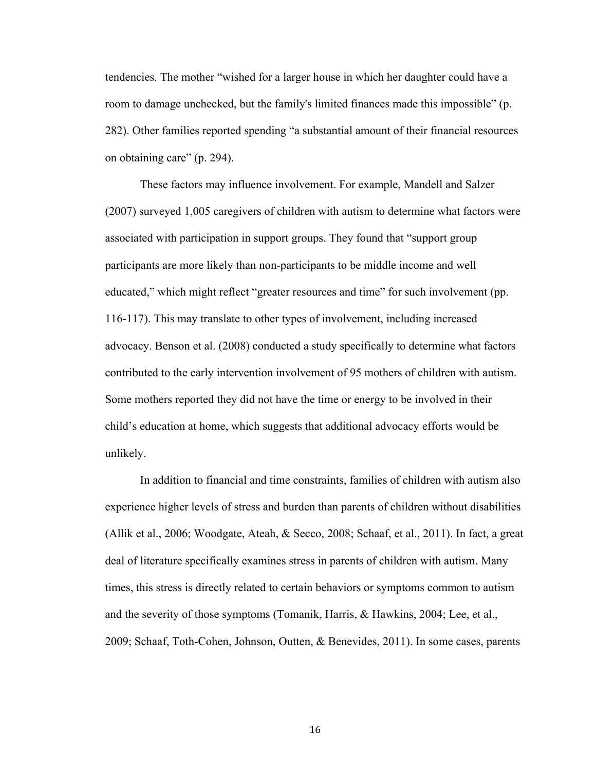tendencies. The mother "wished for a larger house in which her daughter could have a room to damage unchecked, but the family's limited finances made this impossible" (p. 282). Other families reported spending "a substantial amount of their financial resources on obtaining care" (p. 294).

These factors may influence involvement. For example, Mandell and Salzer (2007) surveyed 1,005 caregivers of children with autism to determine what factors were associated with participation in support groups. They found that "support group participants are more likely than non-participants to be middle income and well educated," which might reflect "greater resources and time" for such involvement (pp. 116-117). This may translate to other types of involvement, including increased advocacy. Benson et al. (2008) conducted a study specifically to determine what factors contributed to the early intervention involvement of 95 mothers of children with autism. Some mothers reported they did not have the time or energy to be involved in their child's education at home, which suggests that additional advocacy efforts would be unlikely.

In addition to financial and time constraints, families of children with autism also experience higher levels of stress and burden than parents of children without disabilities (Allik et al., 2006; Woodgate, Ateah, & Secco, 2008; Schaaf, et al., 2011). In fact, a great deal of literature specifically examines stress in parents of children with autism. Many times, this stress is directly related to certain behaviors or symptoms common to autism and the severity of those symptoms (Tomanik, Harris, & Hawkins, 2004; Lee, et al., 2009; Schaaf, Toth-Cohen, Johnson, Outten, & Benevides, 2011). In some cases, parents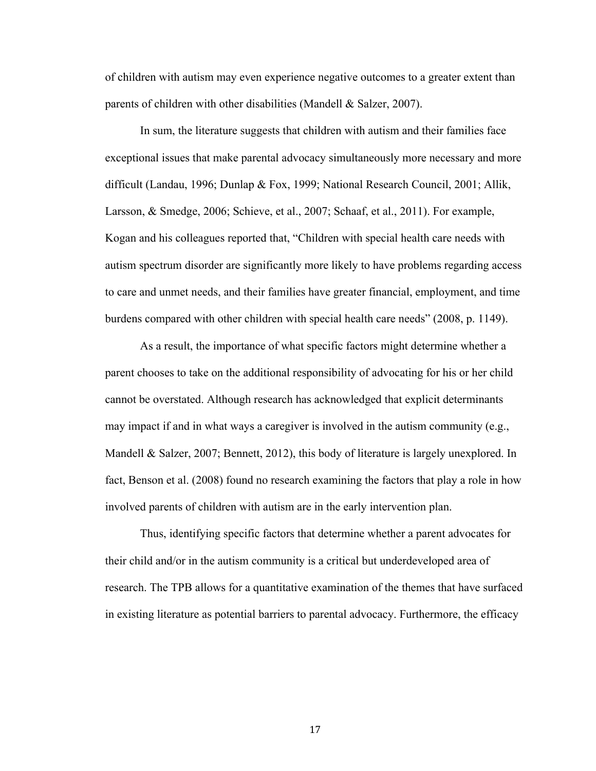of children with autism may even experience negative outcomes to a greater extent than parents of children with other disabilities (Mandell & Salzer, 2007).

In sum, the literature suggests that children with autism and their families face exceptional issues that make parental advocacy simultaneously more necessary and more difficult (Landau, 1996; Dunlap & Fox, 1999; National Research Council, 2001; Allik, Larsson, & Smedge, 2006; Schieve, et al., 2007; Schaaf, et al., 2011). For example, Kogan and his colleagues reported that, "Children with special health care needs with autism spectrum disorder are significantly more likely to have problems regarding access to care and unmet needs, and their families have greater financial, employment, and time burdens compared with other children with special health care needs" (2008, p. 1149).

As a result, the importance of what specific factors might determine whether a parent chooses to take on the additional responsibility of advocating for his or her child cannot be overstated. Although research has acknowledged that explicit determinants may impact if and in what ways a caregiver is involved in the autism community (e.g., Mandell & Salzer, 2007; Bennett, 2012), this body of literature is largely unexplored. In fact, Benson et al. (2008) found no research examining the factors that play a role in how involved parents of children with autism are in the early intervention plan.

Thus, identifying specific factors that determine whether a parent advocates for their child and/or in the autism community is a critical but underdeveloped area of research. The TPB allows for a quantitative examination of the themes that have surfaced in existing literature as potential barriers to parental advocacy. Furthermore, the efficacy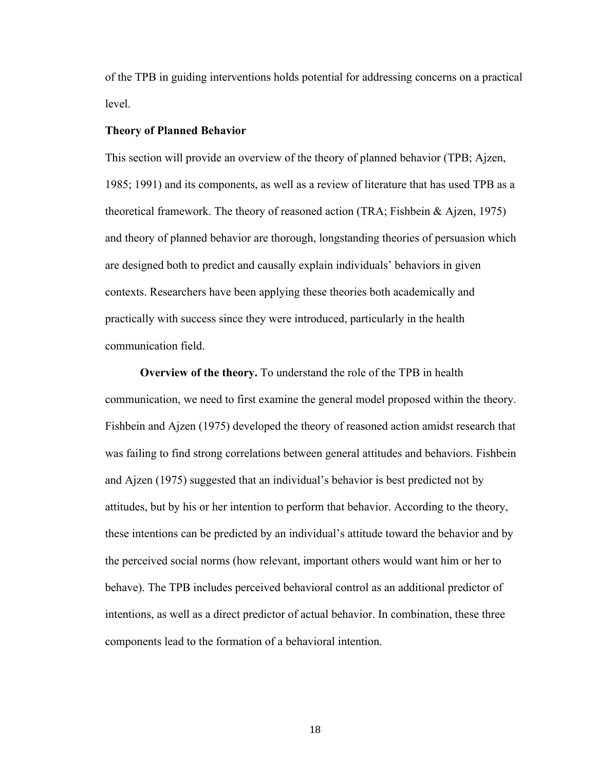of the TPB in guiding interventions holds potential for addressing concerns on a practical level.

#### **Theory of Planned Behavior**

This section will provide an overview of the theory of planned behavior (TPB; Ajzen, 1985; 1991) and its components, as well as a review of literature that has used TPB as a theoretical framework. The theory of reasoned action (TRA; Fishbein & Ajzen, 1975) and theory of planned behavior are thorough, longstanding theories of persuasion which are designed both to predict and causally explain individuals' behaviors in given contexts. Researchers have been applying these theories both academically and practically with success since they were introduced, particularly in the health communication field.

**Overview of the theory.** To understand the role of the TPB in health communication, we need to first examine the general model proposed within the theory. Fishbein and Ajzen (1975) developed the theory of reasoned action amidst research that was failing to find strong correlations between general attitudes and behaviors. Fishbein and Ajzen (1975) suggested that an individual's behavior is best predicted not by attitudes, but by his or her intention to perform that behavior. According to the theory, these intentions can be predicted by an individual's attitude toward the behavior and by the perceived social norms (how relevant, important others would want him or her to behave). The TPB includes perceived behavioral control as an additional predictor of intentions, as well as a direct predictor of actual behavior. In combination, these three components lead to the formation of a behavioral intention.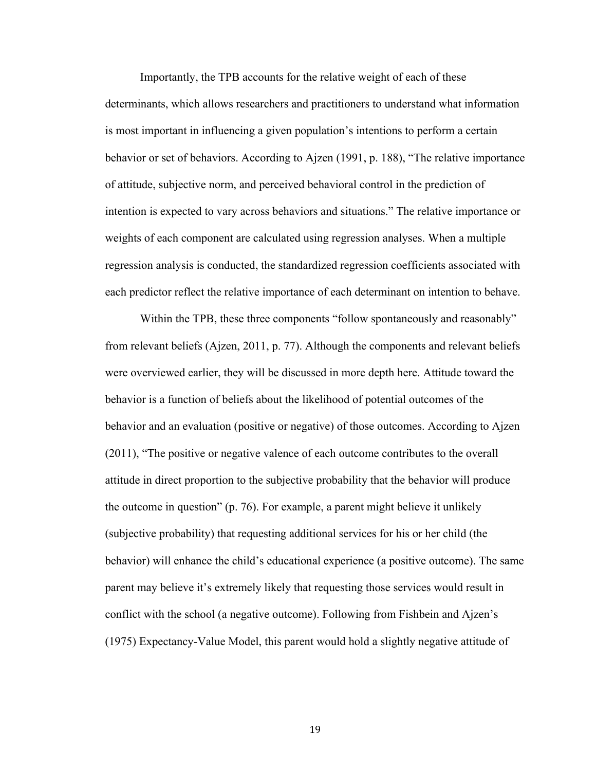Importantly, the TPB accounts for the relative weight of each of these determinants, which allows researchers and practitioners to understand what information is most important in influencing a given population's intentions to perform a certain behavior or set of behaviors. According to Ajzen (1991, p. 188), "The relative importance of attitude, subjective norm, and perceived behavioral control in the prediction of intention is expected to vary across behaviors and situations." The relative importance or weights of each component are calculated using regression analyses. When a multiple regression analysis is conducted, the standardized regression coefficients associated with each predictor reflect the relative importance of each determinant on intention to behave.

Within the TPB, these three components "follow spontaneously and reasonably" from relevant beliefs (Ajzen, 2011, p. 77). Although the components and relevant beliefs were overviewed earlier, they will be discussed in more depth here. Attitude toward the behavior is a function of beliefs about the likelihood of potential outcomes of the behavior and an evaluation (positive or negative) of those outcomes. According to Ajzen (2011), "The positive or negative valence of each outcome contributes to the overall attitude in direct proportion to the subjective probability that the behavior will produce the outcome in question" (p. 76). For example, a parent might believe it unlikely (subjective probability) that requesting additional services for his or her child (the behavior) will enhance the child's educational experience (a positive outcome). The same parent may believe it's extremely likely that requesting those services would result in conflict with the school (a negative outcome). Following from Fishbein and Ajzen's (1975) Expectancy-Value Model, this parent would hold a slightly negative attitude of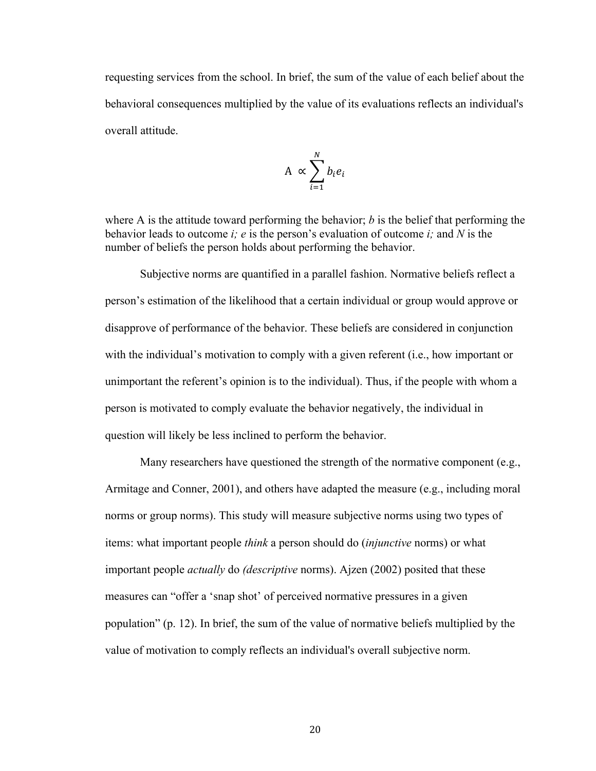requesting services from the school. In brief, the sum of the value of each belief about the behavioral consequences multiplied by the value of its evaluations reflects an individual's overall attitude.

$$
A \propto \sum_{i=1}^{N} b_i e_i
$$

where A is the attitude toward performing the behavior; *b* is the belief that performing the behavior leads to outcome *i; e* is the person's evaluation of outcome *i;* and *N* is the number of beliefs the person holds about performing the behavior.

Subjective norms are quantified in a parallel fashion. Normative beliefs reflect a person's estimation of the likelihood that a certain individual or group would approve or disapprove of performance of the behavior. These beliefs are considered in conjunction with the individual's motivation to comply with a given referent (i.e., how important or unimportant the referent's opinion is to the individual). Thus, if the people with whom a person is motivated to comply evaluate the behavior negatively, the individual in question will likely be less inclined to perform the behavior.

Many researchers have questioned the strength of the normative component (e.g., Armitage and Conner, 2001), and others have adapted the measure (e.g., including moral norms or group norms). This study will measure subjective norms using two types of items: what important people *think* a person should do (*injunctive* norms) or what important people *actually* do *(descriptive* norms). Ajzen (2002) posited that these measures can "offer a 'snap shot' of perceived normative pressures in a given population" (p. 12). In brief, the sum of the value of normative beliefs multiplied by the value of motivation to comply reflects an individual's overall subjective norm.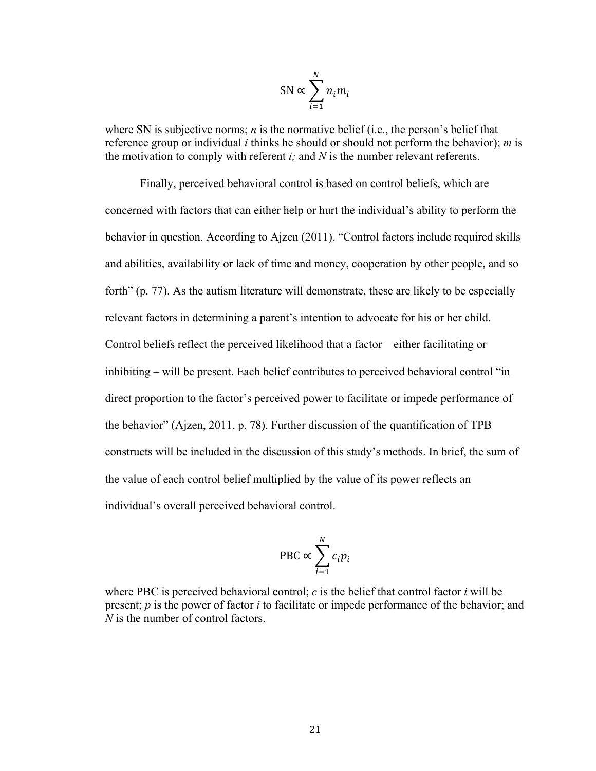$$
SN \propto \sum_{i=1}^{N} n_i m_i
$$

where SN is subjective norms; *n* is the normative belief (i.e., the person's belief that reference group or individual *i* thinks he should or should not perform the behavior); *m* is the motivation to comply with referent *i;* and *N* is the number relevant referents.

Finally, perceived behavioral control is based on control beliefs, which are concerned with factors that can either help or hurt the individual's ability to perform the behavior in question. According to Ajzen (2011), "Control factors include required skills and abilities, availability or lack of time and money, cooperation by other people, and so forth" (p. 77). As the autism literature will demonstrate, these are likely to be especially relevant factors in determining a parent's intention to advocate for his or her child. Control beliefs reflect the perceived likelihood that a factor – either facilitating or inhibiting – will be present. Each belief contributes to perceived behavioral control "in direct proportion to the factor's perceived power to facilitate or impede performance of the behavior" (Ajzen, 2011, p. 78). Further discussion of the quantification of TPB constructs will be included in the discussion of this study's methods. In brief, the sum of the value of each control belief multiplied by the value of its power reflects an individual's overall perceived behavioral control.

$$
\text{PBC} \propto \sum_{i=1}^{N} c_i p_i
$$

where PBC is perceived behavioral control;  $c$  is the belief that control factor  $i$  will be present; *p* is the power of factor *i* to facilitate or impede performance of the behavior; and *N* is the number of control factors.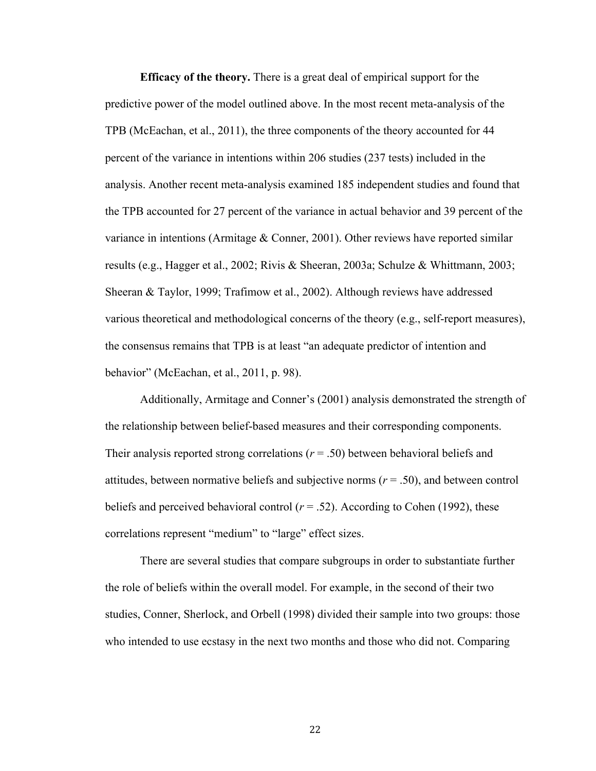**Efficacy of the theory.** There is a great deal of empirical support for the predictive power of the model outlined above. In the most recent meta-analysis of the TPB (McEachan, et al., 2011), the three components of the theory accounted for 44 percent of the variance in intentions within 206 studies (237 tests) included in the analysis. Another recent meta-analysis examined 185 independent studies and found that the TPB accounted for 27 percent of the variance in actual behavior and 39 percent of the variance in intentions (Armitage & Conner, 2001). Other reviews have reported similar results (e.g., Hagger et al., 2002; Rivis & Sheeran, 2003a; Schulze & Whittmann, 2003; Sheeran & Taylor, 1999; Trafimow et al., 2002). Although reviews have addressed various theoretical and methodological concerns of the theory (e.g., self-report measures), the consensus remains that TPB is at least "an adequate predictor of intention and behavior" (McEachan, et al., 2011, p. 98).

Additionally, Armitage and Conner's (2001) analysis demonstrated the strength of the relationship between belief-based measures and their corresponding components. Their analysis reported strong correlations (*r* = .50) between behavioral beliefs and attitudes, between normative beliefs and subjective norms (*r* = .50), and between control beliefs and perceived behavioral control  $(r = .52)$ . According to Cohen (1992), these correlations represent "medium" to "large" effect sizes.

There are several studies that compare subgroups in order to substantiate further the role of beliefs within the overall model. For example, in the second of their two studies, Conner, Sherlock, and Orbell (1998) divided their sample into two groups: those who intended to use ecstasy in the next two months and those who did not. Comparing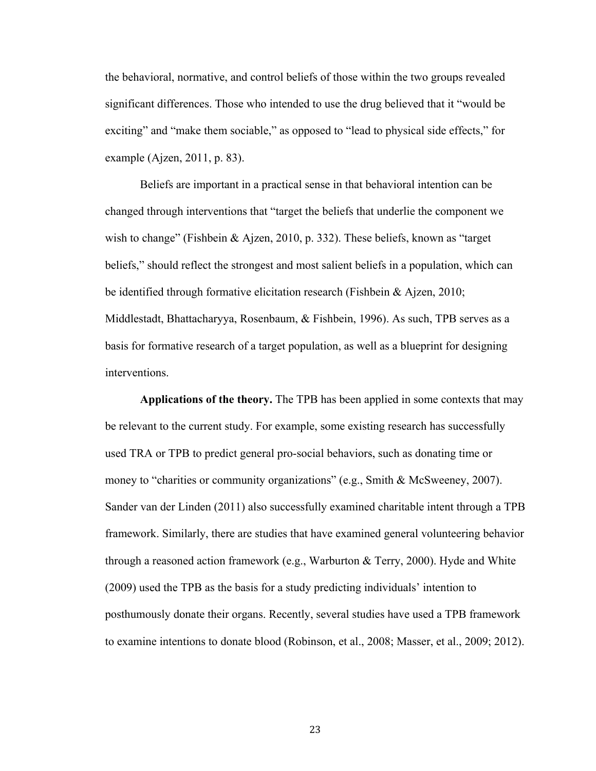the behavioral, normative, and control beliefs of those within the two groups revealed significant differences. Those who intended to use the drug believed that it "would be exciting" and "make them sociable," as opposed to "lead to physical side effects," for example (Ajzen, 2011, p. 83).

Beliefs are important in a practical sense in that behavioral intention can be changed through interventions that "target the beliefs that underlie the component we wish to change" (Fishbein & Ajzen, 2010, p. 332). These beliefs, known as "target" beliefs," should reflect the strongest and most salient beliefs in a population, which can be identified through formative elicitation research (Fishbein & Ajzen, 2010; Middlestadt, Bhattacharyya, Rosenbaum, & Fishbein, 1996). As such, TPB serves as a basis for formative research of a target population, as well as a blueprint for designing interventions.

**Applications of the theory.** The TPB has been applied in some contexts that may be relevant to the current study. For example, some existing research has successfully used TRA or TPB to predict general pro-social behaviors, such as donating time or money to "charities or community organizations" (e.g., Smith & McSweeney, 2007). Sander van der Linden (2011) also successfully examined charitable intent through a TPB framework. Similarly, there are studies that have examined general volunteering behavior through a reasoned action framework (e.g., Warburton  $\&$  Terry, 2000). Hyde and White (2009) used the TPB as the basis for a study predicting individuals' intention to posthumously donate their organs. Recently, several studies have used a TPB framework to examine intentions to donate blood (Robinson, et al., 2008; Masser, et al., 2009; 2012).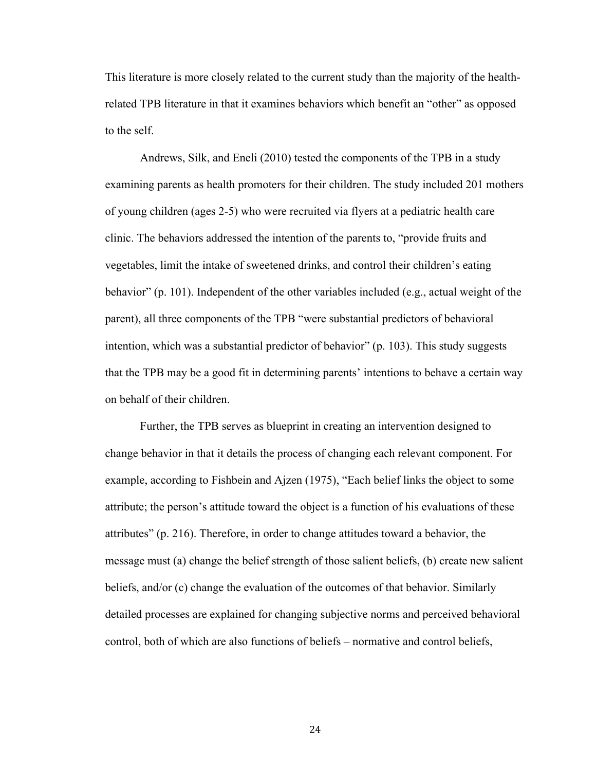This literature is more closely related to the current study than the majority of the healthrelated TPB literature in that it examines behaviors which benefit an "other" as opposed to the self.

Andrews, Silk, and Eneli (2010) tested the components of the TPB in a study examining parents as health promoters for their children. The study included 201 mothers of young children (ages 2-5) who were recruited via flyers at a pediatric health care clinic. The behaviors addressed the intention of the parents to, "provide fruits and vegetables, limit the intake of sweetened drinks, and control their children's eating behavior" (p. 101). Independent of the other variables included (e.g., actual weight of the parent), all three components of the TPB "were substantial predictors of behavioral intention, which was a substantial predictor of behavior" (p. 103). This study suggests that the TPB may be a good fit in determining parents' intentions to behave a certain way on behalf of their children.

Further, the TPB serves as blueprint in creating an intervention designed to change behavior in that it details the process of changing each relevant component. For example, according to Fishbein and Ajzen (1975), "Each belief links the object to some attribute; the person's attitude toward the object is a function of his evaluations of these attributes" (p. 216). Therefore, in order to change attitudes toward a behavior, the message must (a) change the belief strength of those salient beliefs, (b) create new salient beliefs, and/or (c) change the evaluation of the outcomes of that behavior. Similarly detailed processes are explained for changing subjective norms and perceived behavioral control, both of which are also functions of beliefs – normative and control beliefs,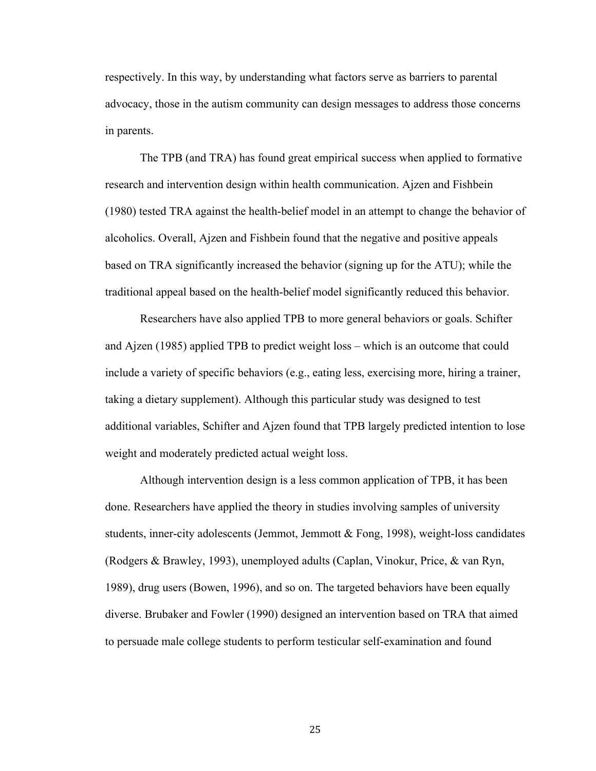respectively. In this way, by understanding what factors serve as barriers to parental advocacy, those in the autism community can design messages to address those concerns in parents.

The TPB (and TRA) has found great empirical success when applied to formative research and intervention design within health communication. Ajzen and Fishbein (1980) tested TRA against the health-belief model in an attempt to change the behavior of alcoholics. Overall, Ajzen and Fishbein found that the negative and positive appeals based on TRA significantly increased the behavior (signing up for the ATU); while the traditional appeal based on the health-belief model significantly reduced this behavior.

Researchers have also applied TPB to more general behaviors or goals. Schifter and Ajzen (1985) applied TPB to predict weight loss – which is an outcome that could include a variety of specific behaviors (e.g., eating less, exercising more, hiring a trainer, taking a dietary supplement). Although this particular study was designed to test additional variables, Schifter and Ajzen found that TPB largely predicted intention to lose weight and moderately predicted actual weight loss.

Although intervention design is a less common application of TPB, it has been done. Researchers have applied the theory in studies involving samples of university students, inner-city adolescents (Jemmot, Jemmott & Fong, 1998), weight-loss candidates (Rodgers & Brawley, 1993), unemployed adults (Caplan, Vinokur, Price, & van Ryn, 1989), drug users (Bowen, 1996), and so on. The targeted behaviors have been equally diverse. Brubaker and Fowler (1990) designed an intervention based on TRA that aimed to persuade male college students to perform testicular self-examination and found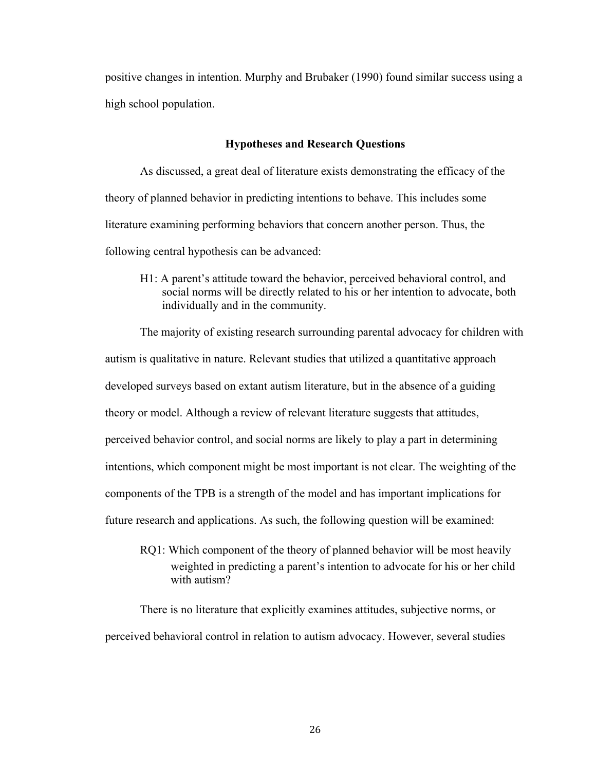positive changes in intention. Murphy and Brubaker (1990) found similar success using a high school population.

#### **Hypotheses and Research Questions**

As discussed, a great deal of literature exists demonstrating the efficacy of the theory of planned behavior in predicting intentions to behave. This includes some literature examining performing behaviors that concern another person. Thus, the following central hypothesis can be advanced:

H1: A parent's attitude toward the behavior, perceived behavioral control, and social norms will be directly related to his or her intention to advocate, both individually and in the community.

The majority of existing research surrounding parental advocacy for children with autism is qualitative in nature. Relevant studies that utilized a quantitative approach developed surveys based on extant autism literature, but in the absence of a guiding theory or model. Although a review of relevant literature suggests that attitudes, perceived behavior control, and social norms are likely to play a part in determining intentions, which component might be most important is not clear. The weighting of the components of the TPB is a strength of the model and has important implications for future research and applications. As such, the following question will be examined:

RQ1: Which component of the theory of planned behavior will be most heavily weighted in predicting a parent's intention to advocate for his or her child with autism?

There is no literature that explicitly examines attitudes, subjective norms, or perceived behavioral control in relation to autism advocacy. However, several studies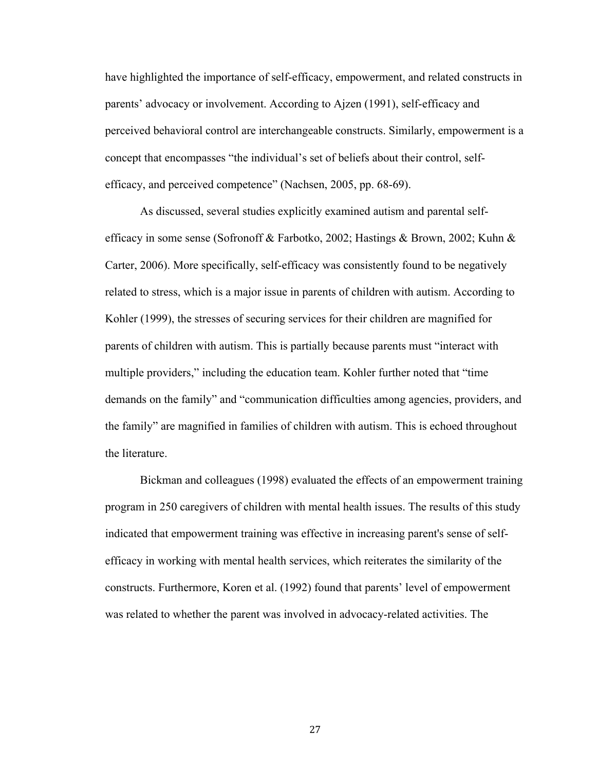have highlighted the importance of self-efficacy, empowerment, and related constructs in parents' advocacy or involvement. According to Ajzen (1991), self-efficacy and perceived behavioral control are interchangeable constructs. Similarly, empowerment is a concept that encompasses "the individual's set of beliefs about their control, selfefficacy, and perceived competence" (Nachsen, 2005, pp. 68-69).

As discussed, several studies explicitly examined autism and parental selfefficacy in some sense (Sofronoff & Farbotko, 2002; Hastings & Brown, 2002; Kuhn & Carter, 2006). More specifically, self-efficacy was consistently found to be negatively related to stress, which is a major issue in parents of children with autism. According to Kohler (1999), the stresses of securing services for their children are magnified for parents of children with autism. This is partially because parents must "interact with multiple providers," including the education team. Kohler further noted that "time demands on the family" and "communication difficulties among agencies, providers, and the family" are magnified in families of children with autism. This is echoed throughout the literature.

Bickman and colleagues (1998) evaluated the effects of an empowerment training program in 250 caregivers of children with mental health issues. The results of this study indicated that empowerment training was effective in increasing parent's sense of selfefficacy in working with mental health services, which reiterates the similarity of the constructs. Furthermore, Koren et al. (1992) found that parents' level of empowerment was related to whether the parent was involved in advocacy-related activities. The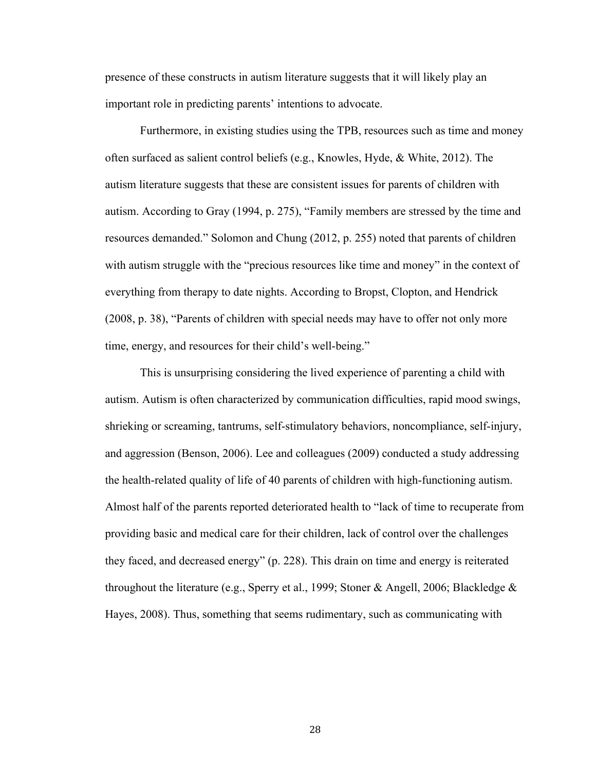presence of these constructs in autism literature suggests that it will likely play an important role in predicting parents' intentions to advocate.

Furthermore, in existing studies using the TPB, resources such as time and money often surfaced as salient control beliefs (e.g., Knowles, Hyde, & White, 2012). The autism literature suggests that these are consistent issues for parents of children with autism. According to Gray (1994, p. 275), "Family members are stressed by the time and resources demanded." Solomon and Chung (2012, p. 255) noted that parents of children with autism struggle with the "precious resources like time and money" in the context of everything from therapy to date nights. According to Bropst, Clopton, and Hendrick (2008, p. 38), "Parents of children with special needs may have to offer not only more time, energy, and resources for their child's well-being."

This is unsurprising considering the lived experience of parenting a child with autism. Autism is often characterized by communication difficulties, rapid mood swings, shrieking or screaming, tantrums, self-stimulatory behaviors, noncompliance, self-injury, and aggression (Benson, 2006). Lee and colleagues (2009) conducted a study addressing the health-related quality of life of 40 parents of children with high-functioning autism. Almost half of the parents reported deteriorated health to "lack of time to recuperate from providing basic and medical care for their children, lack of control over the challenges they faced, and decreased energy" (p. 228). This drain on time and energy is reiterated throughout the literature (e.g., Sperry et al., 1999; Stoner & Angell, 2006; Blackledge & Hayes, 2008). Thus, something that seems rudimentary, such as communicating with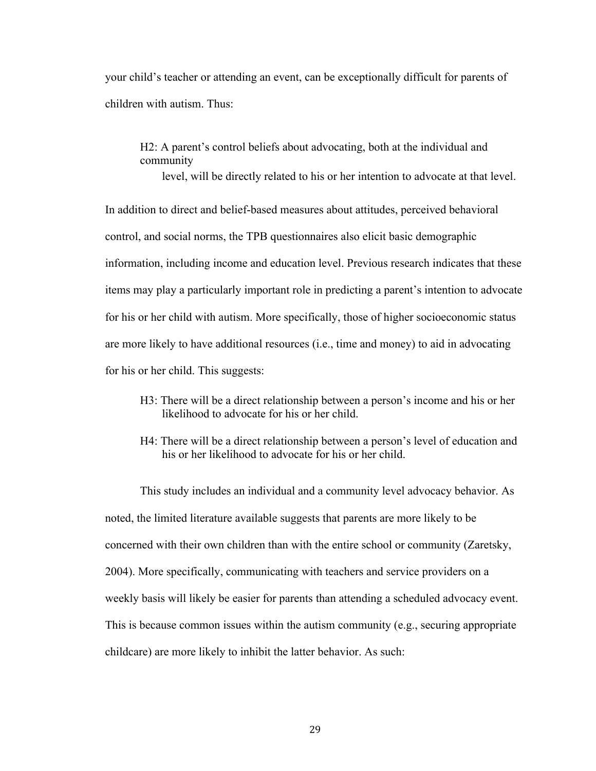your child's teacher or attending an event, can be exceptionally difficult for parents of children with autism. Thus:

H2: A parent's control beliefs about advocating, both at the individual and community

level, will be directly related to his or her intention to advocate at that level.

In addition to direct and belief-based measures about attitudes, perceived behavioral control, and social norms, the TPB questionnaires also elicit basic demographic information, including income and education level. Previous research indicates that these items may play a particularly important role in predicting a parent's intention to advocate for his or her child with autism. More specifically, those of higher socioeconomic status are more likely to have additional resources (i.e., time and money) to aid in advocating for his or her child. This suggests:

- H3: There will be a direct relationship between a person's income and his or her likelihood to advocate for his or her child.
- H4: There will be a direct relationship between a person's level of education and his or her likelihood to advocate for his or her child.

This study includes an individual and a community level advocacy behavior. As noted, the limited literature available suggests that parents are more likely to be concerned with their own children than with the entire school or community (Zaretsky, 2004). More specifically, communicating with teachers and service providers on a weekly basis will likely be easier for parents than attending a scheduled advocacy event. This is because common issues within the autism community (e.g., securing appropriate childcare) are more likely to inhibit the latter behavior. As such: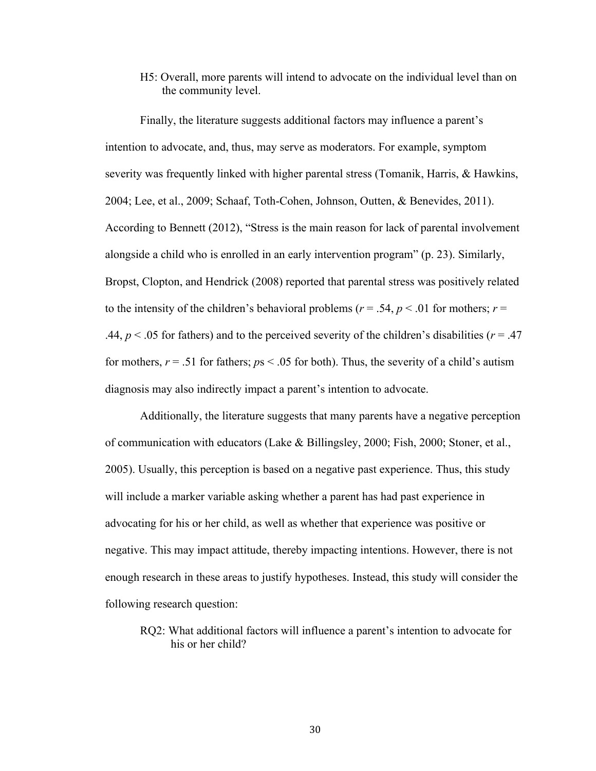H5: Overall, more parents will intend to advocate on the individual level than on the community level.

Finally, the literature suggests additional factors may influence a parent's intention to advocate, and, thus, may serve as moderators. For example, symptom severity was frequently linked with higher parental stress (Tomanik, Harris, & Hawkins, 2004; Lee, et al., 2009; Schaaf, Toth-Cohen, Johnson, Outten, & Benevides, 2011). According to Bennett (2012), "Stress is the main reason for lack of parental involvement alongside a child who is enrolled in an early intervention program" (p. 23). Similarly, Bropst, Clopton, and Hendrick (2008) reported that parental stress was positively related to the intensity of the children's behavioral problems ( $r = .54$ ,  $p < .01$  for mothers;  $r =$ .44,  $p < 0.05$  for fathers) and to the perceived severity of the children's disabilities ( $r = .47$ ) for mothers,  $r = .51$  for fathers;  $ps < .05$  for both). Thus, the severity of a child's autism diagnosis may also indirectly impact a parent's intention to advocate.

Additionally, the literature suggests that many parents have a negative perception of communication with educators (Lake & Billingsley, 2000; Fish, 2000; Stoner, et al., 2005). Usually, this perception is based on a negative past experience. Thus, this study will include a marker variable asking whether a parent has had past experience in advocating for his or her child, as well as whether that experience was positive or negative. This may impact attitude, thereby impacting intentions. However, there is not enough research in these areas to justify hypotheses. Instead, this study will consider the following research question:

RQ2: What additional factors will influence a parent's intention to advocate for his or her child?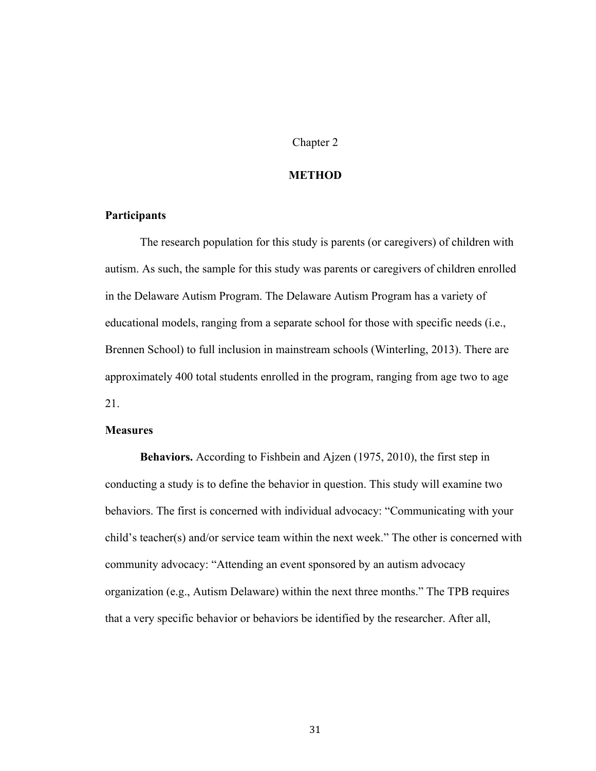### Chapter 2

### **METHOD**

# **Participants**

The research population for this study is parents (or caregivers) of children with autism. As such, the sample for this study was parents or caregivers of children enrolled in the Delaware Autism Program. The Delaware Autism Program has a variety of educational models, ranging from a separate school for those with specific needs (i.e., Brennen School) to full inclusion in mainstream schools (Winterling, 2013). There are approximately 400 total students enrolled in the program, ranging from age two to age 21.

## **Measures**

**Behaviors.** According to Fishbein and Ajzen (1975, 2010), the first step in conducting a study is to define the behavior in question. This study will examine two behaviors. The first is concerned with individual advocacy: "Communicating with your child's teacher(s) and/or service team within the next week." The other is concerned with community advocacy: "Attending an event sponsored by an autism advocacy organization (e.g., Autism Delaware) within the next three months." The TPB requires that a very specific behavior or behaviors be identified by the researcher. After all,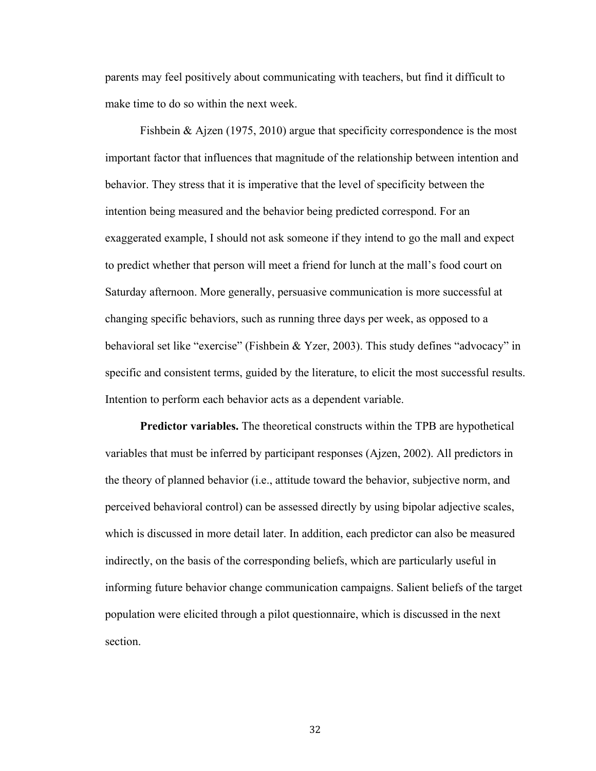parents may feel positively about communicating with teachers, but find it difficult to make time to do so within the next week.

Fishbein & Ajzen (1975, 2010) argue that specificity correspondence is the most important factor that influences that magnitude of the relationship between intention and behavior. They stress that it is imperative that the level of specificity between the intention being measured and the behavior being predicted correspond. For an exaggerated example, I should not ask someone if they intend to go the mall and expect to predict whether that person will meet a friend for lunch at the mall's food court on Saturday afternoon. More generally, persuasive communication is more successful at changing specific behaviors, such as running three days per week, as opposed to a behavioral set like "exercise" (Fishbein & Yzer, 2003). This study defines "advocacy" in specific and consistent terms, guided by the literature, to elicit the most successful results. Intention to perform each behavior acts as a dependent variable.

**Predictor variables.** The theoretical constructs within the TPB are hypothetical variables that must be inferred by participant responses (Ajzen, 2002). All predictors in the theory of planned behavior (i.e., attitude toward the behavior, subjective norm, and perceived behavioral control) can be assessed directly by using bipolar adjective scales, which is discussed in more detail later. In addition, each predictor can also be measured indirectly, on the basis of the corresponding beliefs, which are particularly useful in informing future behavior change communication campaigns. Salient beliefs of the target population were elicited through a pilot questionnaire, which is discussed in the next section.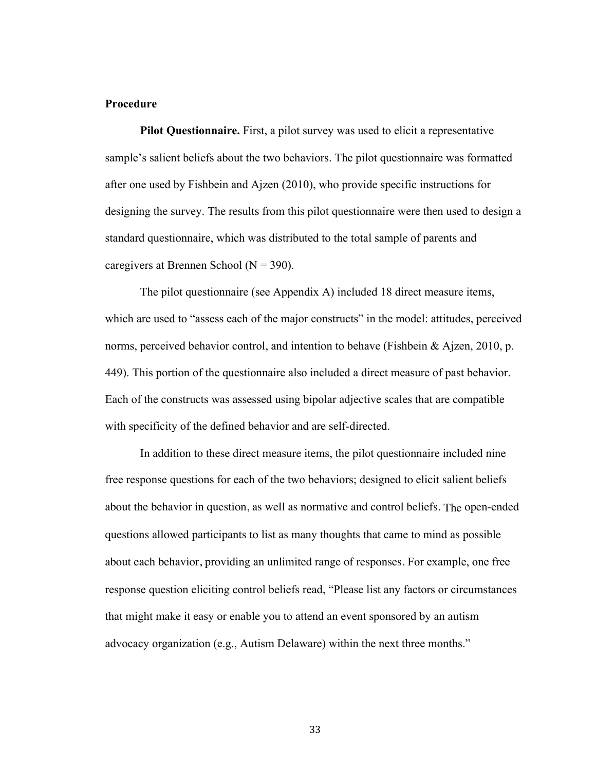# **Procedure**

**Pilot Questionnaire.** First, a pilot survey was used to elicit a representative sample's salient beliefs about the two behaviors. The pilot questionnaire was formatted after one used by Fishbein and Ajzen (2010), who provide specific instructions for designing the survey. The results from this pilot questionnaire were then used to design a standard questionnaire, which was distributed to the total sample of parents and caregivers at Brennen School ( $N = 390$ ).

The pilot questionnaire (see Appendix A) included 18 direct measure items, which are used to "assess each of the major constructs" in the model: attitudes, perceived norms, perceived behavior control, and intention to behave (Fishbein & Ajzen, 2010, p. 449). This portion of the questionnaire also included a direct measure of past behavior. Each of the constructs was assessed using bipolar adjective scales that are compatible with specificity of the defined behavior and are self-directed.

In addition to these direct measure items, the pilot questionnaire included nine free response questions for each of the two behaviors; designed to elicit salient beliefs about the behavior in question, as well as normative and control beliefs. The open-ended questions allowed participants to list as many thoughts that came to mind as possible about each behavior, providing an unlimited range of responses. For example, one free response question eliciting control beliefs read, "Please list any factors or circumstances that might make it easy or enable you to attend an event sponsored by an autism advocacy organization (e.g., Autism Delaware) within the next three months."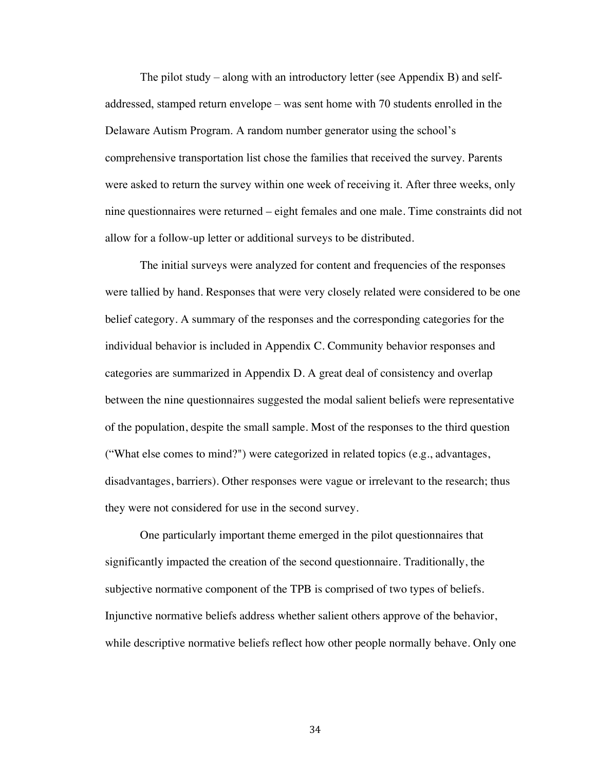The pilot study – along with an introductory letter (see Appendix B) and selfaddressed, stamped return envelope – was sent home with 70 students enrolled in the Delaware Autism Program. A random number generator using the school's comprehensive transportation list chose the families that received the survey. Parents were asked to return the survey within one week of receiving it. After three weeks, only nine questionnaires were returned – eight females and one male. Time constraints did not allow for a follow-up letter or additional surveys to be distributed.

The initial surveys were analyzed for content and frequencies of the responses were tallied by hand. Responses that were very closely related were considered to be one belief category. A summary of the responses and the corresponding categories for the individual behavior is included in Appendix C. Community behavior responses and categories are summarized in Appendix D. A great deal of consistency and overlap between the nine questionnaires suggested the modal salient beliefs were representative of the population, despite the small sample. Most of the responses to the third question ("What else comes to mind?") were categorized in related topics (e.g., advantages, disadvantages, barriers). Other responses were vague or irrelevant to the research; thus they were not considered for use in the second survey.

One particularly important theme emerged in the pilot questionnaires that significantly impacted the creation of the second questionnaire. Traditionally, the subjective normative component of the TPB is comprised of two types of beliefs. Injunctive normative beliefs address whether salient others approve of the behavior, while descriptive normative beliefs reflect how other people normally behave. Only one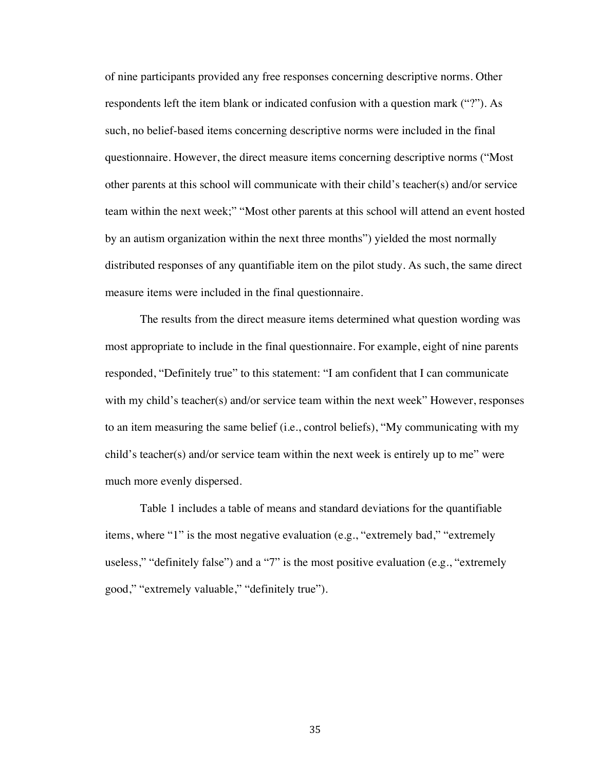of nine participants provided any free responses concerning descriptive norms. Other respondents left the item blank or indicated confusion with a question mark ("?"). As such, no belief-based items concerning descriptive norms were included in the final questionnaire. However, the direct measure items concerning descriptive norms ("Most other parents at this school will communicate with their child's teacher(s) and/or service team within the next week;" "Most other parents at this school will attend an event hosted by an autism organization within the next three months") yielded the most normally distributed responses of any quantifiable item on the pilot study. As such, the same direct measure items were included in the final questionnaire.

The results from the direct measure items determined what question wording was most appropriate to include in the final questionnaire. For example, eight of nine parents responded, "Definitely true" to this statement: "I am confident that I can communicate with my child's teacher(s) and/or service team within the next week" However, responses to an item measuring the same belief (i.e., control beliefs), "My communicating with my child's teacher(s) and/or service team within the next week is entirely up to me" were much more evenly dispersed.

Table 1 includes a table of means and standard deviations for the quantifiable items, where "1" is the most negative evaluation (e.g., "extremely bad," "extremely useless," "definitely false") and a "7" is the most positive evaluation (e.g., "extremely good," "extremely valuable," "definitely true").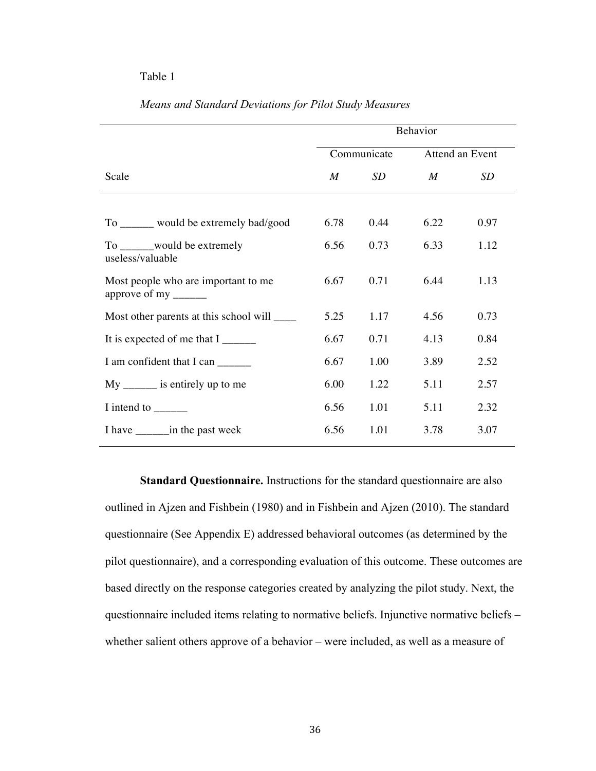### Table 1

|                                                             | Behavior    |             |                 |      |
|-------------------------------------------------------------|-------------|-------------|-----------------|------|
|                                                             |             | Communicate | Attend an Event |      |
| Scale                                                       | $M_{\odot}$ | SD          | M               | SD   |
|                                                             |             |             |                 |      |
| To _____ would be extremely bad/good                        | 6.78        | 0.44        | 6.22            | 0.97 |
| To ________ would be extremely<br>useless/valuable          | 6.56        | 0.73        | 6.33            | 1.12 |
| Most people who are important to me<br>approve of my ______ | 6.67        | 0.71        | 6.44            | 1.13 |
| Most other parents at this school will _____                | 5.25        | 1.17        | 4.56            | 0.73 |
| It is expected of me that $I_{\text{2}}$                    | 6.67        | 0.71        | 4.13            | 0.84 |
| I am confident that I can ______                            | 6.67        | 1.00        | 3.89            | 2.52 |
| $My$ _______ is entirely up to me                           | 6.00        | 1.22        | 5.11            | 2.57 |
| I intend to $\_\_\_\_\_\_\_\_\_\_\_\_\$                     | 6.56        | 1.01        | 5.11            | 2.32 |
|                                                             | 6.56        | 1.01        | 3.78            | 3.07 |

# *Means and Standard Deviations for Pilot Study Measures*

**Standard Questionnaire.** Instructions for the standard questionnaire are also outlined in Ajzen and Fishbein (1980) and in Fishbein and Ajzen (2010). The standard questionnaire (See Appendix E) addressed behavioral outcomes (as determined by the pilot questionnaire), and a corresponding evaluation of this outcome. These outcomes are based directly on the response categories created by analyzing the pilot study. Next, the questionnaire included items relating to normative beliefs. Injunctive normative beliefs – whether salient others approve of a behavior – were included, as well as a measure of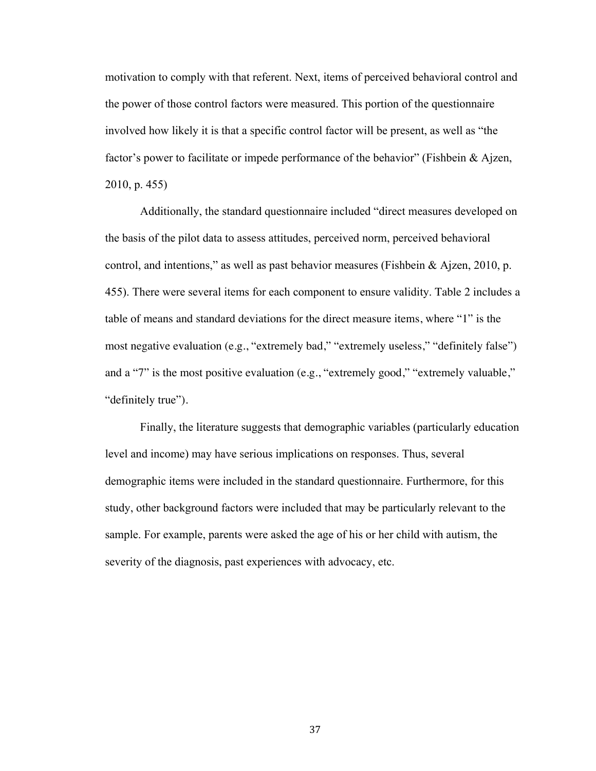motivation to comply with that referent. Next, items of perceived behavioral control and the power of those control factors were measured. This portion of the questionnaire involved how likely it is that a specific control factor will be present, as well as "the factor's power to facilitate or impede performance of the behavior" (Fishbein & Ajzen, 2010, p. 455)

Additionally, the standard questionnaire included "direct measures developed on the basis of the pilot data to assess attitudes, perceived norm, perceived behavioral control, and intentions," as well as past behavior measures (Fishbein & Ajzen, 2010, p. 455). There were several items for each component to ensure validity. Table 2 includes a table of means and standard deviations for the direct measure items, where "1" is the most negative evaluation (e.g., "extremely bad," "extremely useless," "definitely false") and a "7" is the most positive evaluation (e.g., "extremely good," "extremely valuable," "definitely true").

Finally, the literature suggests that demographic variables (particularly education level and income) may have serious implications on responses. Thus, several demographic items were included in the standard questionnaire. Furthermore, for this study, other background factors were included that may be particularly relevant to the sample. For example, parents were asked the age of his or her child with autism, the severity of the diagnosis, past experiences with advocacy, etc.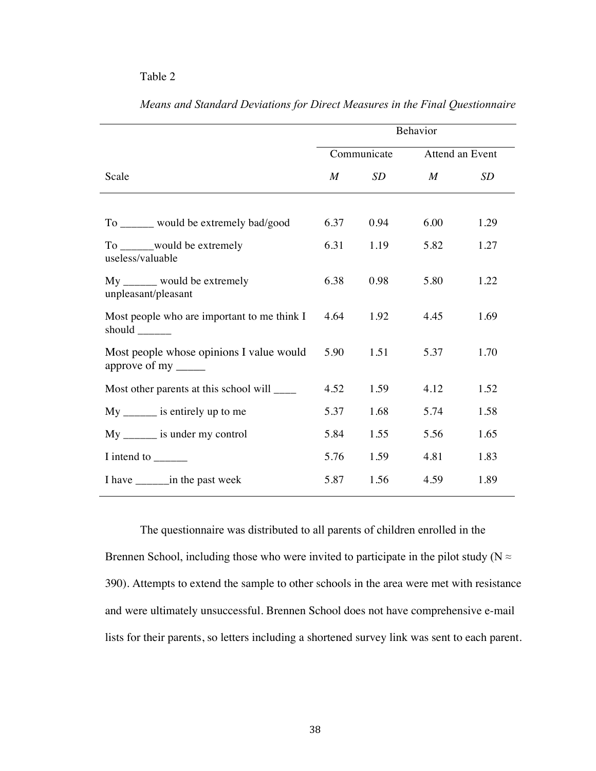## Table 2

|                                                       | Behavior         |      |                  |      |
|-------------------------------------------------------|------------------|------|------------------|------|
|                                                       | Communicate      |      | Attend an Event  |      |
| Scale                                                 | $\boldsymbol{M}$ | SD   | $\boldsymbol{M}$ | SD   |
|                                                       |                  |      |                  |      |
| To ______ would be extremely bad/good                 | 6.37             | 0.94 | 6.00             | 1.29 |
| To ______would be extremely<br>useless/valuable       | 6.31             | 1.19 | 5.82             | 1.27 |
| $My$ ______ would be extremely<br>unpleasant/pleasant | 6.38             | 0.98 | 5.80             | 1.22 |
| Most people who are important to me think I           | 4.64             | 1.92 | 4.45             | 1.69 |
| Most people whose opinions I value would              | 5.90             | 1.51 | 5.37             | 1.70 |
| Most other parents at this school will ______         | 4.52             | 1.59 | 4.12             | 1.52 |
| $My$ ________ is entirely up to me                    | 5.37             | 1.68 | 5.74             | 1.58 |
| $My$ ________ is under my control                     | 5.84             | 1.55 | 5.56             | 1.65 |
| I intend to _______                                   | 5.76             | 1.59 | 4.81             | 1.83 |
|                                                       | 5.87             | 1.56 | 4.59             | 1.89 |

*Means and Standard Deviations for Direct Measures in the Final Questionnaire*

The questionnaire was distributed to all parents of children enrolled in the Brennen School, including those who were invited to participate in the pilot study ( $N \approx$ 390). Attempts to extend the sample to other schools in the area were met with resistance and were ultimately unsuccessful. Brennen School does not have comprehensive e-mail lists for their parents, so letters including a shortened survey link was sent to each parent.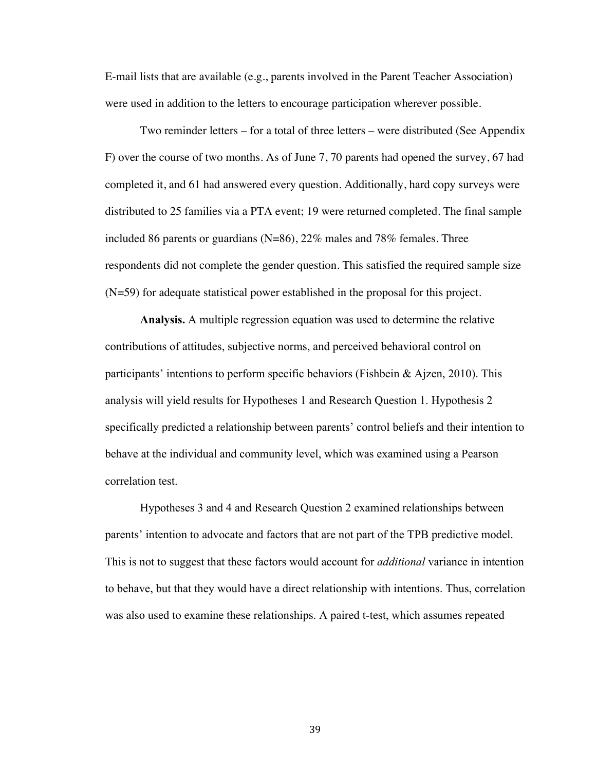E-mail lists that are available (e.g., parents involved in the Parent Teacher Association) were used in addition to the letters to encourage participation wherever possible.

Two reminder letters – for a total of three letters – were distributed (See Appendix F) over the course of two months. As of June 7, 70 parents had opened the survey, 67 had completed it, and 61 had answered every question. Additionally, hard copy surveys were distributed to 25 families via a PTA event; 19 were returned completed. The final sample included 86 parents or guardians (N=86), 22% males and 78% females. Three respondents did not complete the gender question. This satisfied the required sample size (N=59) for adequate statistical power established in the proposal for this project.

**Analysis.** A multiple regression equation was used to determine the relative contributions of attitudes, subjective norms, and perceived behavioral control on participants' intentions to perform specific behaviors (Fishbein & Ajzen, 2010). This analysis will yield results for Hypotheses 1 and Research Question 1. Hypothesis 2 specifically predicted a relationship between parents' control beliefs and their intention to behave at the individual and community level, which was examined using a Pearson correlation test.

Hypotheses 3 and 4 and Research Question 2 examined relationships between parents' intention to advocate and factors that are not part of the TPB predictive model. This is not to suggest that these factors would account for *additional* variance in intention to behave, but that they would have a direct relationship with intentions. Thus, correlation was also used to examine these relationships. A paired t-test, which assumes repeated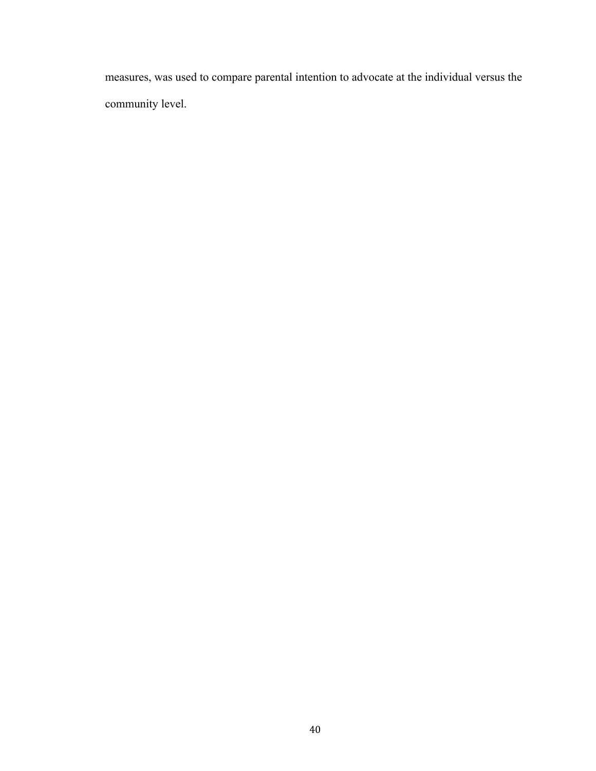measures, was used to compare parental intention to advocate at the individual versus the community level.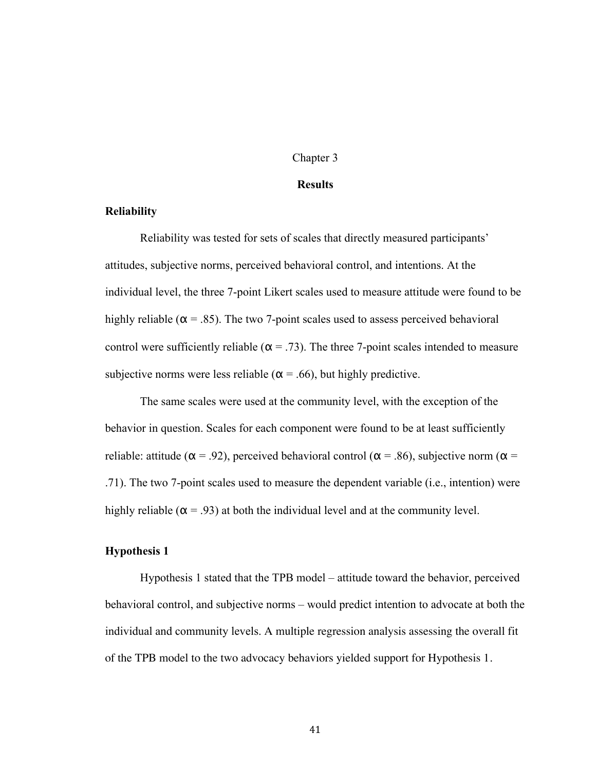### Chapter 3

#### **Results**

# **Reliability**

Reliability was tested for sets of scales that directly measured participants' attitudes, subjective norms, perceived behavioral control, and intentions. At the individual level, the three 7-point Likert scales used to measure attitude were found to be highly reliable ( $\alpha$  = .85). The two 7-point scales used to assess perceived behavioral control were sufficiently reliable ( $\alpha$  = .73). The three 7-point scales intended to measure subjective norms were less reliable ( $\alpha$  = .66), but highly predictive.

The same scales were used at the community level, with the exception of the behavior in question. Scales for each component were found to be at least sufficiently reliable: attitude ( $\alpha$  = .92), perceived behavioral control ( $\alpha$  = .86), subjective norm ( $\alpha$  = .71). The two 7-point scales used to measure the dependent variable (i.e., intention) were highly reliable ( $\alpha$  = .93) at both the individual level and at the community level.

## **Hypothesis 1**

Hypothesis 1 stated that the TPB model – attitude toward the behavior, perceived behavioral control, and subjective norms – would predict intention to advocate at both the individual and community levels. A multiple regression analysis assessing the overall fit of the TPB model to the two advocacy behaviors yielded support for Hypothesis 1.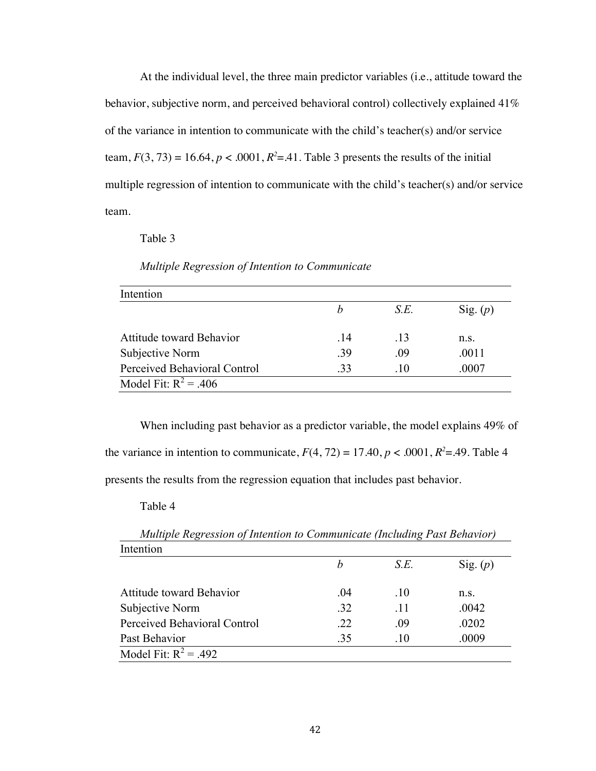At the individual level, the three main predictor variables (i.e., attitude toward the behavior, subjective norm, and perceived behavioral control) collectively explained 41% of the variance in intention to communicate with the child's teacher(s) and/or service team,  $F(3, 73) = 16.64$ ,  $p < .0001$ ,  $R^2 = .41$ . Table 3 presents the results of the initial multiple regression of intention to communicate with the child's teacher(s) and/or service team.

Table 3

| Intention                    |     |      |            |
|------------------------------|-----|------|------------|
|                              | h   | S.E. | Sig. $(p)$ |
| Attitude toward Behavior     | .14 | -13  | n.S.       |
| Subjective Norm              | -39 | .09  | .0011      |
| Perceived Behavioral Control | -33 | .10  | .0007      |

# *Multiple Regression of Intention to Communicate*

When including past behavior as a predictor variable, the model explains 49% of the variance in intention to communicate,  $F(4, 72) = 17.40$ ,  $p < .0001$ ,  $R^2 = .49$ . Table 4 presents the results from the regression equation that includes past behavior.

Table 4

| Intention                    |     |      |            |
|------------------------------|-----|------|------------|
|                              | h   | S.E. | Sig. $(p)$ |
| Attitude toward Behavior     | .04 | .10  | n.S.       |
| Subjective Norm              | .32 | .11  | .0042      |
| Perceived Behavioral Control | .22 | .09  | .0202      |
| Past Behavior                | .35 | .10  | .0009      |
| Model Fit: $R^2 = .492$      |     |      |            |

*Multiple Regression of Intention to Communicate (Including Past Behavior)*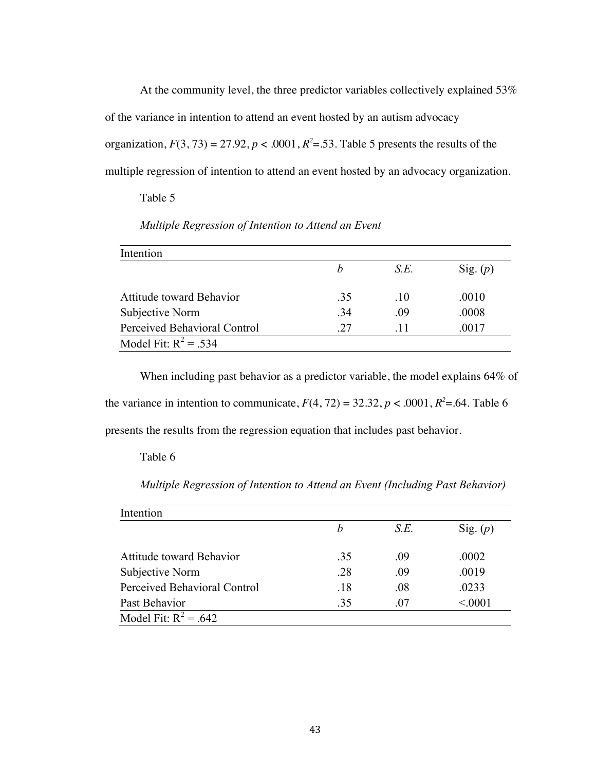At the community level, the three predictor variables collectively explained 53% of the variance in intention to attend an event hosted by an autism advocacy organization,  $F(3, 73) = 27.92$ ,  $p < .0001$ ,  $R^2 = .53$ . Table 5 presents the results of the multiple regression of intention to attend an event hosted by an advocacy organization.

## Table 5

| Intention                    |     |      |            |
|------------------------------|-----|------|------------|
|                              | h   | S.E. | Sig. $(p)$ |
| Attitude toward Behavior     | .35 | .10  | .0010      |
| Subjective Norm              | .34 | .09  | .0008      |
| Perceived Behavioral Control | 27  | .11  | .0017      |
| Model Fit: $R^2$ = .534      |     |      |            |

*Multiple Regression of Intention to Attend an Event*

When including past behavior as a predictor variable, the model explains 64% of the variance in intention to communicate,  $F(4, 72) = 32.32$ ,  $p < .0001$ ,  $R^2 = .64$ . Table 6 presents the results from the regression equation that includes past behavior.

## Table 6

| Intention                    |     |      |            |
|------------------------------|-----|------|------------|
|                              | h   | S.E. | Sig. $(p)$ |
| Attitude toward Behavior     | .35 | .09  | .0002      |
| Subjective Norm              | .28 | .09  | .0019      |
| Perceived Behavioral Control | .18 | .08  | .0233      |
| Past Behavior                | 35  | .07  | < 0001     |
| Model Fit: $R^2 = .642$      |     |      |            |

*Multiple Regression of Intention to Attend an Event (Including Past Behavior)*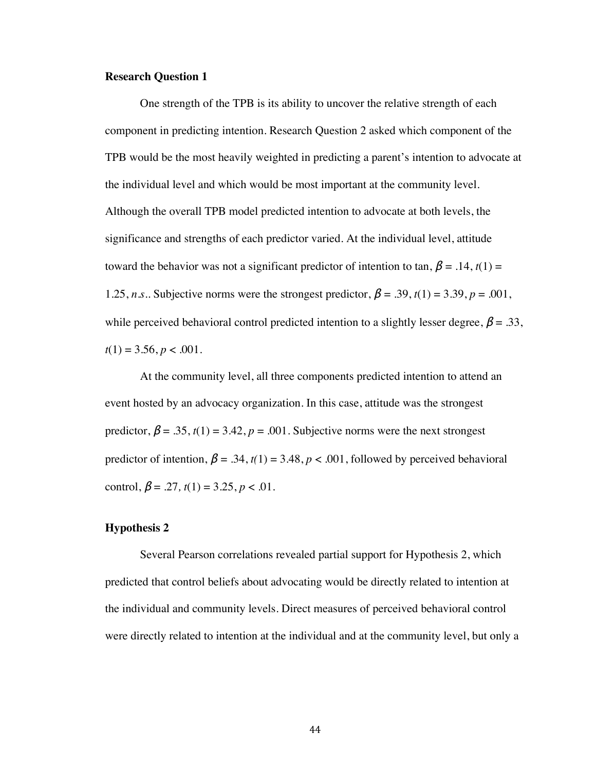#### **Research Question 1**

One strength of the TPB is its ability to uncover the relative strength of each component in predicting intention. Research Question 2 asked which component of the TPB would be the most heavily weighted in predicting a parent's intention to advocate at the individual level and which would be most important at the community level. Although the overall TPB model predicted intention to advocate at both levels, the significance and strengths of each predictor varied. At the individual level, attitude toward the behavior was not a significant predictor of intention to tan,  $\beta = .14$ ,  $t(1) =$ 1.25, *n.s.*. Subjective norms were the strongest predictor,  $\beta = .39$ ,  $t(1) = 3.39$ ,  $p = .001$ , while perceived behavioral control predicted intention to a slightly lesser degree,  $\beta = .33$ ,  $t(1) = 3.56, p < .001$ .

At the community level, all three components predicted intention to attend an event hosted by an advocacy organization. In this case, attitude was the strongest predictor,  $\beta = .35$ ,  $t(1) = 3.42$ ,  $p = .001$ . Subjective norms were the next strongest predictor of intention,  $\beta = .34$ ,  $t(1) = 3.48$ ,  $p < .001$ , followed by perceived behavioral control,  $\beta = .27$ ,  $t(1) = 3.25$ ,  $p < .01$ .

### **Hypothesis 2**

Several Pearson correlations revealed partial support for Hypothesis 2, which predicted that control beliefs about advocating would be directly related to intention at the individual and community levels. Direct measures of perceived behavioral control were directly related to intention at the individual and at the community level, but only a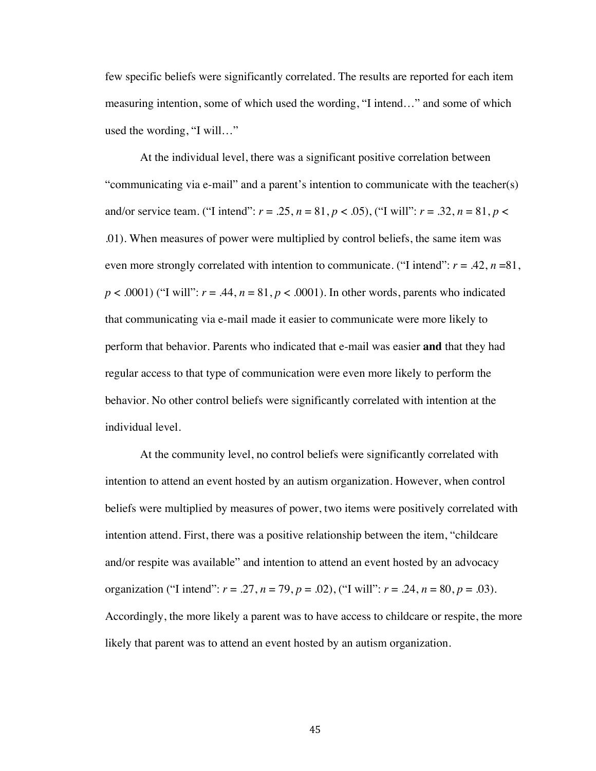few specific beliefs were significantly correlated. The results are reported for each item measuring intention, some of which used the wording, "I intend…" and some of which used the wording, "I will…"

At the individual level, there was a significant positive correlation between "communicating via e-mail" and a parent's intention to communicate with the teacher(s) and/or service team. ("I intend":  $r = .25$ ,  $n = 81$ ,  $p < .05$ ), ("I will":  $r = .32$ ,  $n = 81$ ,  $p < .05$ ) .01). When measures of power were multiplied by control beliefs, the same item was even more strongly correlated with intention to communicate. ("I intend":  $r = .42$ ,  $n = .81$ ,  $p < .0001$ ) ("I will":  $r = .44$ ,  $n = 81$ ,  $p < .0001$ ). In other words, parents who indicated that communicating via e-mail made it easier to communicate were more likely to perform that behavior. Parents who indicated that e-mail was easier **and** that they had regular access to that type of communication were even more likely to perform the behavior. No other control beliefs were significantly correlated with intention at the individual level.

At the community level, no control beliefs were significantly correlated with intention to attend an event hosted by an autism organization. However, when control beliefs were multiplied by measures of power, two items were positively correlated with intention attend. First, there was a positive relationship between the item, "childcare and/or respite was available" and intention to attend an event hosted by an advocacy organization ("I intend":  $r = .27$ ,  $n = 79$ ,  $p = .02$ ), ("I will":  $r = .24$ ,  $n = 80$ ,  $p = .03$ ). Accordingly, the more likely a parent was to have access to childcare or respite, the more likely that parent was to attend an event hosted by an autism organization.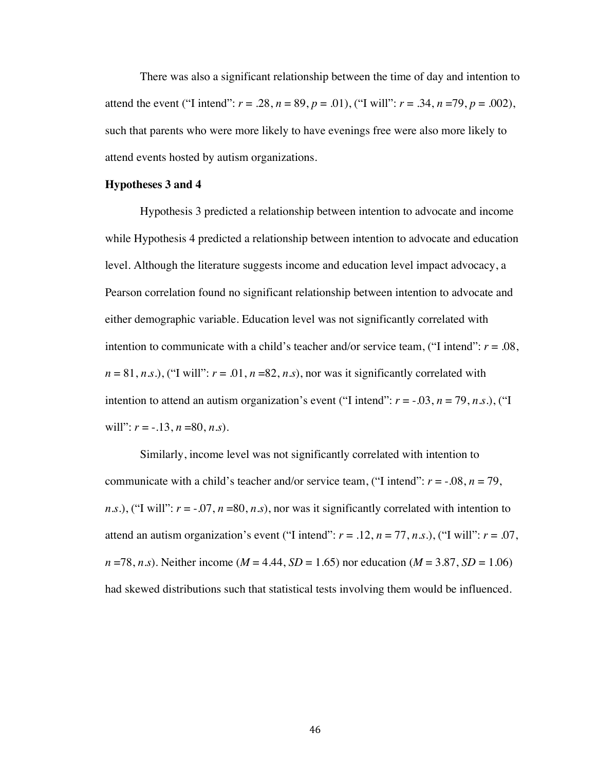There was also a significant relationship between the time of day and intention to attend the event ("I intend":  $r = .28$ ,  $n = 89$ ,  $p = .01$ ), ("I will":  $r = .34$ ,  $n = 79$ ,  $p = .002$ ), such that parents who were more likely to have evenings free were also more likely to attend events hosted by autism organizations.

#### **Hypotheses 3 and 4**

Hypothesis 3 predicted a relationship between intention to advocate and income while Hypothesis 4 predicted a relationship between intention to advocate and education level. Although the literature suggests income and education level impact advocacy, a Pearson correlation found no significant relationship between intention to advocate and either demographic variable. Education level was not significantly correlated with intention to communicate with a child's teacher and/or service team, ("I intend": *r* = .08,  $n = 81, n.s.$ ), ("I will":  $r = .01, n = 82, n.s$ ), nor was it significantly correlated with intention to attend an autism organization's event ("I intend":  $r = -0.03$ ,  $n = 79$ ,  $n.s$ .), ("I will":  $r = -.13$ ,  $n = 80$ ,  $n.s$ ).

Similarly, income level was not significantly correlated with intention to communicate with a child's teacher and/or service team, ("I intend":  $r = -0.08$ ,  $n = 79$ , *n.s.*), ("I will":  $r = -0.07$ ,  $n = 80$ ,  $n.s$ ), nor was it significantly correlated with intention to attend an autism organization's event ("I intend":  $r = .12$ ,  $n = 77$ ,  $n.s$ .), ("I will":  $r = .07$ , *n* =78, *n.s*). Neither income (*M* = 4.44, *SD* = 1.65) nor education (*M* = 3.87, *SD* = 1.06) had skewed distributions such that statistical tests involving them would be influenced.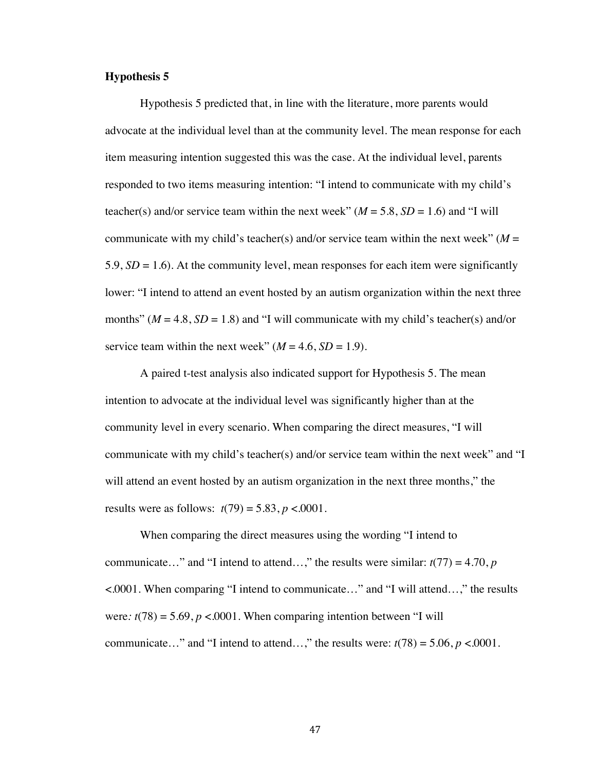## **Hypothesis 5**

Hypothesis 5 predicted that, in line with the literature, more parents would advocate at the individual level than at the community level. The mean response for each item measuring intention suggested this was the case. At the individual level, parents responded to two items measuring intention: "I intend to communicate with my child's teacher(s) and/or service team within the next week"  $(M = 5.8, SD = 1.6)$  and "I will communicate with my child's teacher(s) and/or service team within the next week" ( $M =$ 5.9, *SD* = 1.6). At the community level, mean responses for each item were significantly lower: "I intend to attend an event hosted by an autism organization within the next three months" ( $M = 4.8$ ,  $SD = 1.8$ ) and "I will communicate with my child's teacher(s) and/or service team within the next week"  $(M = 4.6, SD = 1.9)$ .

A paired t-test analysis also indicated support for Hypothesis 5. The mean intention to advocate at the individual level was significantly higher than at the community level in every scenario. When comparing the direct measures, "I will communicate with my child's teacher(s) and/or service team within the next week" and "I will attend an event hosted by an autism organization in the next three months," the results were as follows:  $t(79) = 5.83$ ,  $p < .0001$ .

When comparing the direct measures using the wording "I intend to communicate..." and "I intend to attend...," the results were similar:  $t(77) = 4.70$ , *p* <.0001. When comparing "I intend to communicate…" and "I will attend…," the results were:  $t(78) = 5.69$ ,  $p < .0001$ . When comparing intention between "I will communicate…" and "I intend to attend…," the results were:  $t(78) = 5.06$ ,  $p < .0001$ .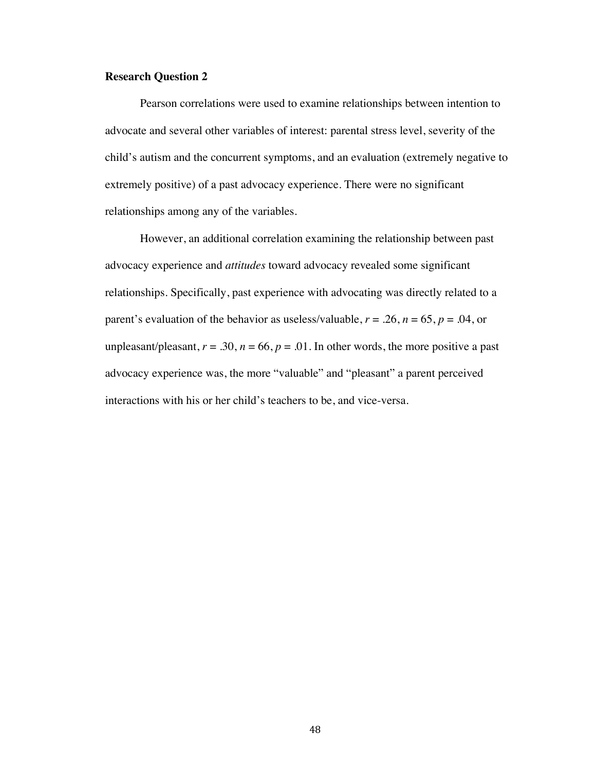#### **Research Question 2**

Pearson correlations were used to examine relationships between intention to advocate and several other variables of interest: parental stress level, severity of the child's autism and the concurrent symptoms, and an evaluation (extremely negative to extremely positive) of a past advocacy experience. There were no significant relationships among any of the variables.

However, an additional correlation examining the relationship between past advocacy experience and *attitudes* toward advocacy revealed some significant relationships. Specifically, past experience with advocating was directly related to a parent's evaluation of the behavior as useless/valuable,  $r = .26$ ,  $n = 65$ ,  $p = .04$ , or unpleasant/pleasant,  $r = .30$ ,  $n = 66$ ,  $p = .01$ . In other words, the more positive a past advocacy experience was, the more "valuable" and "pleasant" a parent perceived interactions with his or her child's teachers to be, and vice-versa.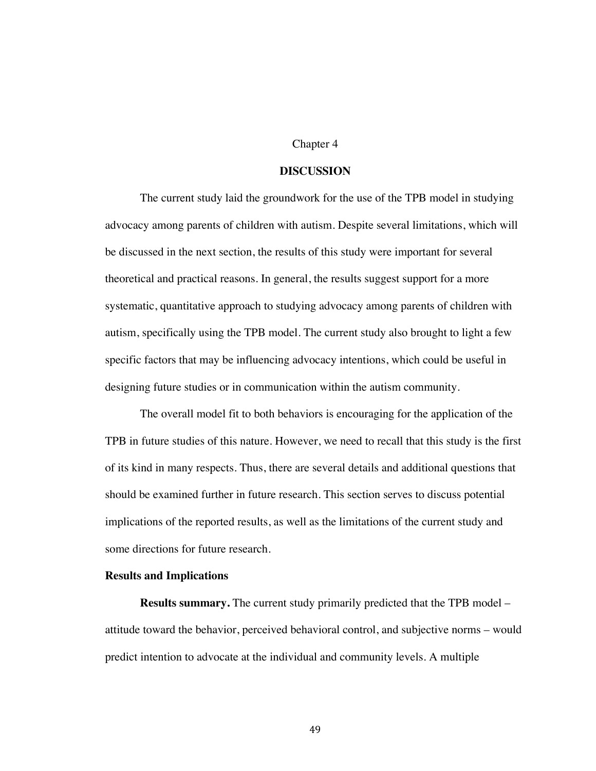### Chapter 4

### **DISCUSSION**

The current study laid the groundwork for the use of the TPB model in studying advocacy among parents of children with autism. Despite several limitations, which will be discussed in the next section, the results of this study were important for several theoretical and practical reasons. In general, the results suggest support for a more systematic, quantitative approach to studying advocacy among parents of children with autism, specifically using the TPB model. The current study also brought to light a few specific factors that may be influencing advocacy intentions, which could be useful in designing future studies or in communication within the autism community.

The overall model fit to both behaviors is encouraging for the application of the TPB in future studies of this nature. However, we need to recall that this study is the first of its kind in many respects. Thus, there are several details and additional questions that should be examined further in future research. This section serves to discuss potential implications of the reported results, as well as the limitations of the current study and some directions for future research.

#### **Results and Implications**

**Results summary.** The current study primarily predicted that the TPB model – attitude toward the behavior, perceived behavioral control, and subjective norms – would predict intention to advocate at the individual and community levels. A multiple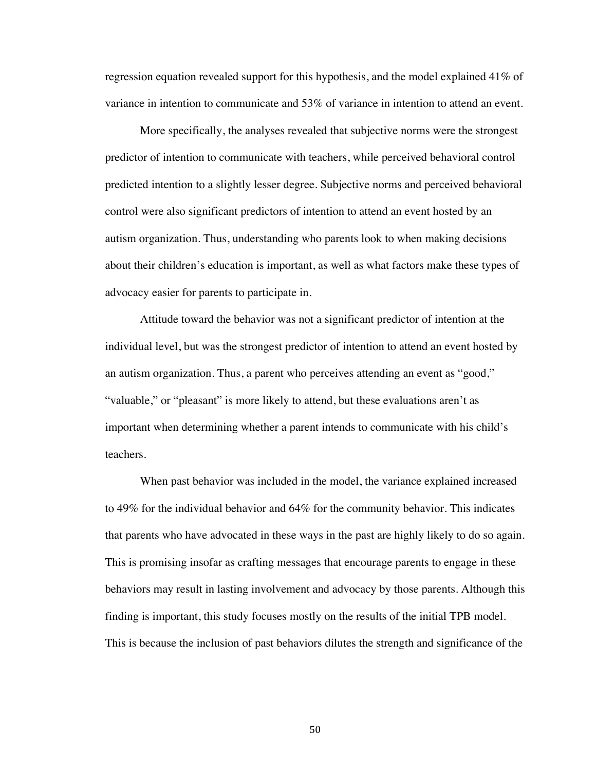regression equation revealed support for this hypothesis, and the model explained 41% of variance in intention to communicate and 53% of variance in intention to attend an event.

More specifically, the analyses revealed that subjective norms were the strongest predictor of intention to communicate with teachers, while perceived behavioral control predicted intention to a slightly lesser degree. Subjective norms and perceived behavioral control were also significant predictors of intention to attend an event hosted by an autism organization. Thus, understanding who parents look to when making decisions about their children's education is important, as well as what factors make these types of advocacy easier for parents to participate in.

Attitude toward the behavior was not a significant predictor of intention at the individual level, but was the strongest predictor of intention to attend an event hosted by an autism organization. Thus, a parent who perceives attending an event as "good," "valuable," or "pleasant" is more likely to attend, but these evaluations aren't as important when determining whether a parent intends to communicate with his child's teachers.

When past behavior was included in the model, the variance explained increased to 49% for the individual behavior and 64% for the community behavior. This indicates that parents who have advocated in these ways in the past are highly likely to do so again. This is promising insofar as crafting messages that encourage parents to engage in these behaviors may result in lasting involvement and advocacy by those parents. Although this finding is important, this study focuses mostly on the results of the initial TPB model. This is because the inclusion of past behaviors dilutes the strength and significance of the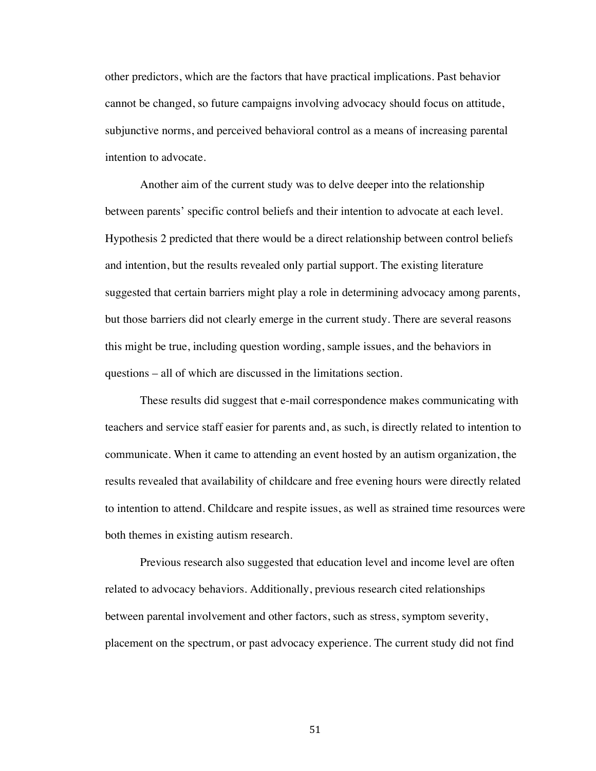other predictors, which are the factors that have practical implications. Past behavior cannot be changed, so future campaigns involving advocacy should focus on attitude, subjunctive norms, and perceived behavioral control as a means of increasing parental intention to advocate.

Another aim of the current study was to delve deeper into the relationship between parents' specific control beliefs and their intention to advocate at each level. Hypothesis 2 predicted that there would be a direct relationship between control beliefs and intention, but the results revealed only partial support. The existing literature suggested that certain barriers might play a role in determining advocacy among parents, but those barriers did not clearly emerge in the current study. There are several reasons this might be true, including question wording, sample issues, and the behaviors in questions – all of which are discussed in the limitations section.

These results did suggest that e-mail correspondence makes communicating with teachers and service staff easier for parents and, as such, is directly related to intention to communicate. When it came to attending an event hosted by an autism organization, the results revealed that availability of childcare and free evening hours were directly related to intention to attend. Childcare and respite issues, as well as strained time resources were both themes in existing autism research.

Previous research also suggested that education level and income level are often related to advocacy behaviors. Additionally, previous research cited relationships between parental involvement and other factors, such as stress, symptom severity, placement on the spectrum, or past advocacy experience. The current study did not find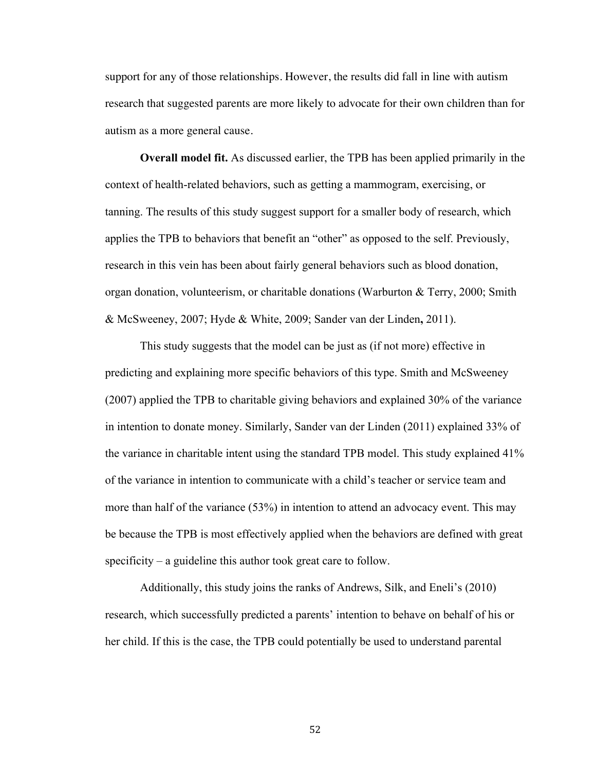support for any of those relationships. However, the results did fall in line with autism research that suggested parents are more likely to advocate for their own children than for autism as a more general cause.

**Overall model fit.** As discussed earlier, the TPB has been applied primarily in the context of health-related behaviors, such as getting a mammogram, exercising, or tanning. The results of this study suggest support for a smaller body of research, which applies the TPB to behaviors that benefit an "other" as opposed to the self. Previously, research in this vein has been about fairly general behaviors such as blood donation, organ donation, volunteerism, or charitable donations (Warburton & Terry, 2000; Smith & McSweeney, 2007; Hyde & White, 2009; Sander van der Linden**,** 2011).

This study suggests that the model can be just as (if not more) effective in predicting and explaining more specific behaviors of this type. Smith and McSweeney (2007) applied the TPB to charitable giving behaviors and explained 30% of the variance in intention to donate money. Similarly, Sander van der Linden (2011) explained 33% of the variance in charitable intent using the standard TPB model. This study explained 41% of the variance in intention to communicate with a child's teacher or service team and more than half of the variance (53%) in intention to attend an advocacy event. This may be because the TPB is most effectively applied when the behaviors are defined with great specificity – a guideline this author took great care to follow.

Additionally, this study joins the ranks of Andrews, Silk, and Eneli's (2010) research, which successfully predicted a parents' intention to behave on behalf of his or her child. If this is the case, the TPB could potentially be used to understand parental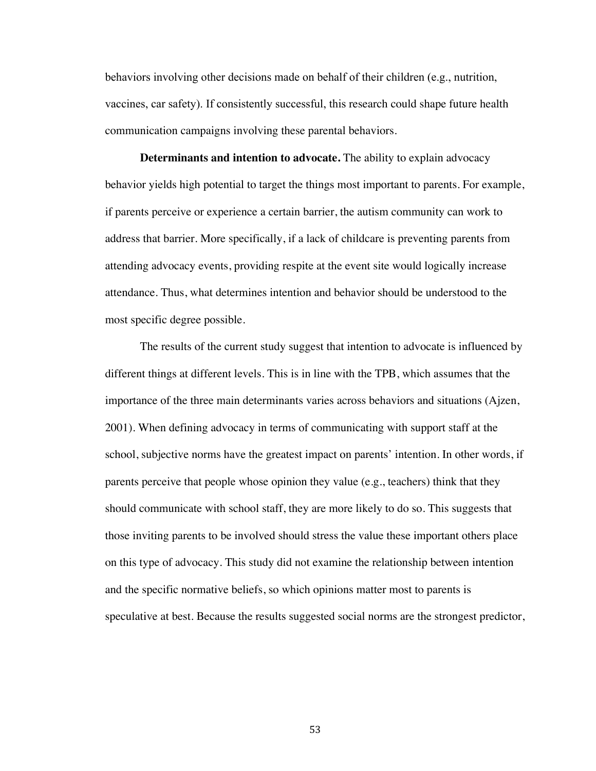behaviors involving other decisions made on behalf of their children (e.g., nutrition, vaccines, car safety). If consistently successful, this research could shape future health communication campaigns involving these parental behaviors.

**Determinants and intention to advocate.** The ability to explain advocacy behavior yields high potential to target the things most important to parents. For example, if parents perceive or experience a certain barrier, the autism community can work to address that barrier. More specifically, if a lack of childcare is preventing parents from attending advocacy events, providing respite at the event site would logically increase attendance. Thus, what determines intention and behavior should be understood to the most specific degree possible.

The results of the current study suggest that intention to advocate is influenced by different things at different levels. This is in line with the TPB, which assumes that the importance of the three main determinants varies across behaviors and situations (Ajzen, 2001). When defining advocacy in terms of communicating with support staff at the school, subjective norms have the greatest impact on parents' intention. In other words, if parents perceive that people whose opinion they value (e.g., teachers) think that they should communicate with school staff, they are more likely to do so. This suggests that those inviting parents to be involved should stress the value these important others place on this type of advocacy. This study did not examine the relationship between intention and the specific normative beliefs, so which opinions matter most to parents is speculative at best. Because the results suggested social norms are the strongest predictor,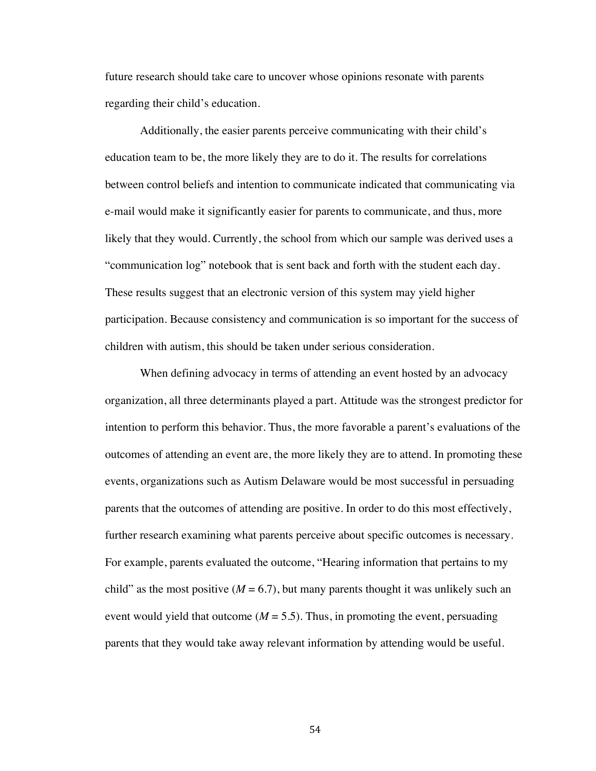future research should take care to uncover whose opinions resonate with parents regarding their child's education.

Additionally, the easier parents perceive communicating with their child's education team to be, the more likely they are to do it. The results for correlations between control beliefs and intention to communicate indicated that communicating via e-mail would make it significantly easier for parents to communicate, and thus, more likely that they would. Currently, the school from which our sample was derived uses a "communication log" notebook that is sent back and forth with the student each day. These results suggest that an electronic version of this system may yield higher participation. Because consistency and communication is so important for the success of children with autism, this should be taken under serious consideration.

When defining advocacy in terms of attending an event hosted by an advocacy organization, all three determinants played a part. Attitude was the strongest predictor for intention to perform this behavior. Thus, the more favorable a parent's evaluations of the outcomes of attending an event are, the more likely they are to attend. In promoting these events, organizations such as Autism Delaware would be most successful in persuading parents that the outcomes of attending are positive. In order to do this most effectively, further research examining what parents perceive about specific outcomes is necessary. For example, parents evaluated the outcome, "Hearing information that pertains to my child" as the most positive  $(M = 6.7)$ , but many parents thought it was unlikely such an event would yield that outcome  $(M = 5.5)$ . Thus, in promoting the event, persuading parents that they would take away relevant information by attending would be useful.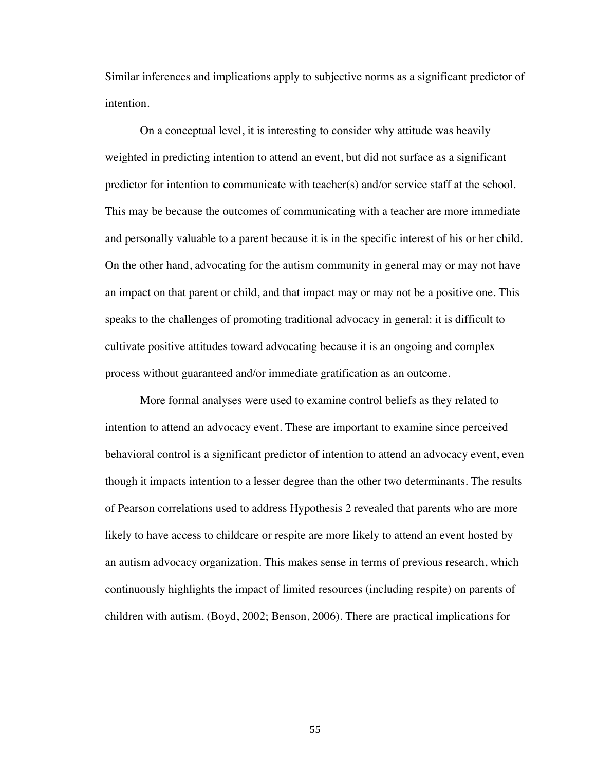Similar inferences and implications apply to subjective norms as a significant predictor of intention.

On a conceptual level, it is interesting to consider why attitude was heavily weighted in predicting intention to attend an event, but did not surface as a significant predictor for intention to communicate with teacher(s) and/or service staff at the school. This may be because the outcomes of communicating with a teacher are more immediate and personally valuable to a parent because it is in the specific interest of his or her child. On the other hand, advocating for the autism community in general may or may not have an impact on that parent or child, and that impact may or may not be a positive one. This speaks to the challenges of promoting traditional advocacy in general: it is difficult to cultivate positive attitudes toward advocating because it is an ongoing and complex process without guaranteed and/or immediate gratification as an outcome.

More formal analyses were used to examine control beliefs as they related to intention to attend an advocacy event. These are important to examine since perceived behavioral control is a significant predictor of intention to attend an advocacy event, even though it impacts intention to a lesser degree than the other two determinants. The results of Pearson correlations used to address Hypothesis 2 revealed that parents who are more likely to have access to childcare or respite are more likely to attend an event hosted by an autism advocacy organization. This makes sense in terms of previous research, which continuously highlights the impact of limited resources (including respite) on parents of children with autism. (Boyd, 2002; Benson, 2006). There are practical implications for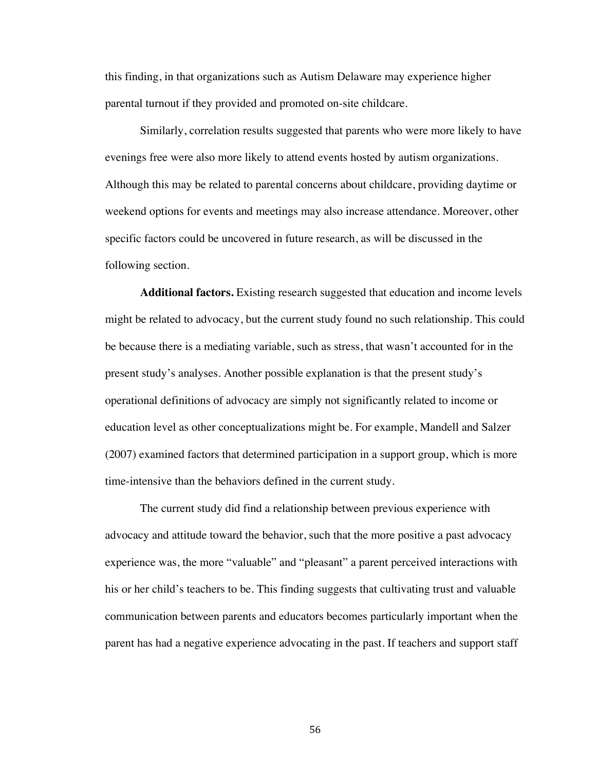this finding, in that organizations such as Autism Delaware may experience higher parental turnout if they provided and promoted on-site childcare.

Similarly, correlation results suggested that parents who were more likely to have evenings free were also more likely to attend events hosted by autism organizations. Although this may be related to parental concerns about childcare, providing daytime or weekend options for events and meetings may also increase attendance. Moreover, other specific factors could be uncovered in future research, as will be discussed in the following section.

**Additional factors.** Existing research suggested that education and income levels might be related to advocacy, but the current study found no such relationship. This could be because there is a mediating variable, such as stress, that wasn't accounted for in the present study's analyses. Another possible explanation is that the present study's operational definitions of advocacy are simply not significantly related to income or education level as other conceptualizations might be. For example, Mandell and Salzer (2007) examined factors that determined participation in a support group, which is more time-intensive than the behaviors defined in the current study.

The current study did find a relationship between previous experience with advocacy and attitude toward the behavior, such that the more positive a past advocacy experience was, the more "valuable" and "pleasant" a parent perceived interactions with his or her child's teachers to be. This finding suggests that cultivating trust and valuable communication between parents and educators becomes particularly important when the parent has had a negative experience advocating in the past. If teachers and support staff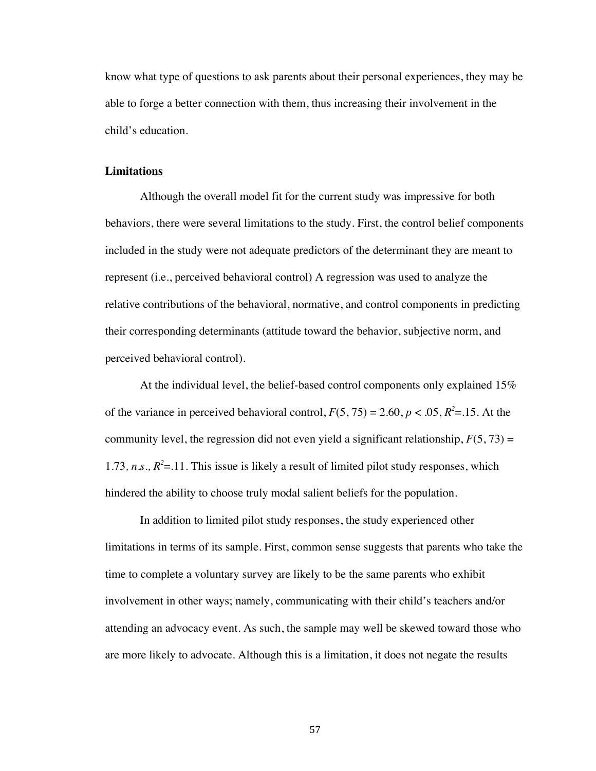know what type of questions to ask parents about their personal experiences, they may be able to forge a better connection with them, thus increasing their involvement in the child's education.

## **Limitations**

Although the overall model fit for the current study was impressive for both behaviors, there were several limitations to the study. First, the control belief components included in the study were not adequate predictors of the determinant they are meant to represent (i.e., perceived behavioral control) A regression was used to analyze the relative contributions of the behavioral, normative, and control components in predicting their corresponding determinants (attitude toward the behavior, subjective norm, and perceived behavioral control).

At the individual level, the belief-based control components only explained 15% of the variance in perceived behavioral control,  $F(5, 75) = 2.60$ ,  $p < .05$ ,  $R^2 = .15$ . At the community level, the regression did not even yield a significant relationship,  $F(5, 73) =$ 1.73,  $n.s., R<sup>2</sup>=.11.$  This issue is likely a result of limited pilot study responses, which hindered the ability to choose truly modal salient beliefs for the population.

In addition to limited pilot study responses, the study experienced other limitations in terms of its sample. First, common sense suggests that parents who take the time to complete a voluntary survey are likely to be the same parents who exhibit involvement in other ways; namely, communicating with their child's teachers and/or attending an advocacy event. As such, the sample may well be skewed toward those who are more likely to advocate. Although this is a limitation, it does not negate the results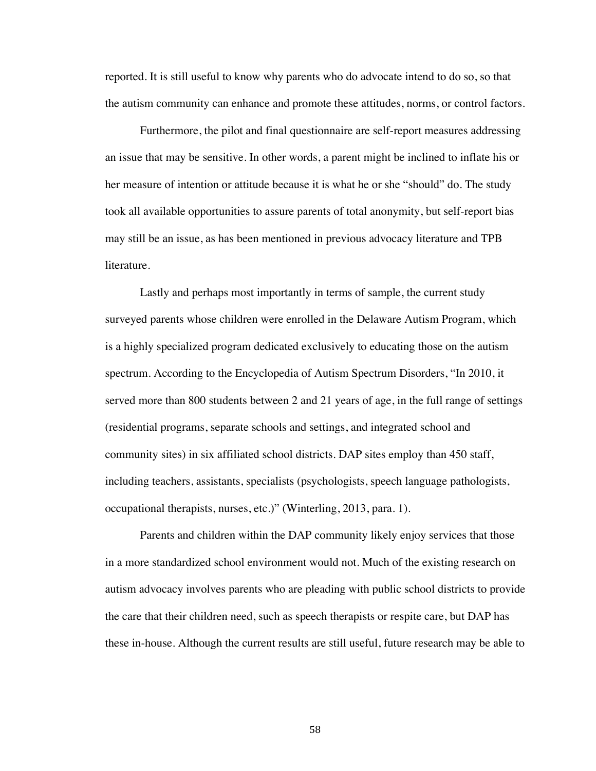reported. It is still useful to know why parents who do advocate intend to do so, so that the autism community can enhance and promote these attitudes, norms, or control factors.

Furthermore, the pilot and final questionnaire are self-report measures addressing an issue that may be sensitive. In other words, a parent might be inclined to inflate his or her measure of intention or attitude because it is what he or she "should" do. The study took all available opportunities to assure parents of total anonymity, but self-report bias may still be an issue, as has been mentioned in previous advocacy literature and TPB literature.

Lastly and perhaps most importantly in terms of sample, the current study surveyed parents whose children were enrolled in the Delaware Autism Program, which is a highly specialized program dedicated exclusively to educating those on the autism spectrum. According to the Encyclopedia of Autism Spectrum Disorders, "In 2010, it served more than 800 students between 2 and 21 years of age, in the full range of settings (residential programs, separate schools and settings, and integrated school and community sites) in six affiliated school districts. DAP sites employ than 450 staff, including teachers, assistants, specialists (psychologists, speech language pathologists, occupational therapists, nurses, etc.)" (Winterling, 2013, para. 1).

Parents and children within the DAP community likely enjoy services that those in a more standardized school environment would not. Much of the existing research on autism advocacy involves parents who are pleading with public school districts to provide the care that their children need, such as speech therapists or respite care, but DAP has these in-house. Although the current results are still useful, future research may be able to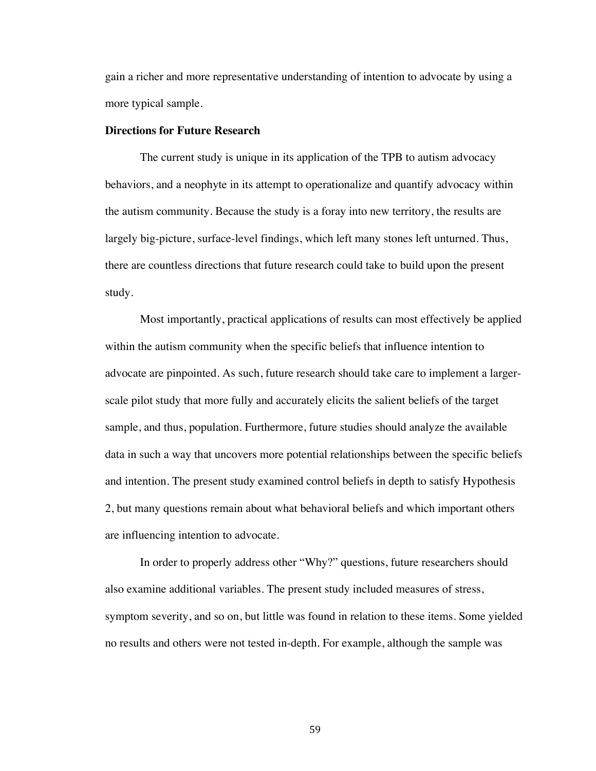gain a richer and more representative understanding of intention to advocate by using a more typical sample.

### **Directions for Future Research**

The current study is unique in its application of the TPB to autism advocacy behaviors, and a neophyte in its attempt to operationalize and quantify advocacy within the autism community. Because the study is a foray into new territory, the results are largely big-picture, surface-level findings, which left many stones left unturned. Thus, there are countless directions that future research could take to build upon the present study.

Most importantly, practical applications of results can most effectively be applied within the autism community when the specific beliefs that influence intention to advocate are pinpointed. As such, future research should take care to implement a largerscale pilot study that more fully and accurately elicits the salient beliefs of the target sample, and thus, population. Furthermore, future studies should analyze the available data in such a way that uncovers more potential relationships between the specific beliefs and intention. The present study examined control beliefs in depth to satisfy Hypothesis 2, but many questions remain about what behavioral beliefs and which important others are influencing intention to advocate.

In order to properly address other "Why?" questions, future researchers should also examine additional variables. The present study included measures of stress, symptom severity, and so on, but little was found in relation to these items. Some yielded no results and others were not tested in-depth. For example, although the sample was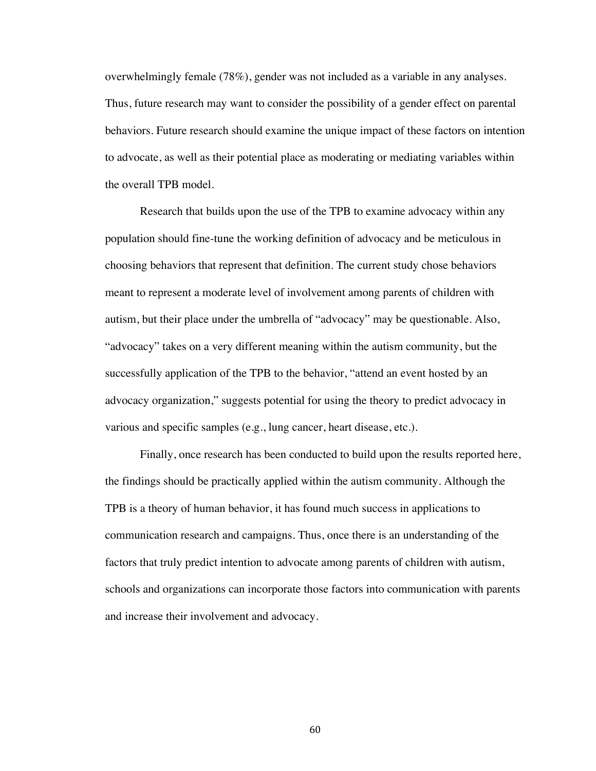overwhelmingly female (78%), gender was not included as a variable in any analyses. Thus, future research may want to consider the possibility of a gender effect on parental behaviors. Future research should examine the unique impact of these factors on intention to advocate, as well as their potential place as moderating or mediating variables within the overall TPB model.

Research that builds upon the use of the TPB to examine advocacy within any population should fine-tune the working definition of advocacy and be meticulous in choosing behaviors that represent that definition. The current study chose behaviors meant to represent a moderate level of involvement among parents of children with autism, but their place under the umbrella of "advocacy" may be questionable. Also, "advocacy" takes on a very different meaning within the autism community, but the successfully application of the TPB to the behavior, "attend an event hosted by an advocacy organization," suggests potential for using the theory to predict advocacy in various and specific samples (e.g., lung cancer, heart disease, etc.).

Finally, once research has been conducted to build upon the results reported here, the findings should be practically applied within the autism community. Although the TPB is a theory of human behavior, it has found much success in applications to communication research and campaigns. Thus, once there is an understanding of the factors that truly predict intention to advocate among parents of children with autism, schools and organizations can incorporate those factors into communication with parents and increase their involvement and advocacy.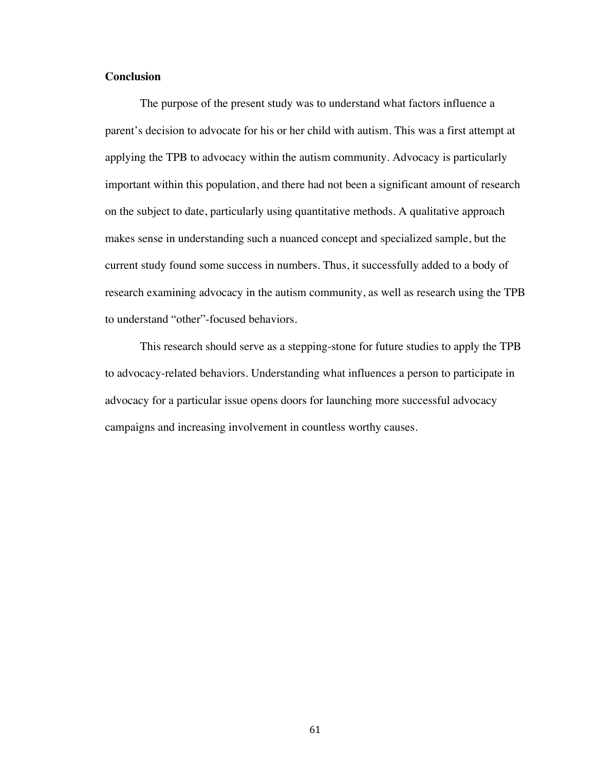# **Conclusion**

The purpose of the present study was to understand what factors influence a parent's decision to advocate for his or her child with autism. This was a first attempt at applying the TPB to advocacy within the autism community. Advocacy is particularly important within this population, and there had not been a significant amount of research on the subject to date, particularly using quantitative methods. A qualitative approach makes sense in understanding such a nuanced concept and specialized sample, but the current study found some success in numbers. Thus, it successfully added to a body of research examining advocacy in the autism community, as well as research using the TPB to understand "other"-focused behaviors.

This research should serve as a stepping-stone for future studies to apply the TPB to advocacy-related behaviors. Understanding what influences a person to participate in advocacy for a particular issue opens doors for launching more successful advocacy campaigns and increasing involvement in countless worthy causes.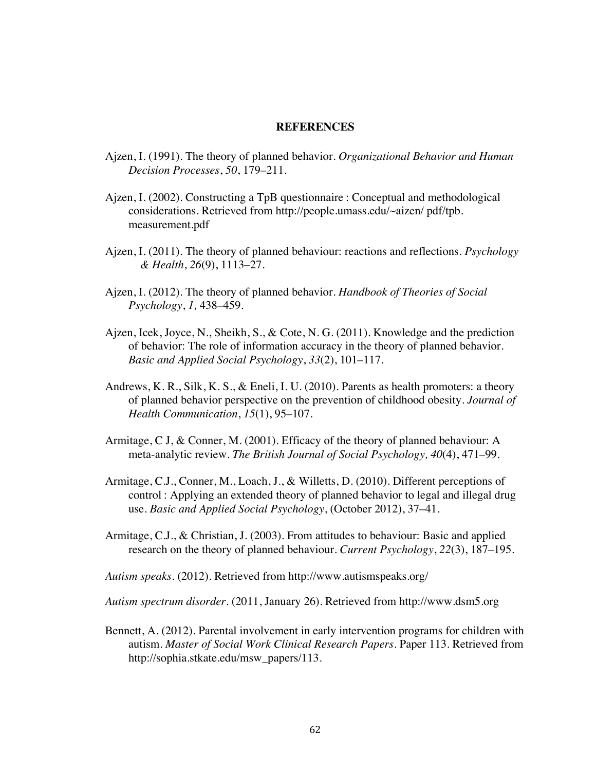#### **REFERENCES**

- Ajzen, I. (1991). The theory of planned behavior. *Organizational Behavior and Human Decision Processes*, *50*, 179–211.
- Ajzen, I. (2002). Constructing a TpB questionnaire : Conceptual and methodological considerations. Retrieved from http://people.umass.edu/~aizen/ pdf/tpb. measurement.pdf
- Ajzen, I. (2011). The theory of planned behaviour: reactions and reflections. *Psychology & Health*, *26*(9), 1113–27.
- Ajzen, I. (2012). The theory of planned behavior. *Handbook of Theories of Social Psychology*, *1,* 438–459.
- Ajzen, Icek, Joyce, N., Sheikh, S., & Cote, N. G. (2011). Knowledge and the prediction of behavior: The role of information accuracy in the theory of planned behavior. *Basic and Applied Social Psychology*, *33*(2), 101–117.
- Andrews, K. R., Silk, K. S., & Eneli, I. U. (2010). Parents as health promoters: a theory of planned behavior perspective on the prevention of childhood obesity. *Journal of Health Communication*, *15*(1), 95–107.
- Armitage, C J, & Conner, M. (2001). Efficacy of the theory of planned behaviour: A meta-analytic review. *The British Journal of Social Psychology, 40*(4), 471–99.
- Armitage, C.J., Conner, M., Loach, J., & Willetts, D. (2010). Different perceptions of control : Applying an extended theory of planned behavior to legal and illegal drug use. *Basic and Applied Social Psychology*, (October 2012), 37–41.
- Armitage, C.J., & Christian, J. (2003). From attitudes to behaviour: Basic and applied research on the theory of planned behaviour. *Current Psychology*, *22*(3), 187–195.

*Autism speaks*. (2012). Retrieved from http://www.autismspeaks.org/

*Autism spectrum disorder*. (2011, January 26). Retrieved from http://www.dsm5.org

Bennett, A. (2012). Parental involvement in early intervention programs for children with autism. *Master of Social Work Clinical Research Papers*. Paper 113. Retrieved from http://sophia.stkate.edu/msw\_papers/113.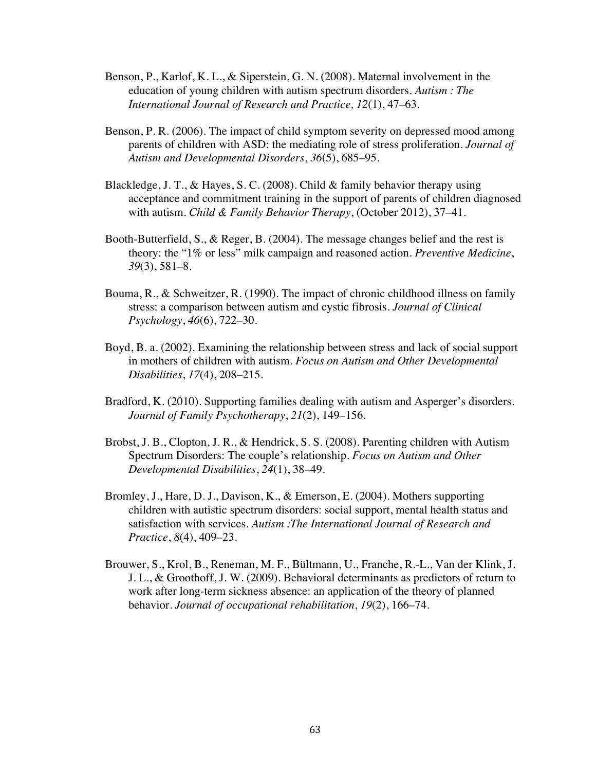- Benson, P., Karlof, K. L., & Siperstein, G. N. (2008). Maternal involvement in the education of young children with autism spectrum disorders. *Autism : The International Journal of Research and Practice, 12*(1), 47–63.
- Benson, P. R. (2006). The impact of child symptom severity on depressed mood among parents of children with ASD: the mediating role of stress proliferation. *Journal of Autism and Developmental Disorders*, *36*(5), 685–95.
- Blackledge, J. T., & Hayes, S. C. (2008). Child & family behavior therapy using acceptance and commitment training in the support of parents of children diagnosed with autism. *Child & Family Behavior Therapy*, (October 2012), 37–41.
- Booth-Butterfield, S., & Reger, B. (2004). The message changes belief and the rest is theory: the "1% or less" milk campaign and reasoned action. *Preventive Medicine*, *39*(3), 581–8.
- Bouma, R., & Schweitzer, R. (1990). The impact of chronic childhood illness on family stress: a comparison between autism and cystic fibrosis. *Journal of Clinical Psychology*, *46*(6), 722–30.
- Boyd, B. a. (2002). Examining the relationship between stress and lack of social support in mothers of children with autism. *Focus on Autism and Other Developmental Disabilities*, *17*(4), 208–215.
- Bradford, K. (2010). Supporting families dealing with autism and Asperger's disorders. *Journal of Family Psychotherapy*, *21*(2), 149–156.
- Brobst, J. B., Clopton, J. R., & Hendrick, S. S. (2008). Parenting children with Autism Spectrum Disorders: The couple's relationship. *Focus on Autism and Other Developmental Disabilities*, *24*(1), 38–49.
- Bromley, J., Hare, D. J., Davison, K., & Emerson, E. (2004). Mothers supporting children with autistic spectrum disorders: social support, mental health status and satisfaction with services. *Autism :The International Journal of Research and Practice*, *8*(4), 409–23.
- Brouwer, S., Krol, B., Reneman, M. F., Bültmann, U., Franche, R.-L., Van der Klink, J. J. L., & Groothoff, J. W. (2009). Behavioral determinants as predictors of return to work after long-term sickness absence: an application of the theory of planned behavior. *Journal of occupational rehabilitation*, *19*(2), 166–74.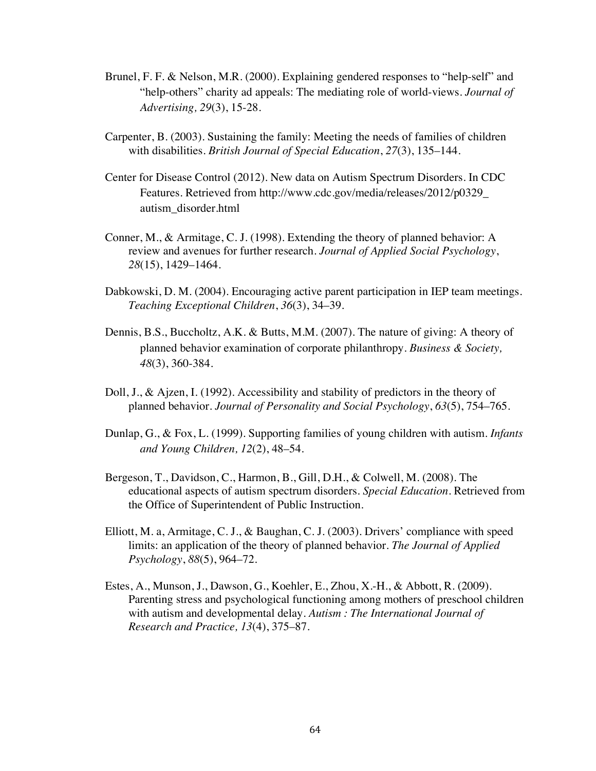- Brunel, F. F. & Nelson, M.R. (2000). Explaining gendered responses to "help-self" and "help-others" charity ad appeals: The mediating role of world-views. *Journal of Advertising, 29*(3), 15-28.
- Carpenter, B. (2003). Sustaining the family: Meeting the needs of families of children with disabilities. *British Journal of Special Education*, *27*(3), 135–144.
- Center for Disease Control (2012). New data on Autism Spectrum Disorders. In CDC Features. Retrieved from http://www.cdc.gov/media/releases/2012/p0329\_ autism\_disorder.html
- Conner, M., & Armitage, C. J. (1998). Extending the theory of planned behavior: A review and avenues for further research. *Journal of Applied Social Psychology*, *28*(15), 1429–1464.
- Dabkowski, D. M. (2004). Encouraging active parent participation in IEP team meetings. *Teaching Exceptional Children*, *36*(3), 34–39.
- Dennis, B.S., Buccholtz, A.K. & Butts, M.M. (2007). The nature of giving: A theory of planned behavior examination of corporate philanthropy. *Business & Society, 48*(3), 360-384.
- Doll, J., & Ajzen, I. (1992). Accessibility and stability of predictors in the theory of planned behavior. *Journal of Personality and Social Psychology*, *63*(5), 754–765.
- Dunlap, G., & Fox, L. (1999). Supporting families of young children with autism. *Infants and Young Children, 12*(2), 48–54.
- Bergeson, T., Davidson, C., Harmon, B., Gill, D.H., & Colwell, M. (2008). The educational aspects of autism spectrum disorders. *Special Education*. Retrieved from the Office of Superintendent of Public Instruction.
- Elliott, M. a, Armitage, C. J., & Baughan, C. J. (2003). Drivers' compliance with speed limits: an application of the theory of planned behavior. *The Journal of Applied Psychology*, *88*(5), 964–72.
- Estes, A., Munson, J., Dawson, G., Koehler, E., Zhou, X.-H., & Abbott, R. (2009). Parenting stress and psychological functioning among mothers of preschool children with autism and developmental delay. *Autism : The International Journal of Research and Practice, 13*(4), 375–87.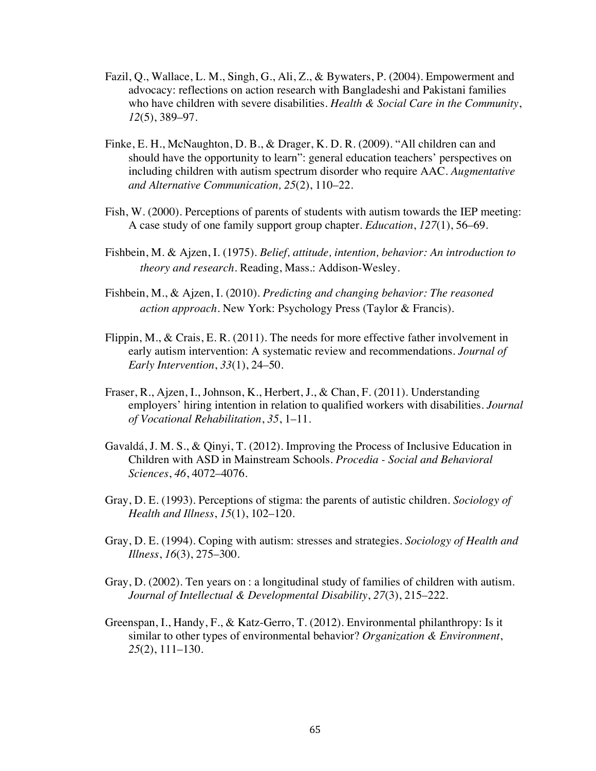- Fazil, Q., Wallace, L. M., Singh, G., Ali, Z., & Bywaters, P. (2004). Empowerment and advocacy: reflections on action research with Bangladeshi and Pakistani families who have children with severe disabilities. *Health & Social Care in the Community*, *12*(5), 389–97.
- Finke, E. H., McNaughton, D. B., & Drager, K. D. R. (2009). "All children can and should have the opportunity to learn": general education teachers' perspectives on including children with autism spectrum disorder who require AAC. *Augmentative and Alternative Communication, 25*(2), 110–22.
- Fish, W. (2000). Perceptions of parents of students with autism towards the IEP meeting: A case study of one family support group chapter. *Education*, *127*(1), 56–69.
- Fishbein, M. & Ajzen, I. (1975). *Belief, attitude, intention, behavior: An introduction to theory and research.* Reading, Mass.: Addison-Wesley.
- Fishbein, M., & Ajzen, I. (2010). *Predicting and changing behavior: The reasoned action approach*. New York: Psychology Press (Taylor & Francis).
- Flippin, M., & Crais, E. R. (2011). The needs for more effective father involvement in early autism intervention: A systematic review and recommendations. *Journal of Early Intervention*, *33*(1), 24–50.
- Fraser, R., Ajzen, I., Johnson, K., Herbert, J., & Chan, F. (2011). Understanding employers' hiring intention in relation to qualified workers with disabilities. *Journal of Vocational Rehabilitation*, *35*, 1–11.
- Gavaldá, J. M. S., & Qinyi, T. (2012). Improving the Process of Inclusive Education in Children with ASD in Mainstream Schools. *Procedia - Social and Behavioral Sciences*, *46*, 4072–4076.
- Gray, D. E. (1993). Perceptions of stigma: the parents of autistic children. *Sociology of Health and Illness*, *15*(1), 102–120.
- Gray, D. E. (1994). Coping with autism: stresses and strategies. *Sociology of Health and Illness*, *16*(3), 275–300.
- Gray, D. (2002). Ten years on : a longitudinal study of families of children with autism. *Journal of Intellectual & Developmental Disability*, *27*(3), 215–222.
- Greenspan, I., Handy, F., & Katz-Gerro, T. (2012). Environmental philanthropy: Is it similar to other types of environmental behavior? *Organization & Environment*, *25*(2), 111–130.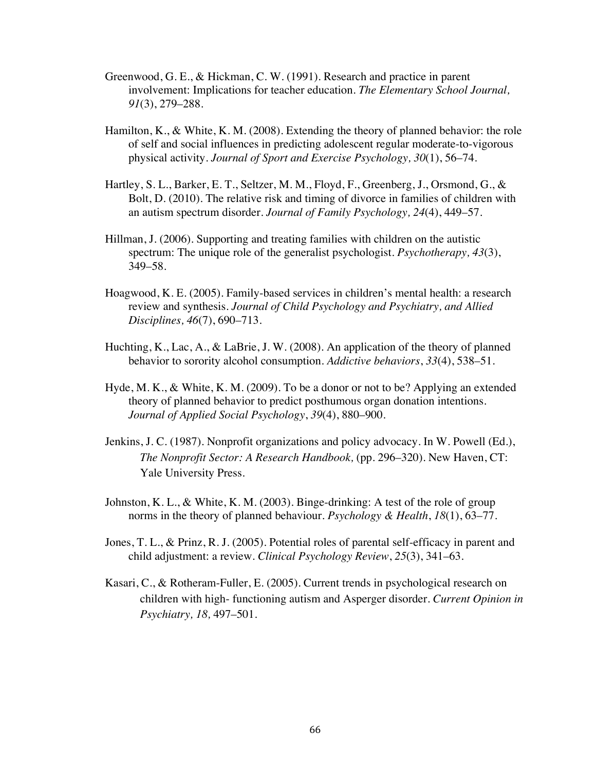- Greenwood, G. E., & Hickman, C. W. (1991). Research and practice in parent involvement: Implications for teacher education. *The Elementary School Journal, 91*(3), 279–288.
- Hamilton, K., & White, K. M. (2008). Extending the theory of planned behavior: the role of self and social influences in predicting adolescent regular moderate-to-vigorous physical activity. *Journal of Sport and Exercise Psychology, 30*(1), 56–74.
- Hartley, S. L., Barker, E. T., Seltzer, M. M., Floyd, F., Greenberg, J., Orsmond, G., & Bolt, D. (2010). The relative risk and timing of divorce in families of children with an autism spectrum disorder. *Journal of Family Psychology, 24*(4), 449–57.
- Hillman, J. (2006). Supporting and treating families with children on the autistic spectrum: The unique role of the generalist psychologist. *Psychotherapy, 43*(3), 349–58.
- Hoagwood, K. E. (2005). Family-based services in children's mental health: a research review and synthesis. *Journal of Child Psychology and Psychiatry, and Allied Disciplines, 46*(7), 690–713.
- Huchting, K., Lac, A., & LaBrie, J. W. (2008). An application of the theory of planned behavior to sorority alcohol consumption. *Addictive behaviors*, *33*(4), 538–51.
- Hyde, M. K., & White, K. M. (2009). To be a donor or not to be? Applying an extended theory of planned behavior to predict posthumous organ donation intentions. *Journal of Applied Social Psychology*, *39*(4), 880–900.
- Jenkins, J. C. (1987). Nonprofit organizations and policy advocacy. In W. Powell (Ed.), *The Nonprofit Sector: A Research Handbook,* (pp. 296–320). New Haven, CT: Yale University Press.
- Johnston, K. L., & White, K. M. (2003). Binge-drinking: A test of the role of group norms in the theory of planned behaviour. *Psychology & Health*, *18*(1), 63–77.
- Jones, T. L., & Prinz, R. J. (2005). Potential roles of parental self-efficacy in parent and child adjustment: a review. *Clinical Psychology Review*, *25*(3), 341–63.
- Kasari, C., & Rotheram-Fuller, E. (2005). Current trends in psychological research on children with high- functioning autism and Asperger disorder. *Current Opinion in Psychiatry, 18,* 497–501.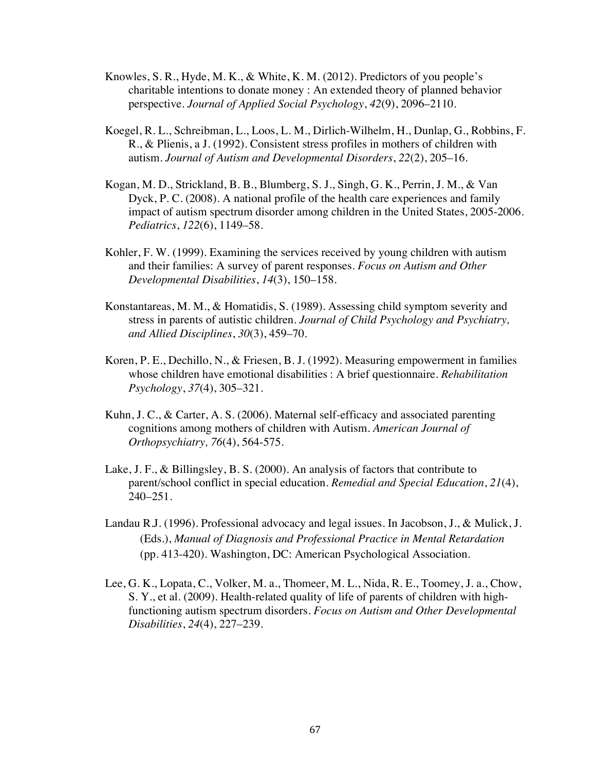- Knowles, S. R., Hyde, M. K., & White, K. M. (2012). Predictors of you people's charitable intentions to donate money : An extended theory of planned behavior perspective. *Journal of Applied Social Psychology*, *42*(9), 2096–2110.
- Koegel, R. L., Schreibman, L., Loos, L. M., Dirlich-Wilhelm, H., Dunlap, G., Robbins, F. R., & Plienis, a J. (1992). Consistent stress profiles in mothers of children with autism. *Journal of Autism and Developmental Disorders*, *22*(2), 205–16.
- Kogan, M. D., Strickland, B. B., Blumberg, S. J., Singh, G. K., Perrin, J. M., & Van Dyck, P. C. (2008). A national profile of the health care experiences and family impact of autism spectrum disorder among children in the United States, 2005-2006. *Pediatrics*, *122*(6), 1149–58.
- Kohler, F. W. (1999). Examining the services received by young children with autism and their families: A survey of parent responses. *Focus on Autism and Other Developmental Disabilities*, *14*(3), 150–158.
- Konstantareas, M. M., & Homatidis, S. (1989). Assessing child symptom severity and stress in parents of autistic children. *Journal of Child Psychology and Psychiatry, and Allied Disciplines*, *30*(3), 459–70.
- Koren, P. E., Dechillo, N., & Friesen, B. J. (1992). Measuring empowerment in families whose children have emotional disabilities : A brief questionnaire. *Rehabilitation Psychology*, *37*(4), 305–321.
- Kuhn, J. C., & Carter, A. S. (2006). Maternal self-efficacy and associated parenting cognitions among mothers of children with Autism. *American Journal of Orthopsychiatry, 76*(4), 564-575.
- Lake, J. F., & Billingsley, B. S. (2000). An analysis of factors that contribute to parent/school conflict in special education. *Remedial and Special Education*, *21*(4), 240–251.
- Landau R.J. (1996). Professional advocacy and legal issues. In Jacobson, J., & Mulick, J. (Eds.), *Manual of Diagnosis and Professional Practice in Mental Retardation* (pp. 413-420). Washington, DC: American Psychological Association.
- Lee, G. K., Lopata, C., Volker, M. a., Thomeer, M. L., Nida, R. E., Toomey, J. a., Chow, S. Y., et al. (2009). Health-related quality of life of parents of children with highfunctioning autism spectrum disorders. *Focus on Autism and Other Developmental Disabilities*, *24*(4), 227–239.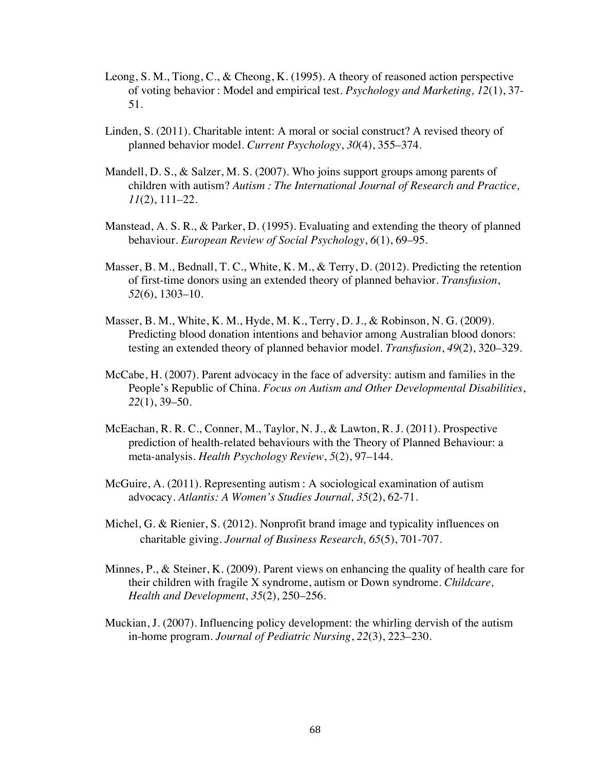- Leong, S. M., Tiong, C., & Cheong, K. (1995). A theory of reasoned action perspective of voting behavior : Model and empirical test. *Psychology and Marketing, 12*(1), 37- 51.
- Linden, S. (2011). Charitable intent: A moral or social construct? A revised theory of planned behavior model. *Current Psychology*, *30*(4), 355–374.
- Mandell, D. S., & Salzer, M. S. (2007). Who joins support groups among parents of children with autism? *Autism : The International Journal of Research and Practice, 11*(2), 111–22.
- Manstead, A. S. R., & Parker, D. (1995). Evaluating and extending the theory of planned behaviour. *European Review of Social Psychology*, *6*(1), 69–95.
- Masser, B. M., Bednall, T. C., White, K. M., & Terry, D. (2012). Predicting the retention of first-time donors using an extended theory of planned behavior. *Transfusion*, *52*(6), 1303–10.
- Masser, B. M., White, K. M., Hyde, M. K., Terry, D. J., & Robinson, N. G. (2009). Predicting blood donation intentions and behavior among Australian blood donors: testing an extended theory of planned behavior model. *Transfusion*, *49*(2), 320–329.
- McCabe, H. (2007). Parent advocacy in the face of adversity: autism and families in the People's Republic of China. *Focus on Autism and Other Developmental Disabilities*, *22*(1), 39–50.
- McEachan, R. R. C., Conner, M., Taylor, N. J., & Lawton, R. J. (2011). Prospective prediction of health-related behaviours with the Theory of Planned Behaviour: a meta-analysis. *Health Psychology Review*, *5*(2), 97–144.
- McGuire, A. (2011). Representing autism : A sociological examination of autism advocacy. *Atlantis: A Women's Studies Journal, 35*(2), 62-71.
- Michel, G. & Rienier, S. (2012). Nonprofit brand image and typicality influences on charitable giving. *Journal of Business Research, 65*(5), 701-707.
- Minnes, P., & Steiner, K. (2009). Parent views on enhancing the quality of health care for their children with fragile X syndrome, autism or Down syndrome. *Childcare, Health and Development*, *35*(2), 250–256.
- Muckian, J. (2007). Influencing policy development: the whirling dervish of the autism in-home program. *Journal of Pediatric Nursing*, *22*(3), 223–230.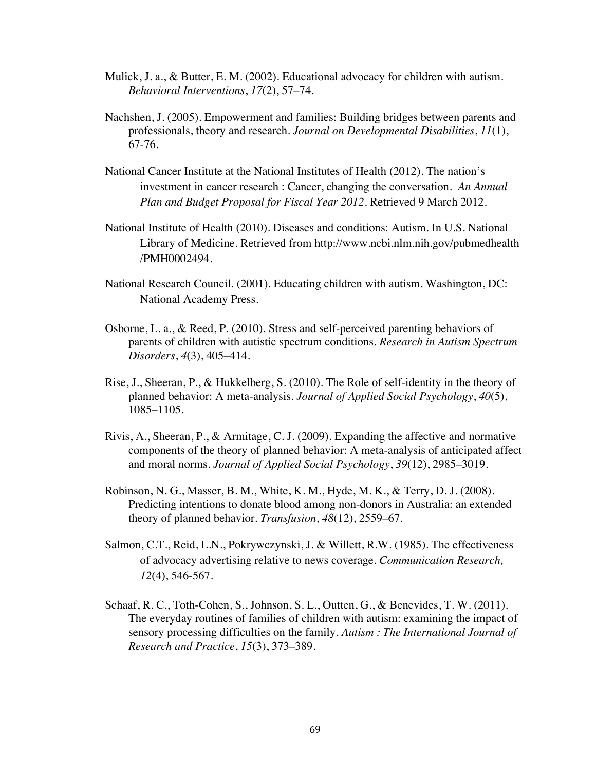- Mulick, J. a., & Butter, E. M. (2002). Educational advocacy for children with autism. *Behavioral Interventions*, *17*(2), 57–74.
- Nachshen, J. (2005). Empowerment and families: Building bridges between parents and professionals, theory and research. *Journal on Developmental Disabilities*, *11*(1), 67-76.
- National Cancer Institute at the National Institutes of Health (2012). The nation's investment in cancer research : Cancer, changing the conversation. *An Annual Plan and Budget Proposal for Fiscal Year 2012*. Retrieved 9 March 2012.
- National Institute of Health (2010). Diseases and conditions: Autism. In U.S. National Library of Medicine. Retrieved from http://www.ncbi.nlm.nih.gov/pubmedhealth /PMH0002494.
- National Research Council. (2001). Educating children with autism. Washington, DC: National Academy Press.
- Osborne, L. a., & Reed, P. (2010). Stress and self-perceived parenting behaviors of parents of children with autistic spectrum conditions. *Research in Autism Spectrum Disorders*, *4*(3), 405–414.
- Rise, J., Sheeran, P., & Hukkelberg, S. (2010). The Role of self-identity in the theory of planned behavior: A meta-analysis. *Journal of Applied Social Psychology*, *40*(5), 1085–1105.
- Rivis, A., Sheeran, P., & Armitage, C. J. (2009). Expanding the affective and normative components of the theory of planned behavior: A meta-analysis of anticipated affect and moral norms. *Journal of Applied Social Psychology*, *39*(12), 2985–3019.
- Robinson, N. G., Masser, B. M., White, K. M., Hyde, M. K., & Terry, D. J. (2008). Predicting intentions to donate blood among non-donors in Australia: an extended theory of planned behavior. *Transfusion*, *48*(12), 2559–67.
- Salmon, C.T., Reid, L.N., Pokrywczynski, J. & Willett, R.W. (1985). The effectiveness of advocacy advertising relative to news coverage. *Communication Research, 12*(4), 546-567.
- Schaaf, R. C., Toth-Cohen, S., Johnson, S. L., Outten, G., & Benevides, T. W. (2011). The everyday routines of families of children with autism: examining the impact of sensory processing difficulties on the family. *Autism : The International Journal of Research and Practice*, *15*(3), 373–389.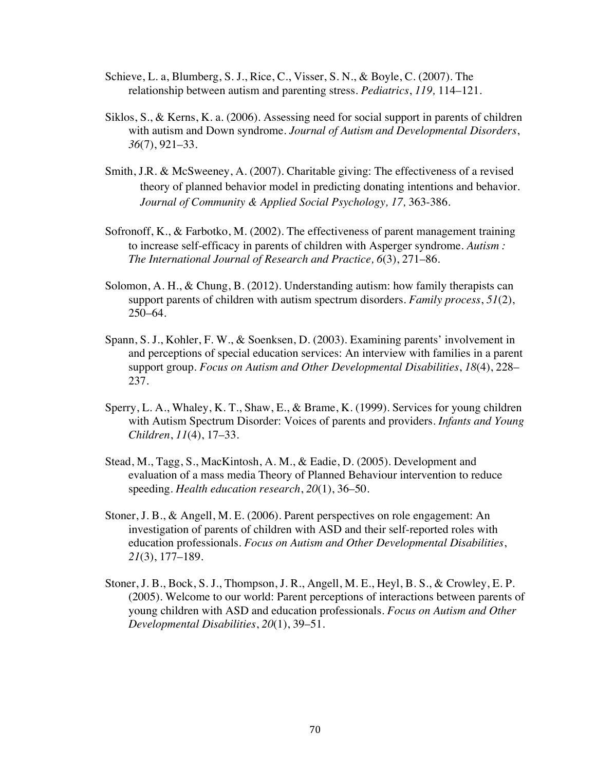- Schieve, L. a, Blumberg, S. J., Rice, C., Visser, S. N., & Boyle, C. (2007). The relationship between autism and parenting stress. *Pediatrics*, *119,* 114–121.
- Siklos, S., & Kerns, K. a. (2006). Assessing need for social support in parents of children with autism and Down syndrome. *Journal of Autism and Developmental Disorders*, *36*(7), 921–33.
- Smith, J.R. & McSweeney, A. (2007). Charitable giving: The effectiveness of a revised theory of planned behavior model in predicting donating intentions and behavior. *Journal of Community & Applied Social Psychology, 17,* 363-386.
- Sofronoff, K., & Farbotko, M. (2002). The effectiveness of parent management training to increase self-efficacy in parents of children with Asperger syndrome. *Autism : The International Journal of Research and Practice, 6*(3), 271–86.
- Solomon, A. H., & Chung, B. (2012). Understanding autism: how family therapists can support parents of children with autism spectrum disorders. *Family process*, *51*(2), 250–64.
- Spann, S. J., Kohler, F. W., & Soenksen, D. (2003). Examining parents' involvement in and perceptions of special education services: An interview with families in a parent support group. *Focus on Autism and Other Developmental Disabilities*, *18*(4), 228– 237.
- Sperry, L. A., Whaley, K. T., Shaw, E., & Brame, K. (1999). Services for young children with Autism Spectrum Disorder: Voices of parents and providers. *Infants and Young Children*, *11*(4), 17–33.
- Stead, M., Tagg, S., MacKintosh, A. M., & Eadie, D. (2005). Development and evaluation of a mass media Theory of Planned Behaviour intervention to reduce speeding. *Health education research*, *20*(1), 36–50.
- Stoner, J. B., & Angell, M. E. (2006). Parent perspectives on role engagement: An investigation of parents of children with ASD and their self-reported roles with education professionals. *Focus on Autism and Other Developmental Disabilities*, *21*(3), 177–189.
- Stoner, J. B., Bock, S. J., Thompson, J. R., Angell, M. E., Heyl, B. S., & Crowley, E. P. (2005). Welcome to our world: Parent perceptions of interactions between parents of young children with ASD and education professionals. *Focus on Autism and Other Developmental Disabilities*, *20*(1), 39–51.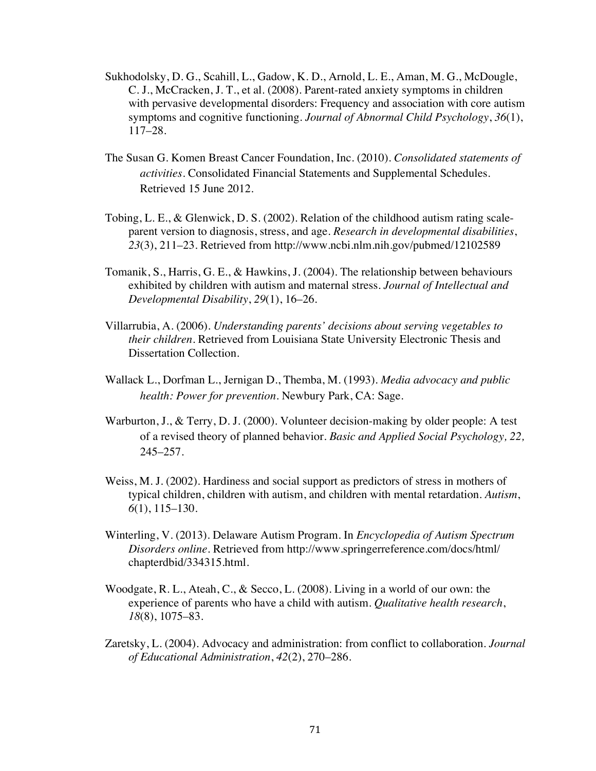- Sukhodolsky, D. G., Scahill, L., Gadow, K. D., Arnold, L. E., Aman, M. G., McDougle, C. J., McCracken, J. T., et al. (2008). Parent-rated anxiety symptoms in children with pervasive developmental disorders: Frequency and association with core autism symptoms and cognitive functioning. *Journal of Abnormal Child Psychology*, *36*(1), 117–28.
- The Susan G. Komen Breast Cancer Foundation, Inc. (2010). *Consolidated statements of activities.* Consolidated Financial Statements and Supplemental Schedules. Retrieved 15 June 2012.
- Tobing, L. E., & Glenwick, D. S. (2002). Relation of the childhood autism rating scaleparent version to diagnosis, stress, and age. *Research in developmental disabilities*, *23*(3), 211–23. Retrieved from http://www.ncbi.nlm.nih.gov/pubmed/12102589
- Tomanik, S., Harris, G. E., & Hawkins, J. (2004). The relationship between behaviours exhibited by children with autism and maternal stress. *Journal of Intellectual and Developmental Disability*, *29*(1), 16–26.
- Villarrubia, A. (2006). *Understanding parents' decisions about serving vegetables to their children*. Retrieved from Louisiana State University Electronic Thesis and Dissertation Collection.
- Wallack L., Dorfman L., Jernigan D., Themba, M. (1993). *Media advocacy and public health: Power for prevention.* Newbury Park, CA: Sage.
- Warburton, J., & Terry, D. J. (2000). Volunteer decision-making by older people: A test of a revised theory of planned behavior. *Basic and Applied Social Psychology, 22,* 245–257.
- Weiss, M. J. (2002). Hardiness and social support as predictors of stress in mothers of typical children, children with autism, and children with mental retardation. *Autism*, *6*(1), 115–130.
- Winterling, V. (2013). Delaware Autism Program. In *Encyclopedia of Autism Spectrum Disorders online.* Retrieved from http://www.springerreference.com/docs/html/ chapterdbid/334315.html.
- Woodgate, R. L., Ateah, C., & Secco, L. (2008). Living in a world of our own: the experience of parents who have a child with autism. *Qualitative health research*, *18*(8), 1075–83.
- Zaretsky, L. (2004). Advocacy and administration: from conflict to collaboration. *Journal of Educational Administration*, *42*(2), 270–286.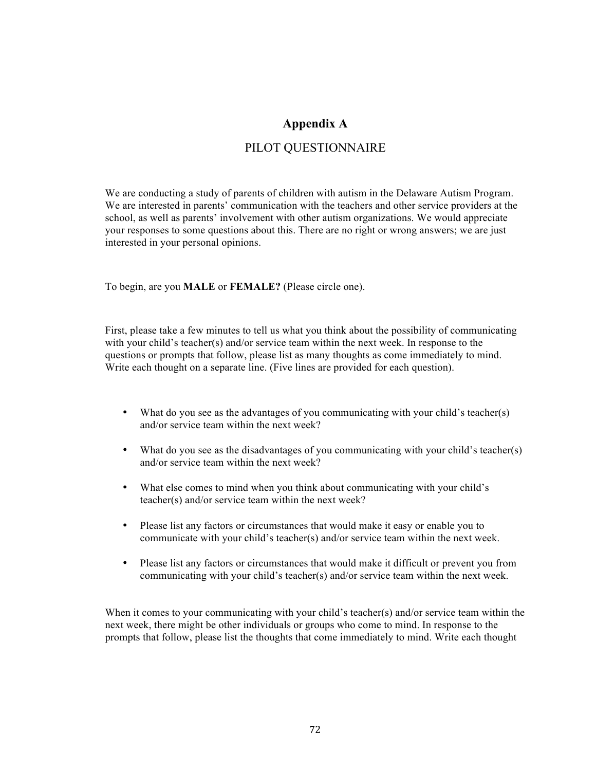#### **Appendix A**

#### PILOT QUESTIONNAIRE

We are conducting a study of parents of children with autism in the Delaware Autism Program. We are interested in parents' communication with the teachers and other service providers at the school, as well as parents' involvement with other autism organizations. We would appreciate your responses to some questions about this. There are no right or wrong answers; we are just interested in your personal opinions.

To begin, are you **MALE** or **FEMALE?** (Please circle one).

First, please take a few minutes to tell us what you think about the possibility of communicating with your child's teacher(s) and/or service team within the next week. In response to the questions or prompts that follow, please list as many thoughts as come immediately to mind. Write each thought on a separate line. (Five lines are provided for each question).

- What do you see as the advantages of you communicating with your child's teacher(s) and/or service team within the next week?
- What do you see as the disadvantages of you communicating with your child's teacher(s) and/or service team within the next week?
- What else comes to mind when you think about communicating with your child's teacher(s) and/or service team within the next week?
- Please list any factors or circumstances that would make it easy or enable you to communicate with your child's teacher(s) and/or service team within the next week.
- Please list any factors or circumstances that would make it difficult or prevent you from communicating with your child's teacher(s) and/or service team within the next week.

When it comes to your communicating with your child's teacher(s) and/or service team within the next week, there might be other individuals or groups who come to mind. In response to the prompts that follow, please list the thoughts that come immediately to mind. Write each thought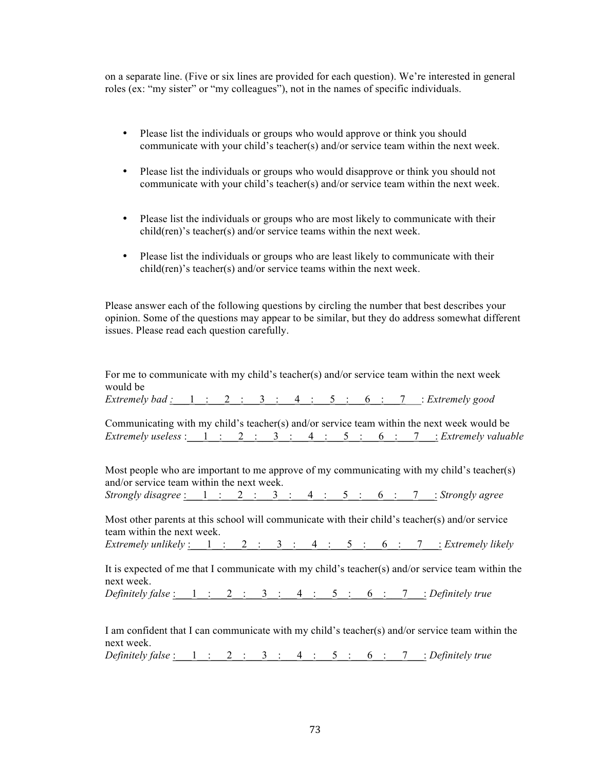on a separate line. (Five or six lines are provided for each question). We're interested in general roles (ex: "my sister" or "my colleagues"), not in the names of specific individuals.

- Please list the individuals or groups who would approve or think you should communicate with your child's teacher(s) and/or service team within the next week.
- Please list the individuals or groups who would disapprove or think you should not communicate with your child's teacher(s) and/or service team within the next week.
- Please list the individuals or groups who are most likely to communicate with their child(ren)'s teacher(s) and/or service teams within the next week.
- Please list the individuals or groups who are least likely to communicate with their child(ren)'s teacher(s) and/or service teams within the next week.

Please answer each of the following questions by circling the number that best describes your opinion. Some of the questions may appear to be similar, but they do address somewhat different issues. Please read each question carefully.

For me to communicate with my child's teacher(s) and/or service team within the next week would be *Extremely bad :\_\_\_*1\_\_:\_\_\_2\_\_:\_\_\_3\_\_:\_\_\_4\_\_:\_\_\_5\_\_:\_\_\_6\_\_:\_\_\_7\_\_\_: *Extremely good* Communicating with my child's teacher(s) and/or service team within the next week would be  $Extremely \, useless: \, 1: \, 2: \, 3: \, 4: \, 5: \, 6: \, 7: \, 2: \, Exercise 4$ Most people who are important to me approve of my communicating with my child's teacher(s) and/or service team within the next week. *Strongly disagree* :\_\_\_1\_\_:\_\_\_2\_\_:\_\_\_3\_\_:\_\_\_4\_\_:\_\_\_5\_\_:\_\_\_6\_\_:\_\_\_7\_\_\_: *Strongly agree* Most other parents at this school will communicate with their child's teacher(s) and/or service team within the next week.  $Extremely \textit{unlikely:} \quad 1 \quad : \quad 2 \quad : \quad 3 \quad : \quad 4 \quad : \quad 5 \quad : \quad 6 \quad : \quad 7 \quad : \textit{Extremely likely}$ It is expected of me that I communicate with my child's teacher(s) and/or service team within the next week. *Definitely false* :\_\_\_1\_\_:\_\_\_2\_\_:\_\_\_3\_\_:\_\_\_4\_\_:\_\_\_5\_\_:\_\_\_6\_\_:\_\_\_7\_\_\_: *Definitely true* I am confident that I can communicate with my child's teacher(s) and/or service team within the next week. *Definitely false* :\_\_\_1\_\_:\_\_\_2\_\_:\_\_\_3\_\_:\_\_\_4\_\_:\_\_\_5\_\_:\_\_\_6\_\_:\_\_\_7\_\_\_: *Definitely true*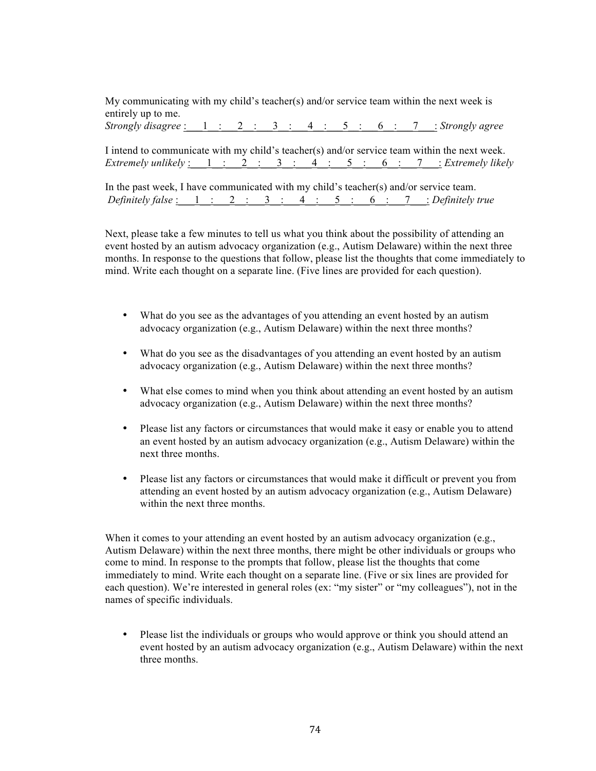My communicating with my child's teacher(s) and/or service team within the next week is entirely up to me. *Strongly disagree* :\_\_\_1\_\_:\_\_\_2\_\_:\_\_\_3\_\_:\_\_\_4\_\_:\_\_\_5\_\_:\_\_\_6\_\_:\_\_\_7\_\_\_: *Strongly agree*

I intend to communicate with my child's teacher(s) and/or service team within the next week. *Extremely unlikely* :\_\_\_1\_\_:\_\_\_2\_\_:\_\_\_3\_\_:\_\_\_4\_\_:\_\_\_5\_\_:\_\_\_6\_\_:\_\_\_7\_\_\_: *Extremely likely*

In the past week, I have communicated with my child's teacher(s) and/or service team. *Definitely false* :\_\_\_1\_\_:\_\_\_2\_\_:\_\_\_3\_\_:\_\_\_4\_\_:\_\_\_5\_\_:\_\_\_6\_\_:\_\_\_7\_\_\_: *Definitely true*

Next, please take a few minutes to tell us what you think about the possibility of attending an event hosted by an autism advocacy organization (e.g., Autism Delaware) within the next three months. In response to the questions that follow, please list the thoughts that come immediately to mind. Write each thought on a separate line. (Five lines are provided for each question).

- What do you see as the advantages of you attending an event hosted by an autism advocacy organization (e.g., Autism Delaware) within the next three months?
- What do you see as the disadvantages of you attending an event hosted by an autism advocacy organization (e.g., Autism Delaware) within the next three months?
- What else comes to mind when you think about attending an event hosted by an autism advocacy organization (e.g., Autism Delaware) within the next three months?
- Please list any factors or circumstances that would make it easy or enable you to attend an event hosted by an autism advocacy organization (e.g., Autism Delaware) within the next three months.
- Please list any factors or circumstances that would make it difficult or prevent you from attending an event hosted by an autism advocacy organization (e.g., Autism Delaware) within the next three months.

When it comes to your attending an event hosted by an autism advocacy organization (e.g., Autism Delaware) within the next three months, there might be other individuals or groups who come to mind. In response to the prompts that follow, please list the thoughts that come immediately to mind. Write each thought on a separate line. (Five or six lines are provided for each question). We're interested in general roles (ex: "my sister" or "my colleagues"), not in the names of specific individuals.

• Please list the individuals or groups who would approve or think you should attend an event hosted by an autism advocacy organization (e.g., Autism Delaware) within the next three months.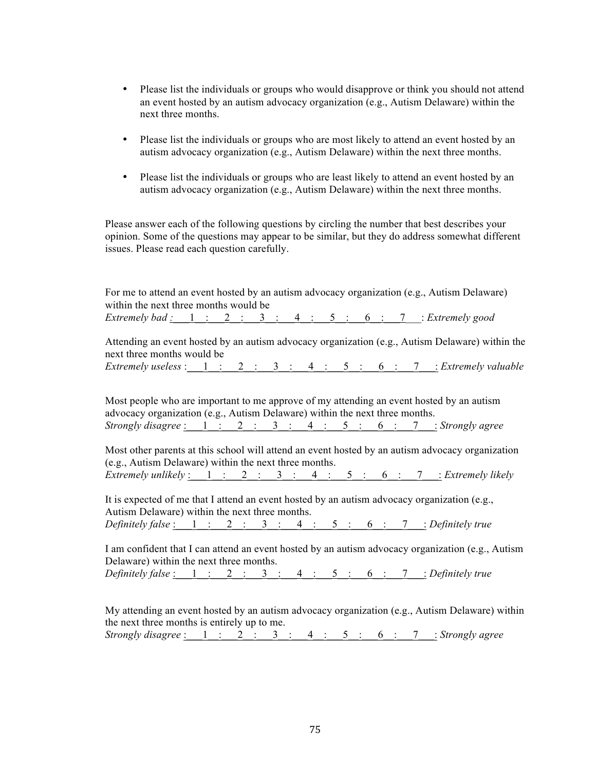- Please list the individuals or groups who would disapprove or think you should not attend an event hosted by an autism advocacy organization (e.g., Autism Delaware) within the next three months.
- Please list the individuals or groups who are most likely to attend an event hosted by an autism advocacy organization (e.g., Autism Delaware) within the next three months.
- Please list the individuals or groups who are least likely to attend an event hosted by an autism advocacy organization (e.g., Autism Delaware) within the next three months.

Please answer each of the following questions by circling the number that best describes your opinion. Some of the questions may appear to be similar, but they do address somewhat different issues. Please read each question carefully.

| For me to attend an event hosted by an autism advocacy organization (e.g., Autism Delaware)<br>within the next three months would be<br>Extremely bad $\frac{1}{1}$ $\frac{1}{2}$ $\frac{2}{3}$ $\frac{3}{4}$ $\frac{4}{5}$ $\frac{5}{6}$ $\frac{6}{7}$ $\frac{7}{7}$ $\frac{1}{2}$ Extremely good        |
|-----------------------------------------------------------------------------------------------------------------------------------------------------------------------------------------------------------------------------------------------------------------------------------------------------------|
|                                                                                                                                                                                                                                                                                                           |
| Attending an event hosted by an autism advocacy organization (e.g., Autism Delaware) within the<br>next three months would be                                                                                                                                                                             |
| Extremely useless : $1:2:3:4:5:6:7:2:3:4:5:6:7:6:7:6$                                                                                                                                                                                                                                                     |
| Most people who are important to me approve of my attending an event hosted by an autism<br>advocacy organization (e.g., Autism Delaware) within the next three months.                                                                                                                                   |
| Strongly disagree $\frac{1}{2}$ $\frac{2}{3}$ $\frac{3}{4}$ $\frac{4}{5}$ $\frac{5}{6}$ $\frac{6}{1}$ $\frac{7}{2}$ Strongly agree                                                                                                                                                                        |
| Most other parents at this school will attend an event hosted by an autism advocacy organization<br>(e.g., Autism Delaware) within the next three months.                                                                                                                                                 |
| <i>Extremely unlikely</i> $\underline{\hspace{1cm}} 1 \underline{\hspace{1cm}} 2 \underline{\hspace{1cm}} 3 \underline{\hspace{1cm}} 4 \underline{\hspace{1cm}} 5 \underline{\hspace{1cm}} 6 \underline{\hspace{1cm}} 7 \underline{\hspace{1cm}} 2 \underline{\hspace{1cm}} 2 \underline{\hspace{1cm}} 1$ |
| It is expected of me that I attend an event hosted by an autism advocacy organization (e.g.,<br>Autism Delaware) within the next three months.                                                                                                                                                            |
| Definitely false $\frac{1}{1}$ $\frac{1}{2}$ $\frac{2}{1}$ $\frac{3}{1}$ $\frac{4}{1}$ $\frac{5}{1}$ $\frac{5}{1}$ $\frac{6}{1}$ $\frac{7}{1}$ $\frac{1}{2}$ Definitely true                                                                                                                              |
| I am confident that I can attend an event hosted by an autism advocacy organization (e.g., Autism<br>Delaware) within the next three months.                                                                                                                                                              |
| Definitely false $\underline{\hspace{1cm}} 1 \underline{\hspace{1cm}} 2 \underline{\hspace{1cm}} 3 \underline{\hspace{1cm}} 4 \underline{\hspace{1cm}} 5 \underline{\hspace{1cm}} 6 \underline{\hspace{1cm}} 7 \underline{\hspace{1cm}} 2$ Definitely true                                                |
| My attending an event hosted by an autism advocacy organization (e.g., Autism Delaware) within<br>the next three months is entirely up to me.                                                                                                                                                             |
| Strongly disagree : $1:2:3:4:5:6:7:3$ : Normaly agree                                                                                                                                                                                                                                                     |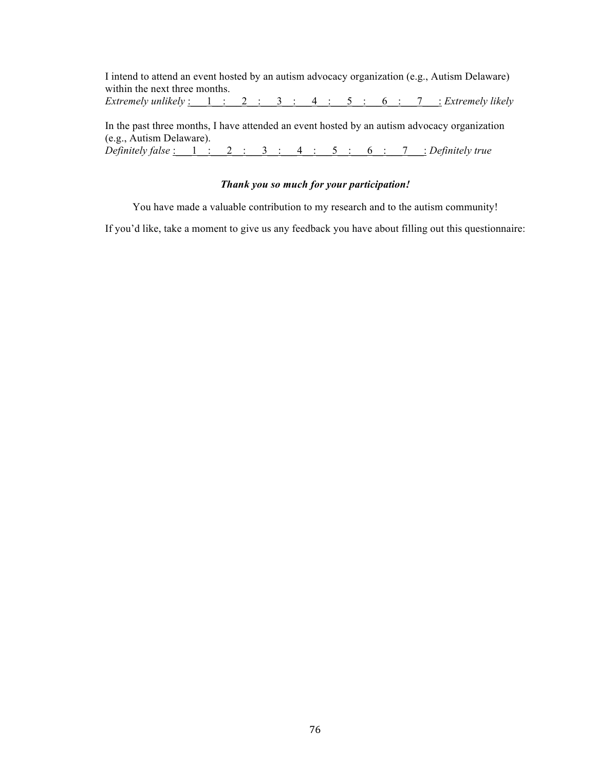I intend to attend an event hosted by an autism advocacy organization (e.g., Autism Delaware) within the next three months. *Extremely unlikely* :\_\_\_1\_\_:\_\_\_2\_\_:\_\_\_3\_\_:\_\_\_4\_\_:\_\_5\_\_:\_\_6\_\_:\_\_7\_\_\_: *Extremely likely* 

In the past three months, I have attended an event hosted by an autism advocacy organization (e.g., Autism Delaware). *Definitely false* :\_\_\_1\_\_:\_\_\_2\_\_:\_\_\_3\_\_:\_\_\_4\_\_:\_\_\_5\_\_:\_\_\_6\_\_:\_\_\_7\_\_\_: *Definitely true*

#### *Thank you so much for your participation!*

You have made a valuable contribution to my research and to the autism community!

If you'd like, take a moment to give us any feedback you have about filling out this questionnaire: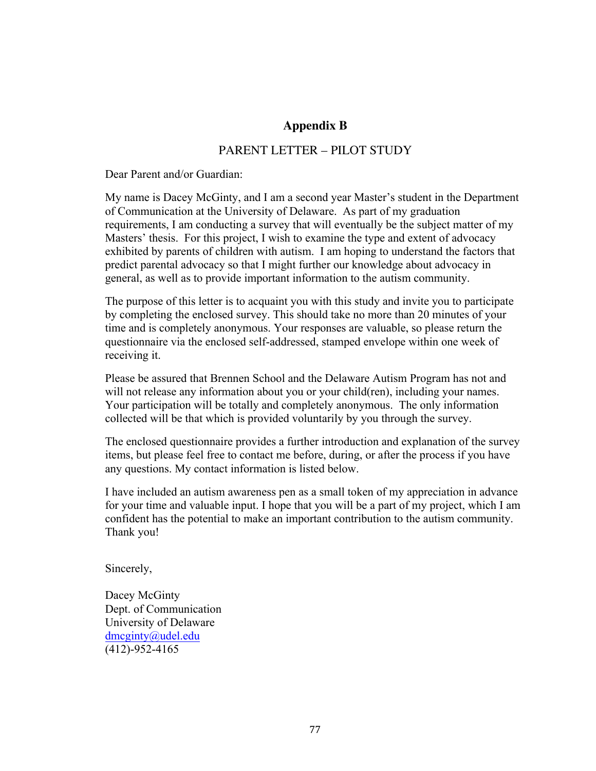### **Appendix B**

#### PARENT LETTER – PILOT STUDY

Dear Parent and/or Guardian:

My name is Dacey McGinty, and I am a second year Master's student in the Department of Communication at the University of Delaware. As part of my graduation requirements, I am conducting a survey that will eventually be the subject matter of my Masters' thesis. For this project, I wish to examine the type and extent of advocacy exhibited by parents of children with autism. I am hoping to understand the factors that predict parental advocacy so that I might further our knowledge about advocacy in general, as well as to provide important information to the autism community.

The purpose of this letter is to acquaint you with this study and invite you to participate by completing the enclosed survey. This should take no more than 20 minutes of your time and is completely anonymous. Your responses are valuable, so please return the questionnaire via the enclosed self-addressed, stamped envelope within one week of receiving it.

Please be assured that Brennen School and the Delaware Autism Program has not and will not release any information about you or your child(ren), including your names. Your participation will be totally and completely anonymous. The only information collected will be that which is provided voluntarily by you through the survey.

The enclosed questionnaire provides a further introduction and explanation of the survey items, but please feel free to contact me before, during, or after the process if you have any questions. My contact information is listed below.

I have included an autism awareness pen as a small token of my appreciation in advance for your time and valuable input. I hope that you will be a part of my project, which I am confident has the potential to make an important contribution to the autism community. Thank you!

Sincerely,

Dacey McGinty Dept. of Communication University of Delaware dmcginty@udel.edu (412)-952-4165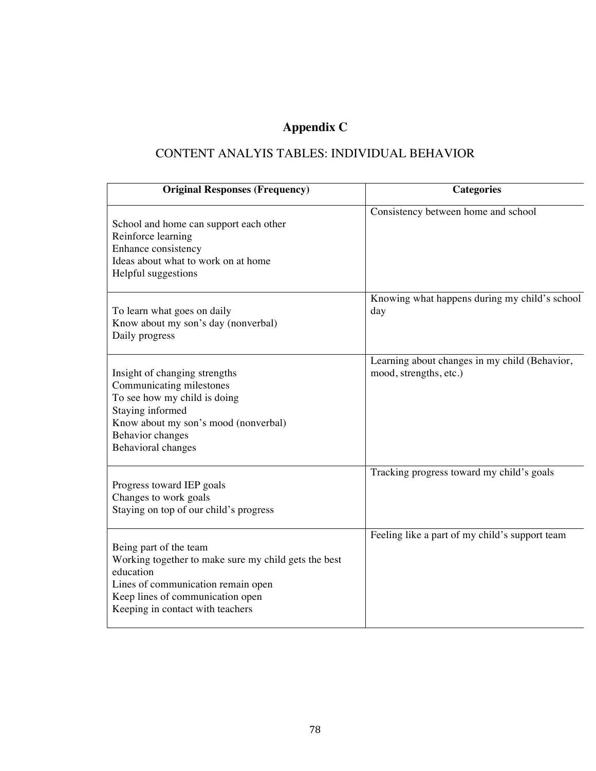# **Appendix C**

## CONTENT ANALYIS TABLES: INDIVIDUAL BEHAVIOR

| <b>Original Responses (Frequency)</b>                                                                                                                                                                     | <b>Categories</b>                                                       |
|-----------------------------------------------------------------------------------------------------------------------------------------------------------------------------------------------------------|-------------------------------------------------------------------------|
| School and home can support each other<br>Reinforce learning<br>Enhance consistency<br>Ideas about what to work on at home<br>Helpful suggestions                                                         | Consistency between home and school                                     |
| To learn what goes on daily<br>Know about my son's day (nonverbal)<br>Daily progress                                                                                                                      | Knowing what happens during my child's school<br>day                    |
| Insight of changing strengths<br>Communicating milestones<br>To see how my child is doing<br>Staying informed<br>Know about my son's mood (nonverbal)<br>Behavior changes<br><b>Behavioral changes</b>    | Learning about changes in my child (Behavior,<br>mood, strengths, etc.) |
| Progress toward IEP goals<br>Changes to work goals<br>Staying on top of our child's progress                                                                                                              | Tracking progress toward my child's goals                               |
| Being part of the team<br>Working together to make sure my child gets the best<br>education<br>Lines of communication remain open<br>Keep lines of communication open<br>Keeping in contact with teachers | Feeling like a part of my child's support team                          |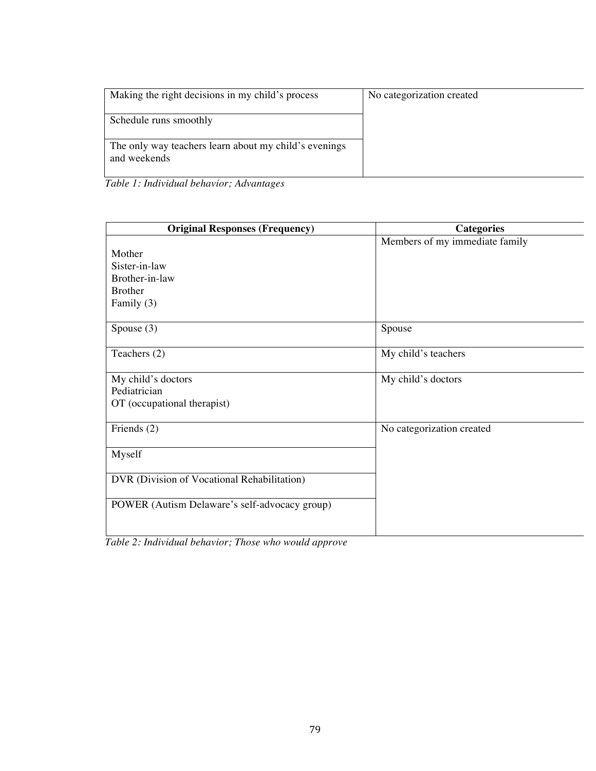| Making the right decisions in my child's process      | No categorization created |
|-------------------------------------------------------|---------------------------|
| Schedule runs smoothly                                |                           |
| The only way teachers learn about my child's evenings |                           |
| and weekends                                          |                           |

|  |  |  |  | Table 1: Individual behavior; Advantages |
|--|--|--|--|------------------------------------------|
|--|--|--|--|------------------------------------------|

| <b>Original Responses (Frequency)</b>         | <b>Categories</b>              |
|-----------------------------------------------|--------------------------------|
|                                               | Members of my immediate family |
| Mother                                        |                                |
| Sister-in-law                                 |                                |
| Brother-in-law                                |                                |
| <b>Brother</b>                                |                                |
| Family (3)                                    |                                |
| Spouse $(3)$                                  | Spouse                         |
| Teachers (2)                                  | My child's teachers            |
| My child's doctors                            | My child's doctors             |
| Pediatrician                                  |                                |
| OT (occupational therapist)                   |                                |
| Friends (2)                                   | No categorization created      |
| Myself                                        |                                |
| DVR (Division of Vocational Rehabilitation)   |                                |
| POWER (Autism Delaware's self-advocacy group) |                                |

*Table 2: Individual behavior; Those who would approve*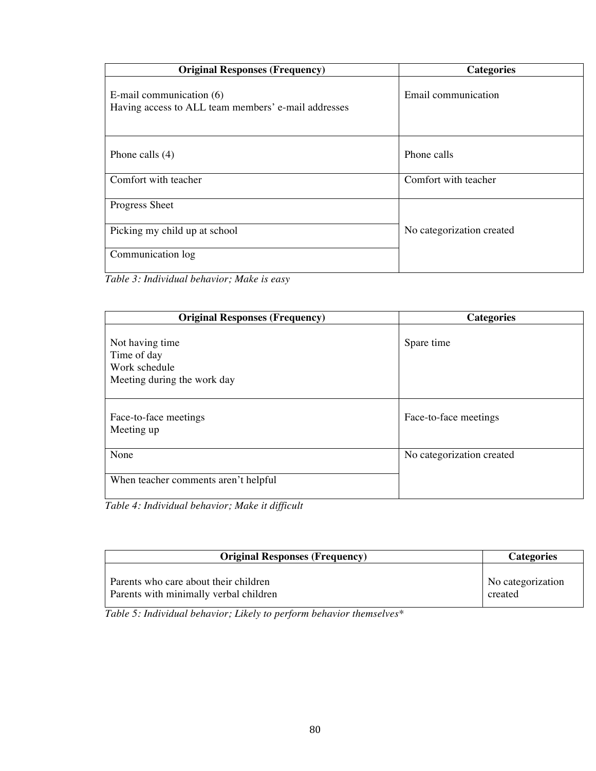| <b>Original Responses (Frequency)</b>                                           | <b>Categories</b>         |
|---------------------------------------------------------------------------------|---------------------------|
| E-mail communication (6)<br>Having access to ALL team members' e-mail addresses | Email communication       |
| Phone calls $(4)$                                                               | Phone calls               |
| Comfort with teacher                                                            | Comfort with teacher      |
| Progress Sheet                                                                  |                           |
| Picking my child up at school                                                   | No categorization created |
| Communication log                                                               |                           |

*Table 3: Individual behavior; Make is easy*

| <b>Original Responses (Frequency)</b>                                          | <b>Categories</b>         |
|--------------------------------------------------------------------------------|---------------------------|
| Not having time<br>Time of day<br>Work schedule<br>Meeting during the work day | Spare time                |
| Face-to-face meetings<br>Meeting up                                            | Face-to-face meetings     |
| None                                                                           | No categorization created |
| When teacher comments aren't helpful                                           |                           |

*Table 4: Individual behavior; Make it difficult*

| <b>Original Responses (Frequency)</b>  | <b>Categories</b> |
|----------------------------------------|-------------------|
| Parents who care about their children  | No categorization |
| Parents with minimally verbal children | created           |

*Table 5: Individual behavior; Likely to perform behavior themselves\**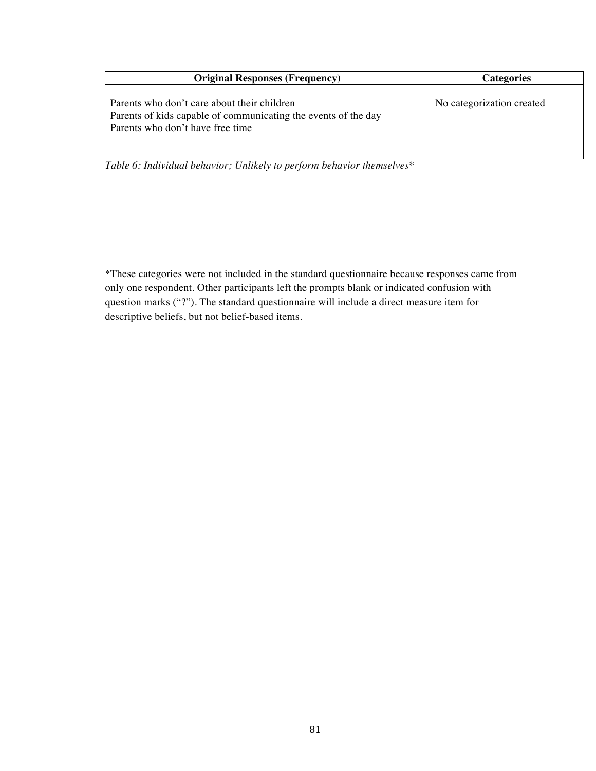| <b>Original Responses (Frequency)</b>                                                                                                             | Categories                |
|---------------------------------------------------------------------------------------------------------------------------------------------------|---------------------------|
| Parents who don't care about their children<br>Parents of kids capable of communicating the events of the day<br>Parents who don't have free time | No categorization created |

*Table 6: Individual behavior; Unlikely to perform behavior themselves\**

\*These categories were not included in the standard questionnaire because responses came from only one respondent. Other participants left the prompts blank or indicated confusion with question marks ("?"). The standard questionnaire will include a direct measure item for descriptive beliefs, but not belief-based items.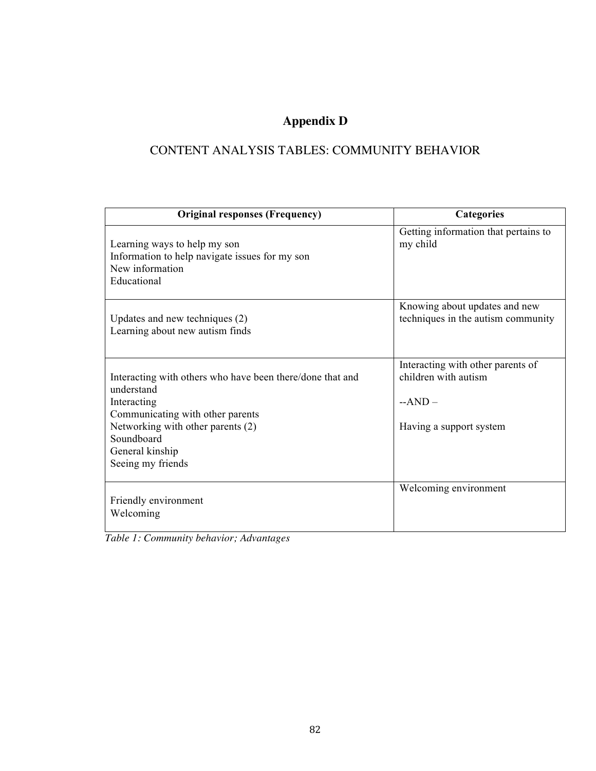## **Appendix D**

## CONTENT ANALYSIS TABLES: COMMUNITY BEHAVIOR

| <b>Original responses (Frequency)</b>                                                                                                                                                                                 | Categories                                                                                       |
|-----------------------------------------------------------------------------------------------------------------------------------------------------------------------------------------------------------------------|--------------------------------------------------------------------------------------------------|
| Learning ways to help my son<br>Information to help navigate issues for my son<br>New information<br>Educational                                                                                                      | Getting information that pertains to<br>my child                                                 |
| Updates and new techniques (2)<br>Learning about new autism finds                                                                                                                                                     | Knowing about updates and new<br>techniques in the autism community                              |
| Interacting with others who have been there/done that and<br>understand<br>Interacting<br>Communicating with other parents<br>Networking with other parents (2)<br>Soundboard<br>General kinship<br>Seeing my friends | Interacting with other parents of<br>children with autism<br>$-AND -$<br>Having a support system |
| Friendly environment<br>Welcoming                                                                                                                                                                                     | Welcoming environment                                                                            |

*Table 1: Community behavior; Advantages*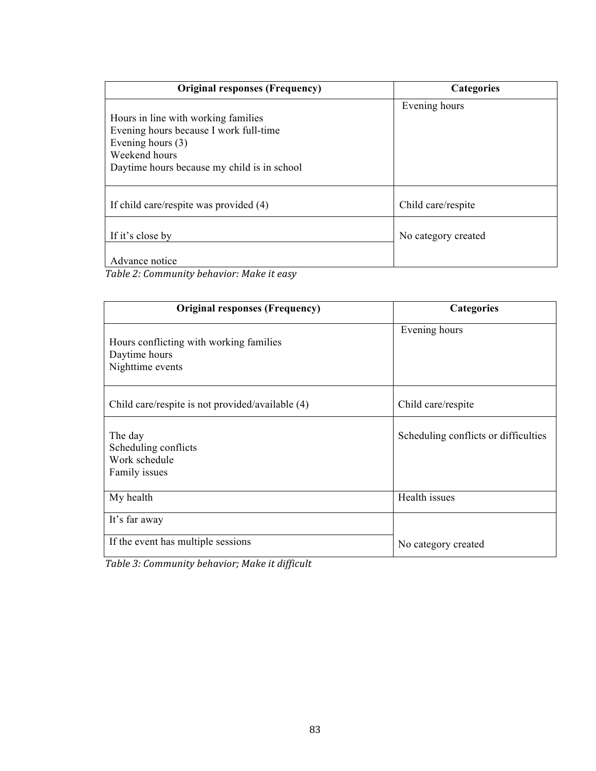| <b>Original responses (Frequency)</b>                                                                                                                                | <b>Categories</b>   |
|----------------------------------------------------------------------------------------------------------------------------------------------------------------------|---------------------|
| Hours in line with working families<br>Evening hours because I work full-time<br>Evening hours $(3)$<br>Weekend hours<br>Daytime hours because my child is in school | Evening hours       |
| If child care/respite was provided (4)                                                                                                                               | Child care/respite  |
| If it's close by                                                                                                                                                     | No category created |
| Advance notice<br>$\mathbf{r}$ , and $\mathbf{r}$ , and $\mathbf{r}$ , and $\mathbf{r}$ , and $\mathbf{r}$                                                           |                     |

*Table 2: Community behavior: Make it easy*

| <b>Original responses (Frequency)</b>                                        | Categories                           |
|------------------------------------------------------------------------------|--------------------------------------|
| Hours conflicting with working families<br>Daytime hours<br>Nighttime events | Evening hours                        |
| Child care/respite is not provided/available (4)                             | Child care/respite                   |
| The day<br>Scheduling conflicts<br>Work schedule<br>Family issues            | Scheduling conflicts or difficulties |
| My health                                                                    | Health issues                        |
| It's far away                                                                |                                      |
| If the event has multiple sessions                                           | No category created                  |

Table 3: Community behavior; Make it difficult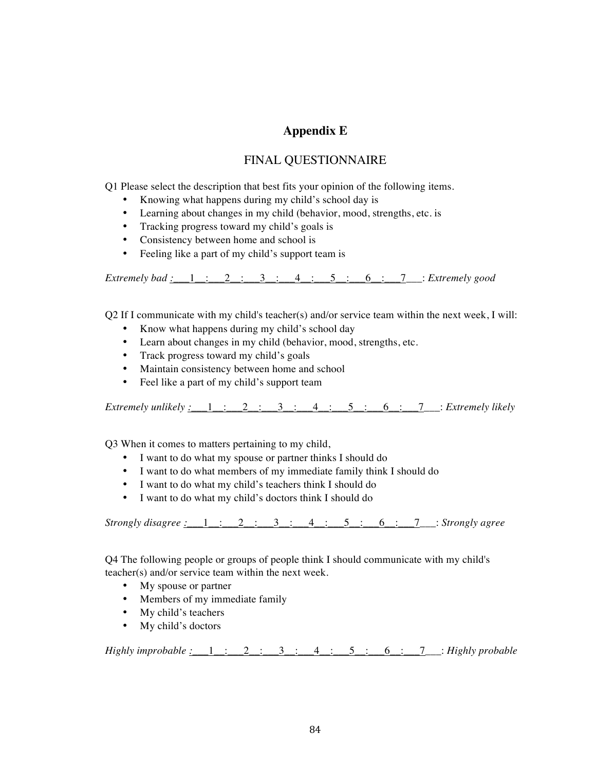### **Appendix E**

#### FINAL QUESTIONNAIRE

Q1 Please select the description that best fits your opinion of the following items.

- Knowing what happens during my child's school day is
- Learning about changes in my child (behavior, mood, strengths, etc. is
- Tracking progress toward my child's goals is
- Consistency between home and school is
- Feeling like a part of my child's support team is

*Extremely bad :\_\_\_*1\_\_:\_\_\_2\_\_:\_\_\_3\_\_:\_\_\_4\_\_:\_\_\_5\_\_:\_\_\_6\_\_:\_\_\_7\_\_\_: *Extremely good*

Q2 If I communicate with my child's teacher(s) and/or service team within the next week, I will:

- Know what happens during my child's school day
- Learn about changes in my child (behavior, mood, strengths, etc.
- Track progress toward my child's goals
- Maintain consistency between home and school
- Feel like a part of my child's support team

*Extremely unlikely :\_\_\_\_1\_\_\_:\_\_\_2\_\_:\_\_\_3\_\_:\_\_4\_\_:\_\_5\_\_:\_\_6\_\_:\_\_7\_\_\_: Extremely likely* 

Q3 When it comes to matters pertaining to my child,

- I want to do what my spouse or partner thinks I should do
- I want to do what members of my immediate family think I should do
- I want to do what my child's teachers think I should do
- I want to do what my child's doctors think I should do

*Strongly disagree :\_\_\_*1\_\_:\_\_\_2\_\_:\_\_\_3\_\_:\_\_\_4\_\_:\_\_\_5\_\_:\_\_\_6\_\_:\_\_\_7\_\_\_: *Strongly agree*

Q4 The following people or groups of people think I should communicate with my child's teacher(s) and/or service team within the next week.

- My spouse or partner
- Members of my immediate family
- My child's teachers
- My child's doctors

*Highly improbable :\_\_\_*1\_\_:\_\_\_2\_\_:\_\_\_3\_\_:\_\_\_4\_\_:\_\_\_5\_\_:\_\_\_6\_\_:\_\_\_7\_\_\_: *Highly probable*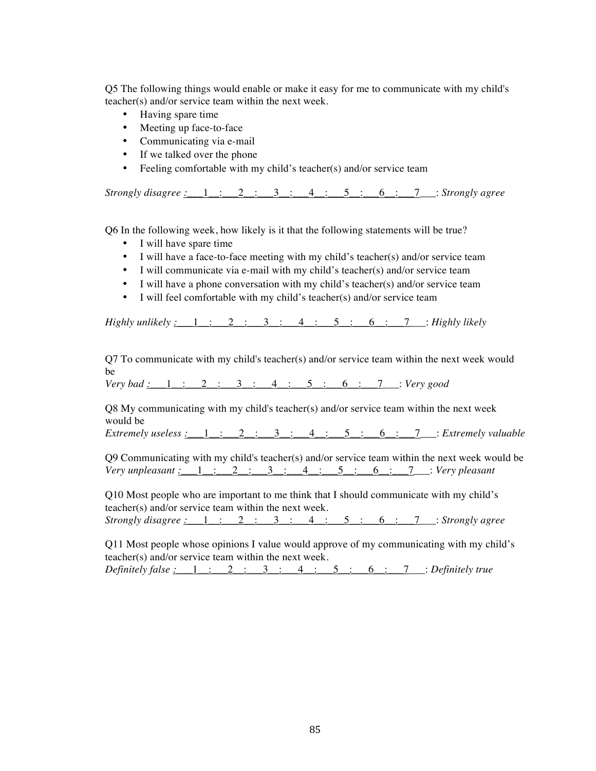Q5 The following things would enable or make it easy for me to communicate with my child's teacher(s) and/or service team within the next week.

- Having spare time
- Meeting up face-to-face
- Communicating via e-mail
- If we talked over the phone
- Feeling comfortable with my child's teacher(s) and/or service team

*Strongly disagree :\_\_\_*1\_\_:\_\_\_2\_\_:\_\_\_3\_\_:\_\_\_4\_\_:\_\_\_5\_\_:\_\_\_6\_\_:\_\_\_7\_\_\_: *Strongly agree*

Q6 In the following week, how likely is it that the following statements will be true?

- I will have spare time
- I will have a face-to-face meeting with my child's teacher(s) and/or service team
- I will communicate via e-mail with my child's teacher(s) and/or service team
- I will have a phone conversation with my child's teacher(s) and/or service team
- I will feel comfortable with my child's teacher(s) and/or service team

*Highly unlikely :\_\_\_*1\_\_:\_\_\_2\_\_:\_\_\_3\_\_:\_\_\_4\_\_:\_\_\_5\_\_:\_\_\_6\_\_:\_\_\_7\_\_\_: *Highly likely*

Q7 To communicate with my child's teacher(s) and/or service team within the next week would be

*Very bad :\_\_\_*1\_\_:\_\_\_2\_\_:\_\_\_3\_\_:\_\_\_4\_\_:\_\_\_5\_\_:\_\_\_6\_\_:\_\_\_7\_\_\_: *Very good*

Q8 My communicating with my child's teacher(s) and/or service team within the next week would be

*Extremely useless* :  $\frac{1}{2}$  :  $\frac{2}{3}$  :  $\frac{3}{4}$  :  $\frac{4}{5}$  :  $\frac{5}{6}$  :  $\frac{7}{3}$  : *Extremely valuable* 

Q9 Communicating with my child's teacher(s) and/or service team within the next week would be *Very unpleasant :\_\_\_*1\_\_:\_\_\_2\_\_:\_\_\_3\_\_:\_\_\_4\_\_:\_\_\_5\_\_:\_\_\_6\_\_:\_\_\_7\_\_\_: *Very pleasant*

Q10 Most people who are important to me think that I should communicate with my child's teacher(s) and/or service team within the next week. *Strongly disagree :\_\_\_*1\_\_:\_\_\_2\_\_:\_\_\_3\_\_:\_\_\_4\_\_:\_\_\_5\_\_:\_\_\_6\_\_:\_\_\_7\_\_\_: *Strongly agree*

Q11 Most people whose opinions I value would approve of my communicating with my child's teacher(s) and/or service team within the next week. *Definitely false :\_\_\_*1\_\_:\_\_\_2\_\_:\_\_\_3\_\_:\_\_\_4\_\_:\_\_\_5\_\_:\_\_\_6\_\_:\_\_\_7\_\_\_: *Definitely true*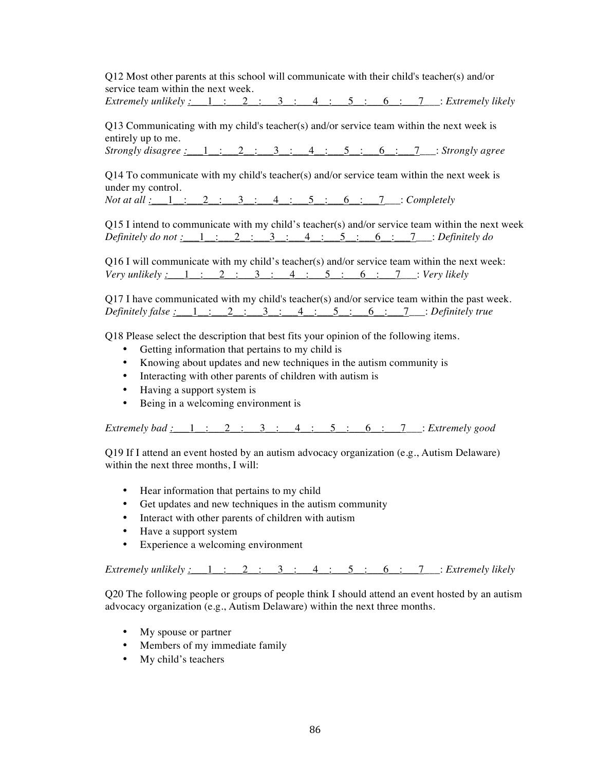Q12 Most other parents at this school will communicate with their child's teacher(s) and/or service team within the next week.

*Extremely unlikely*  $\underline{\cdot}$   $\underline{\cdot}$   $\underline{\cdot}$   $\underline{\cdot}$   $\underline{\cdot}$   $\underline{\cdot}$   $\underline{\cdot}$   $\underline{\cdot}$   $\underline{\cdot}$   $\underline{\cdot}$   $\underline{\cdot}$   $\underline{\cdot}$   $\underline{\cdot}$   $\underline{\cdot}$   $\underline{\cdot}$   $\underline{\cdot}$   $\underline{\cdot}$   $\underline{\cdot}$   $\underline{\cdot}$   $\underline{\cdot}$   $\underline{\cdot}$   $\underline{\cdot}$   $\u$ 

Q13 Communicating with my child's teacher(s) and/or service team within the next week is entirely up to me.

*Strongly disagree :\_\_\_*1\_\_:\_\_\_2\_\_:\_\_\_3\_\_:\_\_\_4\_\_:\_\_\_5\_\_:\_\_\_6\_\_:\_\_\_7\_\_\_: *Strongly agree*

 $Q14$  To communicate with my child's teacher(s) and/or service team within the next week is under my control.

*Not at all :* 1 : 2 : 3 : 4 : 5 : 6 : 7 : *Completely* 

Q15 I intend to communicate with my child's teacher(s) and/or service team within the next week *Definitely do not :\_\_\_*1\_\_:\_\_\_2\_\_:\_\_\_3\_\_:\_\_\_4\_\_:\_\_\_5\_\_:\_\_\_6\_\_:\_\_\_7\_\_\_: *Definitely do*

Q16 I will communicate with my child's teacher(s) and/or service team within the next week: *Very unlikely :\_\_\_*1\_\_:\_\_\_2\_\_:\_\_\_3\_\_:\_\_\_4\_\_:\_\_\_5\_\_:\_\_\_6\_\_:\_\_\_7\_\_\_: *Very likely*

Q17 I have communicated with my child's teacher(s) and/or service team within the past week. *Definitely false :\_\_\_*1\_\_:\_\_\_2\_\_:\_\_\_3\_\_:\_\_\_4\_\_:\_\_\_5\_\_:\_\_\_6\_\_:\_\_\_7\_\_\_: *Definitely true*

Q18 Please select the description that best fits your opinion of the following items.

- Getting information that pertains to my child is
- Knowing about updates and new techniques in the autism community is
- Interacting with other parents of children with autism is
- Having a support system is
- Being in a welcoming environment is

*Extremely bad :\_\_\_*1\_\_:\_\_\_2\_\_:\_\_\_3\_\_:\_\_\_4\_\_:\_\_\_5\_\_:\_\_\_6\_\_:\_\_\_7\_\_\_: *Extremely good*

Q19 If I attend an event hosted by an autism advocacy organization (e.g., Autism Delaware) within the next three months, I will:

- Hear information that pertains to my child
- Get updates and new techniques in the autism community
- Interact with other parents of children with autism
- Have a support system
- Experience a welcoming environment

 $Extremely \text{ } *unitively*: 1: 2: 3: 4: 5: 6: 7: 2: *Extremely \text{ } *intercept**$ 

Q20 The following people or groups of people think I should attend an event hosted by an autism advocacy organization (e.g., Autism Delaware) within the next three months.

- My spouse or partner
- Members of my immediate family
- My child's teachers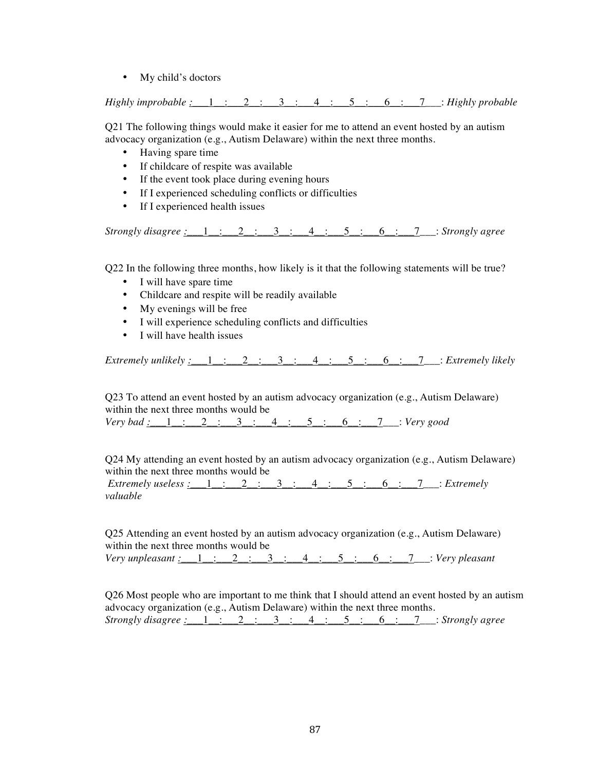• My child's doctors

*Highly improbable :\_\_\_*1\_\_:\_\_\_2\_\_:\_\_\_3\_\_:\_\_\_4\_\_:\_\_\_5\_\_:\_\_\_6\_\_:\_\_\_7\_\_\_: *Highly probable*

Q21 The following things would make it easier for me to attend an event hosted by an autism advocacy organization (e.g., Autism Delaware) within the next three months.

- Having spare time
- If childcare of respite was available
- If the event took place during evening hours
- If I experienced scheduling conflicts or difficulties
- If I experienced health issues

*Strongly disagree :\_\_\_*1\_\_:\_\_\_2\_\_:\_\_\_3\_\_:\_\_\_4\_\_:\_\_\_5\_\_:\_\_\_6\_\_:\_\_\_7\_\_\_: *Strongly agree*

Q22 In the following three months, how likely is it that the following statements will be true?

- I will have spare time
- Childcare and respite will be readily available
- My evenings will be free
- I will experience scheduling conflicts and difficulties
- I will have health issues

 $Extremely \text{ } *unitively*: 1: 2: 3: 4: 5: 6: 7: 2: *Extremely \text{ } *intercept**$ 

Q23 To attend an event hosted by an autism advocacy organization (e.g., Autism Delaware) within the next three months would be

*Very bad :\_\_\_*1\_\_:\_\_\_2\_\_:\_\_\_3\_\_:\_\_\_4\_\_:\_\_\_5\_\_:\_\_\_6\_\_:\_\_\_7\_\_\_: *Very good*

Q24 My attending an event hosted by an autism advocacy organization (e.g., Autism Delaware) within the next three months would be *Extremely useless :\_\_\_*1\_\_:\_\_\_2\_\_:\_\_\_3\_\_:\_\_\_4\_\_:\_\_\_5\_\_:\_\_\_6\_\_:\_\_\_7\_\_\_: *Extremely* 

*valuable*

Q25 Attending an event hosted by an autism advocacy organization (e.g., Autism Delaware) within the next three months would be *Very unpleasant :\_\_\_*1\_\_:\_\_\_2\_\_:\_\_\_3\_\_:\_\_\_4\_\_:\_\_\_5\_\_:\_\_\_6\_\_:\_\_\_7\_\_\_: *Very pleasant*

Q26 Most people who are important to me think that I should attend an event hosted by an autism advocacy organization (e.g., Autism Delaware) within the next three months. *Strongly disagree :\_\_\_*1\_\_:\_\_\_2\_\_:\_\_\_3\_\_:\_\_\_4\_\_:\_\_\_5\_\_:\_\_\_6\_\_:\_\_\_7\_\_\_: *Strongly agree*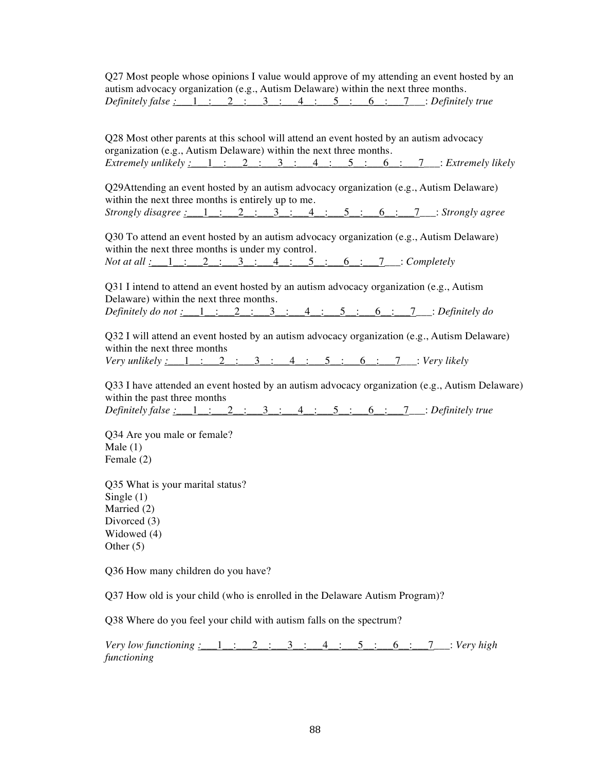Q27 Most people whose opinions I value would approve of my attending an event hosted by an autism advocacy organization (e.g., Autism Delaware) within the next three months. *Definitely false :\_\_\_*1\_\_:\_\_\_2\_\_:\_\_\_3\_\_:\_\_\_4\_\_:\_\_\_5\_\_:\_\_\_6\_\_:\_\_\_7\_\_\_: *Definitely true*

Q28 Most other parents at this school will attend an event hosted by an autism advocacy organization (e.g., Autism Delaware) within the next three months. *Extremely unlikely :\_\_\_1\_\_:\_\_2\_\_:\_\_3\_\_:\_\_4\_\_:\_\_5\_\_:\_\_6\_\_:\_\_7\_\_\_: Extremely likely* 

Q29Attending an event hosted by an autism advocacy organization (e.g., Autism Delaware) within the next three months is entirely up to me. *Strongly disagree :\_\_\_*1\_\_:\_\_\_2\_\_:\_\_\_3\_\_:\_\_\_4\_\_:\_\_\_5\_\_:\_\_\_6\_\_:\_\_\_7\_\_\_: *Strongly agree*

Q30 To attend an event hosted by an autism advocacy organization (e.g., Autism Delaware) within the next three months is under my control. *Not at all :* 1 : 2 : 3 : 4 : 5 : 6 : 7 : *Completely* 

Q31 I intend to attend an event hosted by an autism advocacy organization (e.g., Autism Delaware) within the next three months. *Definitely do not :\_\_\_*1\_\_:\_\_\_2\_\_:\_\_\_3\_\_:\_\_\_4\_\_:\_\_\_5\_\_:\_\_\_6\_\_:\_\_\_7\_\_\_: *Definitely do*

Q32 I will attend an event hosted by an autism advocacy organization (e.g., Autism Delaware) within the next three months *Very unlikely :\_\_\_*1\_\_:\_\_\_2\_\_:\_\_\_3\_\_:\_\_\_4\_\_:\_\_\_5\_\_:\_\_\_6\_\_:\_\_\_7\_\_\_: *Very likely*

Q33 I have attended an event hosted by an autism advocacy organization (e.g., Autism Delaware) within the past three months *Definitely false :\_\_\_*1\_\_:\_\_\_2\_\_:\_\_\_3\_\_:\_\_\_4\_\_:\_\_\_5\_\_:\_\_\_6\_\_:\_\_\_7\_\_\_: *Definitely true*

Q34 Are you male or female? Male (1) Female (2)

Q35 What is your marital status? Single  $(1)$ Married (2) Divorced (3) Widowed (4) Other (5)

Q36 How many children do you have?

Q37 How old is your child (who is enrolled in the Delaware Autism Program)?

Q38 Where do you feel your child with autism falls on the spectrum?

*Very low functioning :\_\_\_*1\_\_:\_\_\_2\_\_:\_\_\_3\_\_:\_\_\_4\_\_:\_\_\_5\_\_:\_\_\_6\_\_:\_\_\_7\_\_\_: *Very high functioning*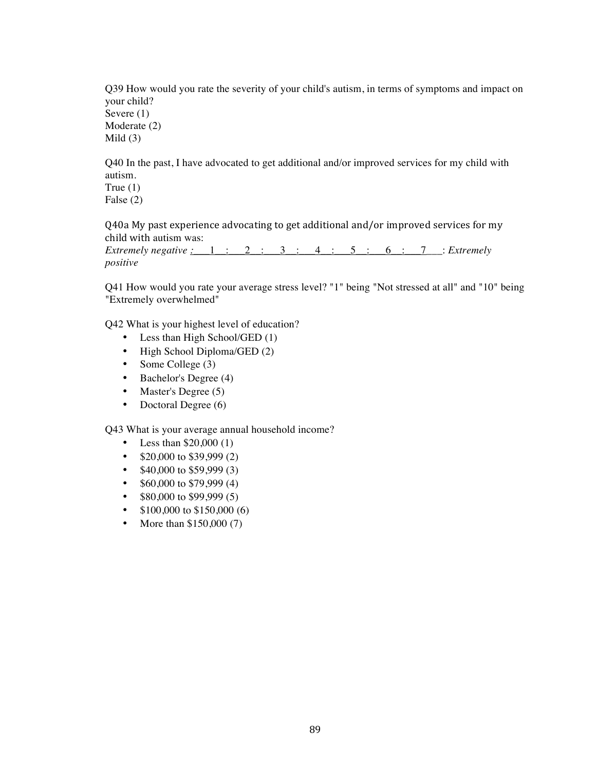Q39 How would you rate the severity of your child's autism, in terms of symptoms and impact on your child? Severe (1) Moderate (2) Mild (3)

Q40 In the past, I have advocated to get additional and/or improved services for my child with autism. True  $(1)$ 

False (2)

Q40a My past experience advocating to get additional and/or improved services for my child with autism was:

*Extremely negative :\_\_\_*1\_\_:\_\_\_2\_\_:\_\_\_3\_\_:\_\_\_4\_\_:\_\_\_5\_\_:\_\_\_6\_\_:\_\_\_7\_\_\_: *Extremely positive*

Q41 How would you rate your average stress level? "1" being "Not stressed at all" and "10" being "Extremely overwhelmed"

Q42 What is your highest level of education?

- Less than High School/GED (1)
- High School Diploma/GED (2)
- Some College (3)
- Bachelor's Degree (4)
- Master's Degree (5)
- Doctoral Degree (6)

Q43 What is your average annual household income?

- Less than  $$20,000(1)$
- $$20,000$  to \$39,999 (2)
- $$40,000$  to \$59,999 (3)
- $$60,000$  to \$79,999 (4)
- $$80,000$  to  $$99,999$  (5)
- $$100,000$  to  $$150,000$  (6)
- More than \$150,000 (7)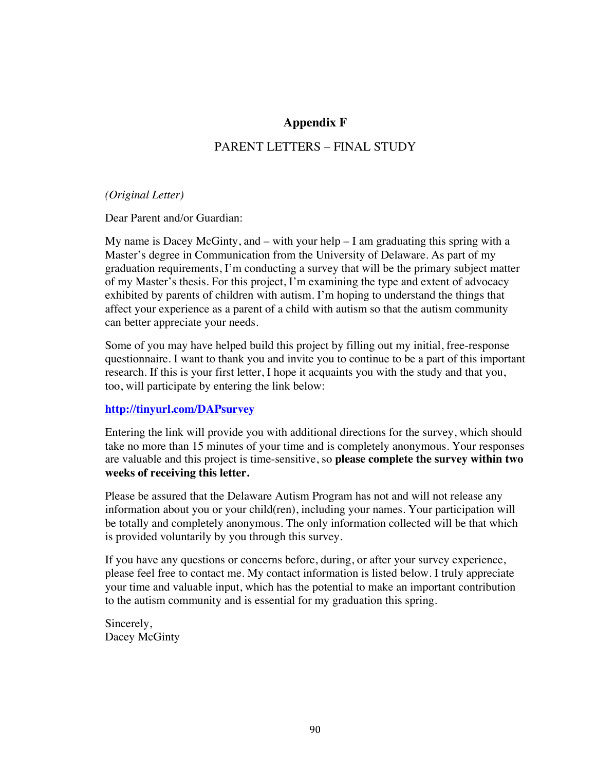#### **Appendix F**

### PARENT LETTERS – FINAL STUDY

#### *(Original Letter)*

Dear Parent and/or Guardian:

My name is Dacey McGinty, and  $-$  with your help  $-1$  am graduating this spring with a Master's degree in Communication from the University of Delaware. As part of my graduation requirements, I'm conducting a survey that will be the primary subject matter of my Master's thesis. For this project, I'm examining the type and extent of advocacy exhibited by parents of children with autism. I'm hoping to understand the things that affect your experience as a parent of a child with autism so that the autism community can better appreciate your needs.

Some of you may have helped build this project by filling out my initial, free-response questionnaire. I want to thank you and invite you to continue to be a part of this important research. If this is your first letter, I hope it acquaints you with the study and that you, too, will participate by entering the link below:

#### **http://tinyurl.com/DAPsurvey**

Entering the link will provide you with additional directions for the survey, which should take no more than 15 minutes of your time and is completely anonymous. Your responses are valuable and this project is time-sensitive, so **please complete the survey within two weeks of receiving this letter.**

Please be assured that the Delaware Autism Program has not and will not release any information about you or your child(ren), including your names. Your participation will be totally and completely anonymous. The only information collected will be that which is provided voluntarily by you through this survey.

If you have any questions or concerns before, during, or after your survey experience, please feel free to contact me. My contact information is listed below. I truly appreciate your time and valuable input, which has the potential to make an important contribution to the autism community and is essential for my graduation this spring.

Sincerely, Dacey McGinty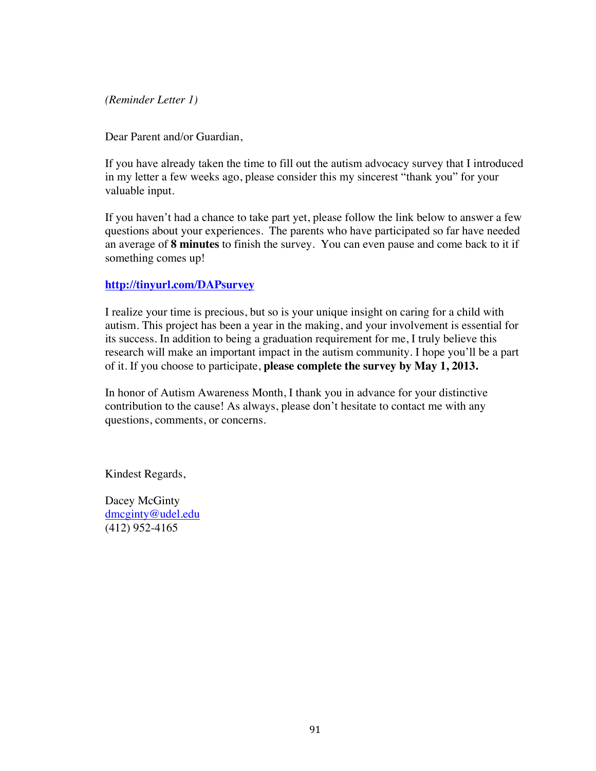*(Reminder Letter 1)*

Dear Parent and/or Guardian,

If you have already taken the time to fill out the autism advocacy survey that I introduced in my letter a few weeks ago, please consider this my sincerest "thank you" for your valuable input.

If you haven't had a chance to take part yet, please follow the link below to answer a few questions about your experiences. The parents who have participated so far have needed an average of **8 minutes** to finish the survey. You can even pause and come back to it if something comes up!

#### **http://tinyurl.com/DAPsurvey**

I realize your time is precious, but so is your unique insight on caring for a child with autism. This project has been a year in the making, and your involvement is essential for its success. In addition to being a graduation requirement for me, I truly believe this research will make an important impact in the autism community. I hope you'll be a part of it. If you choose to participate, **please complete the survey by May 1, 2013.**

In honor of Autism Awareness Month, I thank you in advance for your distinctive contribution to the cause! As always, please don't hesitate to contact me with any questions, comments, or concerns.

Kindest Regards,

Dacey McGinty dmcginty@udel.edu (412) 952-4165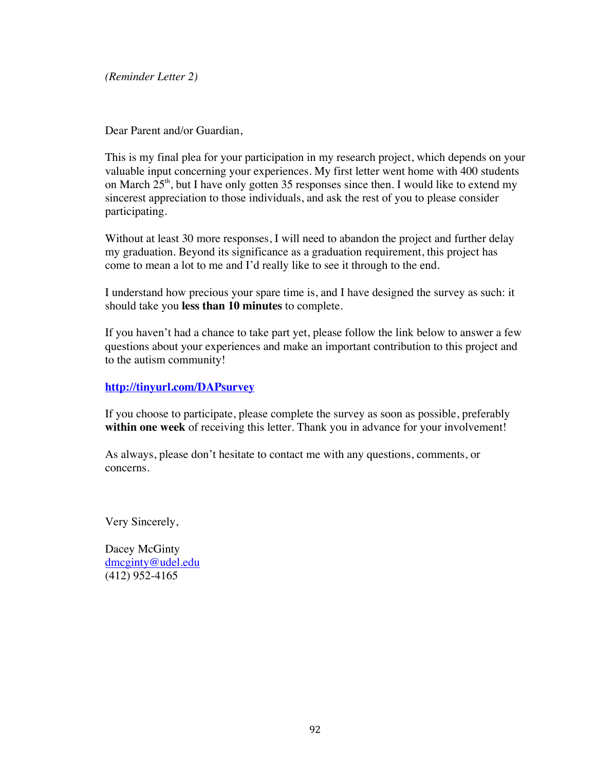*(Reminder Letter 2)*

Dear Parent and/or Guardian,

This is my final plea for your participation in my research project, which depends on your valuable input concerning your experiences. My first letter went home with 400 students on March  $25<sup>th</sup>$ , but I have only gotten 35 responses since then. I would like to extend my sincerest appreciation to those individuals, and ask the rest of you to please consider participating.

Without at least 30 more responses, I will need to abandon the project and further delay my graduation. Beyond its significance as a graduation requirement, this project has come to mean a lot to me and I'd really like to see it through to the end.

I understand how precious your spare time is, and I have designed the survey as such: it should take you **less than 10 minutes** to complete.

If you haven't had a chance to take part yet, please follow the link below to answer a few questions about your experiences and make an important contribution to this project and to the autism community!

#### **http://tinyurl.com/DAPsurvey**

If you choose to participate, please complete the survey as soon as possible, preferably **within one week** of receiving this letter. Thank you in advance for your involvement!

As always, please don't hesitate to contact me with any questions, comments, or concerns.

Very Sincerely,

Dacey McGinty dmcginty@udel.edu (412) 952-4165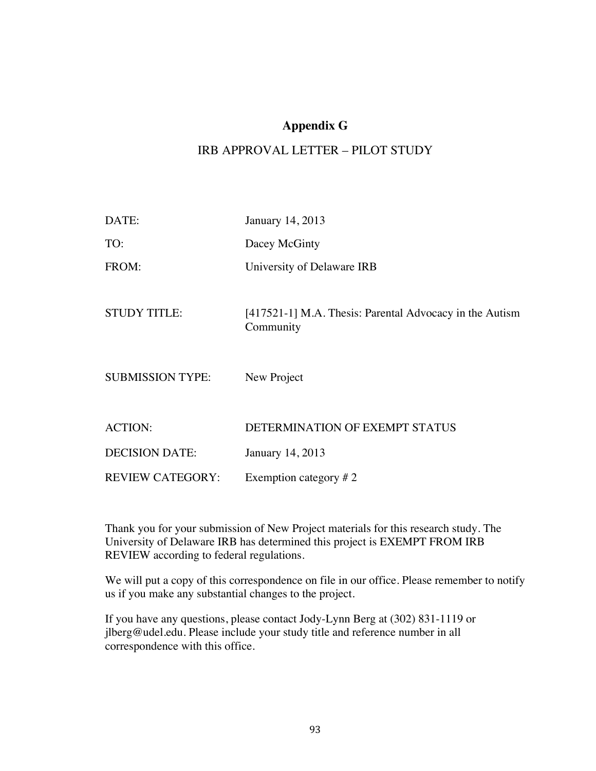## **Appendix G**

## IRB APPROVAL LETTER – PILOT STUDY

| DATE:                   | January 14, 2013                                                     |
|-------------------------|----------------------------------------------------------------------|
| TO:                     | Dacey McGinty                                                        |
| FROM:                   | University of Delaware IRB                                           |
| <b>STUDY TITLE:</b>     | [417521-1] M.A. Thesis: Parental Advocacy in the Autism<br>Community |
| <b>SUBMISSION TYPE:</b> | New Project                                                          |
|                         |                                                                      |
| <b>ACTION:</b>          | DETERMINATION OF EXEMPT STATUS                                       |
| <b>DECISION DATE:</b>   | January 14, 2013                                                     |
| <b>REVIEW CATEGORY:</b> | Exemption category $# 2$                                             |

Thank you for your submission of New Project materials for this research study. The University of Delaware IRB has determined this project is EXEMPT FROM IRB REVIEW according to federal regulations.

We will put a copy of this correspondence on file in our office. Please remember to notify us if you make any substantial changes to the project.

If you have any questions, please contact Jody-Lynn Berg at (302) 831-1119 or jlberg@udel.edu. Please include your study title and reference number in all correspondence with this office.